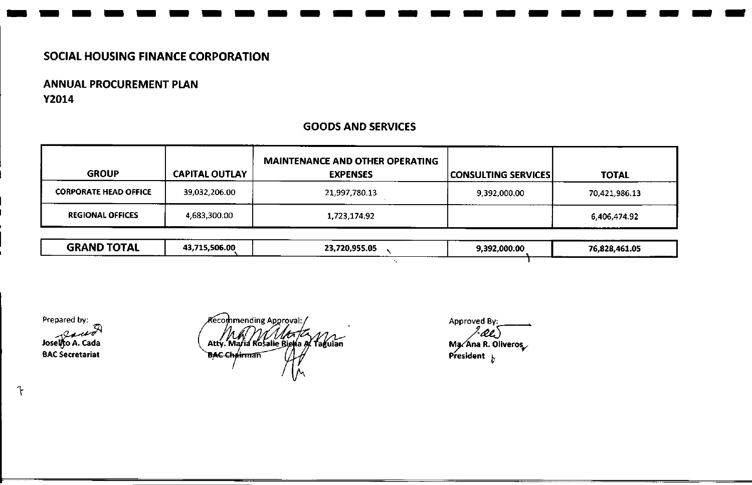# ANNUAL PROCUREMENT PLAN Y2014

## GOODS AND SERVICES

------------------------

| <b>GROUP</b>                 | <b>CAPITAL OUTLAY</b> | <b>MAINTENANCE AND OTHER OPERATING</b><br><b>EXPENSES</b> | CONSULTING SERVICES | <b>TOTAL</b>  |
|------------------------------|-----------------------|-----------------------------------------------------------|---------------------|---------------|
| <b>CORPORATE HEAD OFFICE</b> | 39,032,206.00         | 21,997,780.13                                             | 9,392,000.00        | 70,421,986.13 |
| <b>REGIONAL OFFICES</b>      | 4,683,300.00          | 1,723,174.92                                              |                     | 6,406,474.92  |

| <b>GRAND TOTAL</b><br>_______ | ------<br>13,715,506.00<br>. | 23,720,955.05<br>---- | 9,392,000.00 | 76,828,461.05 |
|-------------------------------|------------------------------|-----------------------|--------------|---------------|
|                               |                              | ----                  |              |               |

Prepared by:

 $\mathcal{F}$ 

Joselgo A. Cada BAC Secretariat

Recommending Approval: Atty. Maria Rosalie Rietha of Taguian **BAC Chairman** 

Approveu Ma⁄ Ana R. Oliveros , President <sub>"</sub>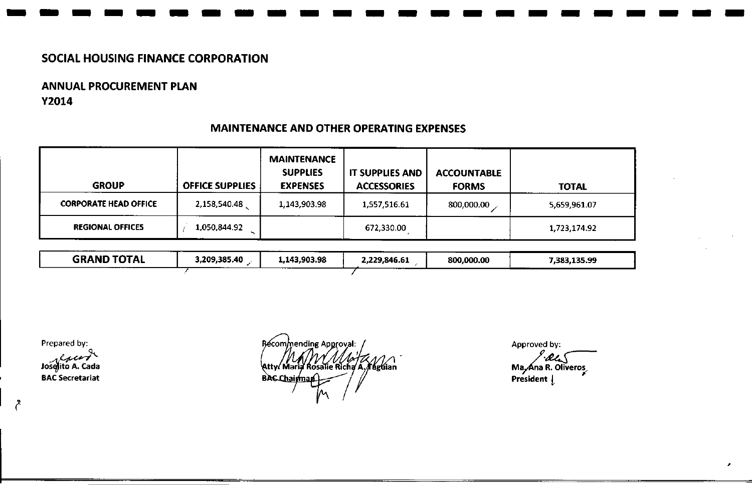# ANNUAL PROCUREMENT PLAN Y2014

| <b>GROUP</b>                 | <b>OFFICE SUPPLIES</b> | <b>MAINTENANCE</b><br><b>SUPPLIES</b><br><b>EXPENSES</b> | <b>IT SUPPLIES AND</b><br><b>ACCESSORIES</b> | <b>ACCOUNTABLE</b><br><b>FORMS</b> | <b>TOTAL</b> |
|------------------------------|------------------------|----------------------------------------------------------|----------------------------------------------|------------------------------------|--------------|
| <b>CORPORATE HEAD OFFICE</b> | 2,158,540.48           | 1,143,903.98                                             | 1,557,516.61                                 | 800,000.00                         | 5,659,961.07 |
| <b>REGIONAL OFFICES</b>      | 1,050,844.92           |                                                          | 672,330.00                                   |                                    | 1,723,174.92 |

## MAINTENANCE AND OTHER OPERATING EXPENSES

**-----------------------**

| <b>GRAND TOTAL</b> | 3,209,385.40 | --------<br>1,143,903.98 | ---<br>2,229,846.61 | 800,000.00 | 7,383,135.99 |
|--------------------|--------------|--------------------------|---------------------|------------|--------------|
|                    |              |                          | -----               |            |              |

Prepared by:

 $\zeta$ 

Josefito A. Cada BAC Secretariat

Recommending Approval: Atty MAY MAYZANI **BAC Chairman** 

Approved by:

Ma<sub>ri</sub>Ana R. Olivero<br>Ma<sub>ri</sub>Ana R. Olivero President *L*

*I*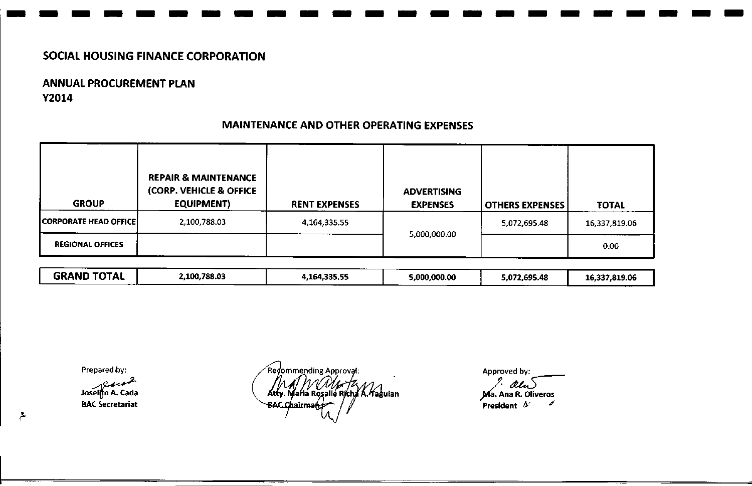# ANNUAL PROCUREMENT PLAN Y2014

| <b>GROUP</b>            | <b>REPAIR &amp; MAINTENANCE</b><br>(CORP. VEHICLE & OFFICE<br><b>EQUIPMENT)</b> | <b>RENT EXPENSES</b> | <b>ADVERTISING</b><br><b>EXPENSES</b> | <b>OTHERS EXPENSES</b> | <b>TOTAL</b>  |
|-------------------------|---------------------------------------------------------------------------------|----------------------|---------------------------------------|------------------------|---------------|
| CORPORATE HEAD OFFICE   | 2,100,788.03                                                                    | 4,164,335.55         |                                       | 5,072,695.48           | 16,337,819.06 |
| <b>REGIONAL OFFICES</b> |                                                                                 |                      | 5,000,000.00                          |                        | 0.00          |

# MAINTENANCE AND OTHER OPERATING EXPENSES

,- ------------- ----- -- - -

GRAND TOTAL 2,100,788.03 4,164,335.55 5,000,000.00 5,072,695.48 16,337,819.06

Prepared by:

 $184$ Joselito A. Cada BAC Secretariat

ع

Redommending Approval: AM MM HZ<br>Atty. Maria Rosalie Richa A. Haguian BAC Chairma

Approved by: /~ ,}'(a. Ana R. Oliveros  $\hat{}$  President  $\,\Delta'$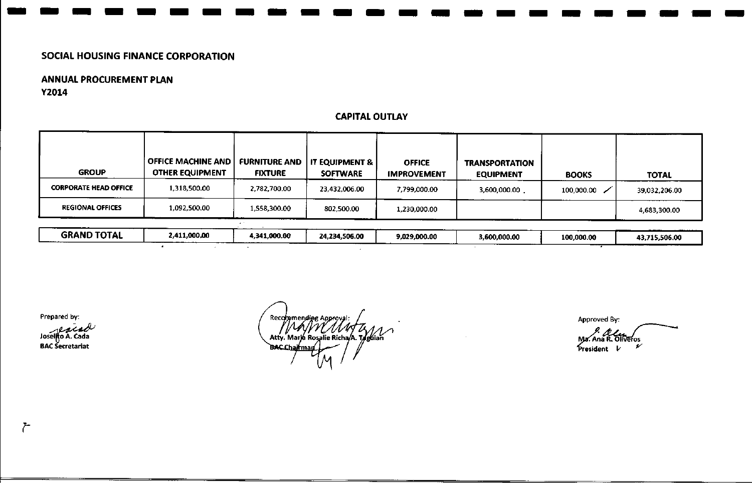$\bullet$ 

 $\sim$ 

 $\bullet$ 

## ANNUAL PROCUREMENT PLAN Y2014

## CAPITALOUTLAY

------ ---------------.- -

| <b>GROUP</b>                 | OFFICE MACHINE AND<br>OTHER EQUIPMENT | <b>FURNITURE AND</b><br><b>FIXTURE</b> | <b>IT EQUIPMENT &amp;  </b><br><b>SOFTWARE</b> | <b>OFFICE</b><br><b>IMPROVEMENT</b> | <b>TRANSPORTATION</b><br><b>EQUIPMENT</b> | <b>BOOKS</b>          | <b>TOTAL</b>  |
|------------------------------|---------------------------------------|----------------------------------------|------------------------------------------------|-------------------------------------|-------------------------------------------|-----------------------|---------------|
| <b>CORPORATE HEAD OFFICE</b> | 1,318,500.00                          | 2,782,700.00                           | 23,432,006.00                                  | 7.799.000.00                        | 3,600,000.00                              | $100,000.00$ $\angle$ | 39,032,206.00 |
| <b>REGIONAL OFFICES</b>      | 1,092,500.00                          | 1.558.300.00                           | 802,500.00                                     | 1,230,000.00                        |                                           |                       | 4,683,300.00  |
|                              |                                       |                                        |                                                |                                     |                                           |                       |               |
| <b>GRAND TOTAL</b>           | 2,411,000,00                          | 4,341,000.00                           | 24,234,506.00                                  | 9,029,000.00                        | 3,600,000.00                              | 100,000.00            | 43,715,506.00 |

 $\mathcal{L}$ 

Prepared by:

JOSE BAC S<del>e</del>cretaria

Recommending Approva Atty. Marja Rosalie Richa/A. Taguian **BAC Chairma** 

Approved By:

Þ Ma. Ana R. Oliveros

۶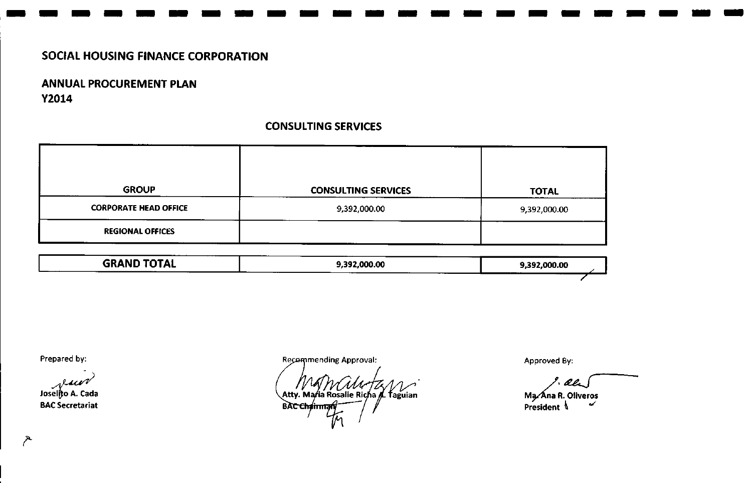# ANNUAL PROCUREMENT PLAN Y2014

## CONSULTING SERVICES

**-----------------------**

| <b>GROUP</b>                 | <b>CONSULTING SERVICES</b> | <b>TOTAL</b> |
|------------------------------|----------------------------|--------------|
| <b>CORPORATE HEAD OFFICE</b> | 9,392,000.00               | 9,392,000.00 |
| <b>REGIONAL OFFICES</b>      |                            |              |

| -----<br><b>GRAND TOTAL</b> | 9,392,000.00 | 9,392,000.00 |
|-----------------------------|--------------|--------------|
|                             |              | ---          |

Prepared by:

Joselijo A. Cada

BAC Secretariat

**Recommending Approval:** 

Atty. Maria Rosalie Richa A. Taguian **BAC Chairm** 

Approved By:

 $^{\circ}$ , oet

Ma⁄Ana R. Olivero President  $\sqrt[n]{\ }$ 

 $\sim$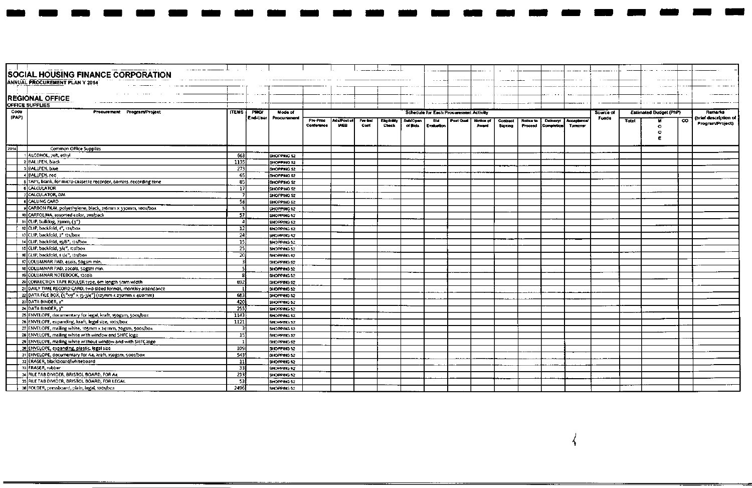|       | SOCIAL HOUSING FINANCE CORPORATION                                 |                 |          |                     |                        |                                  |                 |                             |                     |                   |                                               | -----              |                     |                      |                |                                         |              |       |                        |     |                       |
|-------|--------------------------------------------------------------------|-----------------|----------|---------------------|------------------------|----------------------------------|-----------------|-----------------------------|---------------------|-------------------|-----------------------------------------------|--------------------|---------------------|----------------------|----------------|-----------------------------------------|--------------|-------|------------------------|-----|-----------------------|
|       | ANNUAL PROCUREMENT PLAN Y 2014                                     |                 |          |                     |                        |                                  |                 |                             |                     |                   |                                               |                    |                     |                      |                |                                         |              |       |                        |     |                       |
|       |                                                                    |                 |          |                     |                        |                                  |                 |                             |                     |                   |                                               |                    |                     |                      |                |                                         |              |       |                        |     |                       |
|       | <b>REGIONAL OFFICE</b>                                             |                 |          |                     |                        |                                  |                 |                             |                     |                   |                                               |                    |                     |                      |                |                                         |              |       |                        |     |                       |
|       | OFFICE SUPPLIES                                                    |                 |          |                     |                        |                                  |                 |                             |                     | $- -$             |                                               |                    |                     |                      |                |                                         |              |       |                        |     |                       |
| Code  | Procurement Program/Project                                        | <b>ITEMS</b>    | PMOV     | Mode of             |                        |                                  |                 |                             |                     |                   | <b>Schedule for Each Procurement Activity</b> |                    |                     |                      |                |                                         | Source of    |       | Estimated Budget (PhP) |     | <b>Remarks</b>        |
| (PAP) |                                                                    |                 | End-User | Procurement         |                        |                                  |                 |                             |                     |                   |                                               |                    |                     |                      |                |                                         | <b>Funds</b> |       |                        |     | (brief description of |
|       |                                                                    |                 |          |                     | Pre-Proc<br>Conference | <b>AdaPost of</b><br><b>IAEB</b> | Pre-bid<br>Conf | <b>Eligibility</b><br>Check | SublOpen<br>of Bids | Bld<br>Evaluation | Post Qual                                     | Nation of<br>Award | Contract<br>Signing | Notice to<br>Proceed | l Completion ! | Delivery! Acceptance<br><b>Tunnover</b> |              | Total | ۰                      | CO. | Program/Project)      |
|       |                                                                    |                 |          |                     |                        |                                  |                 |                             |                     |                   |                                               |                    |                     |                      |                |                                         |              |       | o                      |     |                       |
|       |                                                                    |                 |          |                     |                        |                                  |                 |                             |                     |                   |                                               |                    |                     |                      |                |                                         |              |       |                        |     |                       |
|       |                                                                    |                 |          |                     |                        |                                  |                 |                             |                     |                   |                                               |                    |                     |                      |                |                                         |              |       |                        |     |                       |
| 2014  | Common Office Supplies                                             |                 |          |                     |                        |                                  |                 |                             |                     |                   |                                               |                    |                     |                      |                |                                         |              |       |                        |     |                       |
|       | 1 ALCOHOL, 70%, ethyl                                              | 663             |          | SHOPPING 52         |                        |                                  |                 |                             |                     |                   |                                               |                    |                     |                      |                |                                         |              |       |                        |     |                       |
|       | 2 BALLPEN, black                                                   | 1135            |          | SHOPPING 52         |                        |                                  |                 |                             |                     |                   |                                               |                    |                     |                      |                |                                         |              |       |                        |     |                       |
|       | 3 BALLPEN, blue                                                    | 273             |          | SHOPPING 52         |                        |                                  |                 |                             |                     |                   |                                               |                    |                     |                      |                |                                         |              |       |                        |     |                       |
|       | 4 BALLPEN, red                                                     | 65              |          | SHOPPING 52         |                        |                                  |                 |                             |                     |                   |                                               |                    |                     |                      |                |                                         |              |       |                        |     |                       |
|       | s TAPE, blank, for micro-cassette recorder, 60mlns. recording time | 85              |          | SHOPPING 52         |                        |                                  |                 |                             |                     |                   |                                               |                    |                     |                      |                |                                         |              |       |                        |     |                       |
|       | <b>6 CALCULATOR</b>                                                | 17              |          | SHOPPING 52         |                        |                                  |                 |                             |                     |                   |                                               |                    |                     |                      |                |                                         |              |       |                        |     |                       |
|       | 7 CALCULATOR, DM                                                   |                 |          | SHOPPING 52         |                        |                                  |                 |                             |                     |                   |                                               |                    |                     |                      |                |                                         |              |       |                        |     |                       |
|       | <b>BICALUNG CARD</b>                                               | 56              |          | SHOPPING 52         |                        |                                  |                 |                             |                     |                   |                                               |                    |                     |                      |                |                                         |              |       |                        |     |                       |
|       | 9 CARBON FILM, polyethylene, black, 216mm x 330mm, 100s/box        | 51              |          | SHOPPING 52         |                        |                                  |                 |                             |                     |                   |                                               |                    |                     |                      |                |                                         |              |       |                        |     |                       |
|       | to CARTOLINA, assorted color, 20s/pack                             | -57 I           |          | SHOPPING 52         |                        |                                  |                 |                             |                     |                   |                                               |                    |                     |                      |                |                                         |              |       |                        |     |                       |
|       | 11 CLIP, bulldog, 73mm, (3")                                       | Δ               |          | SHOPPING 52         |                        |                                  |                 |                             |                     |                   |                                               |                    |                     |                      |                |                                         |              |       |                        |     |                       |
|       | 12 CLIP, backfold, 1", 12s/box                                     | 12 <sup>1</sup> |          | <b>SHOPPING 52</b>  |                        |                                  |                 |                             |                     |                   |                                               |                    |                     |                      |                |                                         |              |       |                        |     |                       |
|       | 13 CLIP, backfold, 2" 12s/box                                      | 24              |          | <b>SHOPPING 52</b>  |                        |                                  |                 |                             |                     |                   |                                               |                    |                     |                      |                |                                         |              |       |                        |     |                       |
|       | 14 CLIP, backfold, 15/8", 125/box                                  | 15              |          | SHOPPING 52         |                        |                                  |                 |                             |                     |                   |                                               |                    |                     |                      |                |                                         |              |       |                        |     |                       |
|       | 15 CLIP, backfold, 3/4", 12s/box                                   | 25              |          | SHOPPING 52         |                        |                                  |                 |                             |                     |                   |                                               |                    |                     |                      |                |                                         |              |       |                        |     |                       |
|       | 16 CUP, backfold, 1 (/4", 12s/box                                  | 201             |          | <b>ISHOPPING 52</b> |                        |                                  |                 |                             |                     |                   |                                               |                    |                     |                      |                |                                         |              |       |                        |     |                       |
|       | 17 COLUMNAR PAD, 4cols, 50gsm min.                                 |                 |          | SHOPPING 52         |                        |                                  |                 |                             |                     |                   |                                               |                    |                     |                      |                |                                         |              |       |                        |     |                       |
|       | 18 COLUMNAR PAD, 20cols, 50gsm min.                                |                 |          | Ishopping 52        |                        |                                  |                 |                             |                     |                   |                                               |                    |                     |                      |                |                                         |              |       |                        |     |                       |
|       | 19 COLUMNAR NOTEBOOK, 12cols                                       |                 |          | SHOPPING 52         |                        |                                  |                 |                             |                     |                   |                                               |                    |                     |                      |                |                                         |              |       |                        |     |                       |
|       | 20 CORRECTION TAPE ROLLER type, 6m length 5mm width                | 69.             |          | SHOPPING 52         |                        |                                  |                 |                             |                     |                   |                                               |                    |                     |                      |                |                                         |              |       |                        |     |                       |
|       | 21 DAILY TIME RECORD CARD, two-sided format, monthly attendance    |                 |          | SHOPPING 52         |                        |                                  |                 |                             |                     |                   |                                               |                    |                     |                      |                |                                         |              |       |                        |     |                       |
|       | 22 DATA FILE BOX, (5"x9" x 15-3/4") (125mm x 230mm x 400mm)        | 68.             |          | SHOPPING 52         |                        |                                  |                 |                             |                     |                   |                                               |                    |                     |                      |                |                                         |              |       |                        |     |                       |
|       | 23 DATA BINDER, 2"                                                 | 420             |          | SHOPPING 52         |                        |                                  |                 |                             |                     |                   |                                               |                    |                     |                      |                |                                         |              |       |                        |     |                       |
|       | 24 DATA BINDER, 3"                                                 | 255             |          | ISHOPPING 52        |                        |                                  |                 |                             |                     |                   |                                               |                    |                     |                      |                |                                         |              |       |                        |     |                       |
|       | 25 ENVELOPE, documentary for legal, kraft, 150gsm, 500s/box        | 1143            |          | <b>SHOPPING 52</b>  |                        |                                  |                 |                             |                     |                   |                                               |                    |                     |                      |                |                                         |              |       |                        |     |                       |
|       | 26 ENVELOPE, expanding, kraft, legal size, 100s/box                | 1121            |          | SHOPPING 52         |                        |                                  |                 |                             |                     |                   |                                               |                    |                     |                      |                |                                         |              |       |                        |     |                       |
|       | 27 ENVELOPE, mailing white, 105mm x 241mm, 70gsm, 500s/box         |                 |          | <b>SHOPPING 52</b>  |                        |                                  |                 |                             |                     |                   |                                               |                    |                     |                      |                |                                         |              |       |                        |     |                       |
|       | 28 ENVELOPE, mailing white with window and SHFC logo               | 151             |          | SHOPPING 52         |                        |                                  |                 |                             |                     |                   |                                               |                    |                     |                      |                |                                         |              |       |                        |     |                       |
|       | 29 ENVELOPE, mailing white without window and with SHFC logo       |                 |          | <b>ISHOPPING 52</b> |                        |                                  |                 |                             |                     |                   |                                               |                    |                     |                      |                |                                         |              |       |                        |     |                       |
|       | 30 ENVELOPE, expanding, plastic, legal size                        | 109             |          | SHOPPING 12         |                        |                                  |                 |                             |                     |                   |                                               |                    |                     |                      |                |                                         |              |       |                        |     |                       |
|       | 31 ENVELOPE, documentary for A4, kraft, 150gsm, 500s/box           | 5431            |          | SHOPPING 52         |                        |                                  |                 |                             |                     |                   |                                               |                    |                     |                      |                |                                         |              |       |                        |     |                       |
|       | 32 ERASER, blackboard/whiteboard                                   | -11             |          | SHOPPING 52         |                        |                                  |                 |                             |                     |                   |                                               |                    |                     |                      |                |                                         |              |       |                        |     |                       |
|       | 33 ERASER, rubber                                                  | 331             |          | SHOPPING 52         |                        |                                  |                 |                             |                     |                   |                                               |                    |                     |                      |                |                                         |              |       |                        |     |                       |
|       | 34 FILE TAB DIVIDER, BRISTOL BOARD, FOR A4                         | 213             |          | SHOPPING 52         |                        |                                  |                 |                             |                     |                   |                                               |                    |                     |                      |                |                                         |              |       |                        |     |                       |
|       | 35 FILE TAB DIVIDER, BRISTOL BOARD, FOR LEGAL                      | 53              |          | SHOPPING 52         |                        |                                  |                 |                             |                     |                   |                                               |                    |                     |                      |                |                                         |              |       |                        |     |                       |
|       | 36 FOLDER, pressboard, plain, legal, 100s/box                      | 2496            |          | SHOPPING 52         |                        |                                  |                 |                             |                     |                   |                                               |                    |                     |                      |                |                                         |              |       |                        |     |                       |

 $\blacksquare$ 

٠

 $\mathbf{r}$ 

4

ma a

ſ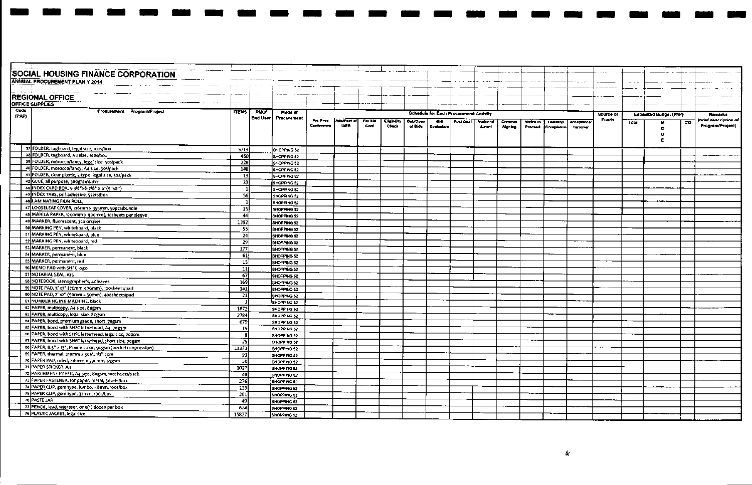|       | SOCIAL HOUSING FINANCE CORPORATION                              |              |             |              |                        |                            |                 |                             |                     |                          |                                               |           |          |           |                   |                   |           |       |                        |             |                                         |
|-------|-----------------------------------------------------------------|--------------|-------------|--------------|------------------------|----------------------------|-----------------|-----------------------------|---------------------|--------------------------|-----------------------------------------------|-----------|----------|-----------|-------------------|-------------------|-----------|-------|------------------------|-------------|-----------------------------------------|
|       | <b>ANNUAL PROCUREMENT PLAN Y 2014</b>                           |              |             |              |                        |                            |                 |                             |                     |                          |                                               |           |          |           |                   |                   |           |       |                        |             |                                         |
|       |                                                                 |              |             |              |                        |                            |                 |                             |                     |                          |                                               |           |          |           |                   |                   |           |       |                        |             |                                         |
|       |                                                                 |              |             |              |                        |                            |                 |                             |                     |                          |                                               |           |          |           |                   |                   |           |       |                        |             |                                         |
|       | <b>REGIONAL OFFICE</b>                                          |              |             |              |                        |                            |                 |                             |                     |                          |                                               |           |          |           |                   |                   |           |       |                        |             |                                         |
|       | <b>OFFICE SUPPLIES</b>                                          |              |             |              |                        |                            |                 |                             |                     |                          |                                               |           |          |           |                   |                   |           |       |                        |             |                                         |
| Code  | Procurement Program/Project                                     | <b>ITEMS</b> | <b>PMOT</b> | Mode of      |                        |                            |                 |                             |                     |                          | <b>Schedule for Each Procurement Activity</b> |           |          |           |                   |                   |           |       |                        |             |                                         |
| (PAP) |                                                                 |              | End-User    | Procurement  |                        |                            |                 |                             |                     |                          |                                               |           |          |           |                   |                   | Source of |       | Estimated Budget (PhP) |             | <b>Remarks</b><br>(brief description of |
|       |                                                                 |              |             |              | Pre-Proc<br>Conference | Ads/Post of<br><b>IAEB</b> | Pre-bid<br>Conf | <b>Eligibility</b><br>Check | Sub/Open<br>of Bids | <b>Bid</b><br>Evaluation | Post Qual                                     | Notice of | Contract | Notice to | <b>Delivery!</b>  | <b>Acceptance</b> | Funds     | Total |                        | $_{\rm co}$ | Program/Project)                        |
|       |                                                                 |              |             |              |                        |                            |                 |                             |                     |                          |                                               | Award     | Signing  | Proceed   | <b>Completion</b> | <b>Turnover</b>   |           |       | $\bullet$              |             |                                         |
|       |                                                                 |              |             |              |                        |                            |                 |                             |                     |                          |                                               |           |          |           |                   |                   |           |       | $\bullet$              |             |                                         |
|       |                                                                 |              |             |              |                        |                            |                 |                             |                     |                          |                                               |           |          |           |                   |                   |           |       |                        |             |                                         |
|       | 37 FOLDER, tagboard, legal size, toos/box                       | 5713         |             | SHOPPING 52  |                        |                            |                 |                             |                     |                          |                                               |           |          |           |                   |                   |           |       |                        |             |                                         |
|       | 38 FOLDER, tagboard, A4 size, 1005/box                          | 460          |             | SHOPPING 52  |                        |                            |                 |                             |                     |                          |                                               |           |          |           |                   |                   |           |       |                        |             |                                         |
|       | 39 FOLDER, morocco/fancy, legal size, 50s/pack                  | 228          |             | SHOPPING 52  |                        |                            |                 |                             |                     |                          |                                               |           |          |           |                   |                   |           |       |                        |             |                                         |
|       | 40 FOLDER, morocco/fancy, A4 size, 50s/pack                     | 148          |             | SHOPPING 52  |                        |                            |                 |                             |                     |                          |                                               |           |          |           |                   |                   |           |       |                        |             |                                         |
|       | 41 FOLDER, clear plastic, L-type, legal size, 50s/pack          | 13           |             | SHOPPING 52  |                        |                            |                 |                             |                     |                          |                                               |           |          |           |                   |                   |           |       |                        |             |                                         |
|       | 42 GLUE, all purpose, 300grams min.                             | 33           |             | SHOPPING 52  |                        |                            |                 |                             |                     |                          |                                               |           |          |           |                   |                   |           |       |                        |             |                                         |
|       | 44 INDEX CARD BOX, 5-3/8"x8-7/8" x 6"(5"x8")                    |              |             | SHOPPING 52  |                        |                            |                 |                             |                     |                          |                                               |           |          |           |                   |                   |           |       |                        |             |                                         |
|       | 45 INDEX TABS, self-adhesive, 5sets/box                         | 56           |             | SHOPPING 52  |                        |                            |                 |                             |                     |                          |                                               |           |          |           |                   |                   |           |       |                        |             |                                         |
|       | 48 LAMINATING FILM ROLL.                                        |              |             | SHOPPING 52  |                        |                            |                 |                             |                     |                          |                                               |           |          |           |                   |                   |           |       |                        |             |                                         |
|       | 47 LOOSELEAF COVER, 216mm x 355mm, 50pcs/bundle                 | 151          |             | Ishopping 52 |                        |                            |                 |                             |                     |                          |                                               |           |          |           |                   |                   |           |       |                        |             |                                         |
|       | 48 MANILA PAPER, 1200mm x 900mm), 10sheets per sleeve           | 44           |             | SHOPPING 52  |                        |                            |                 |                             |                     |                          |                                               |           |          |           |                   |                   |           |       |                        |             |                                         |
|       | 49 MARKER, fluorescent, 3colors/set                             | 1392         |             | SHOPPING 52  |                        |                            |                 |                             |                     |                          |                                               |           |          |           |                   |                   |           |       |                        |             |                                         |
|       | 50 MARKING PEN, whiteboard, black                               | 55           |             | SHOPPING 52  |                        |                            |                 |                             |                     |                          |                                               |           |          |           |                   |                   |           |       |                        |             |                                         |
|       | 51 MARKING PEN, whiteboard, blue                                | 24           |             | SHOPPING 52  |                        |                            |                 |                             |                     |                          |                                               |           |          |           |                   |                   |           |       |                        |             |                                         |
|       | 52 MARKING PEN, whiteboard, red                                 | 29           |             | SHOPPING 52  |                        |                            |                 |                             |                     |                          |                                               |           |          |           |                   |                   |           |       |                        |             |                                         |
|       | 53 MARKER, permanent, black                                     | 177          |             | SHOPPING 52  |                        |                            |                 |                             |                     |                          |                                               |           |          |           |                   |                   |           |       |                        |             |                                         |
|       | salMARKER, permanent, blue                                      | 61           |             | SHOPPING 52  |                        |                            |                 |                             |                     |                          |                                               |           |          |           |                   |                   |           |       |                        |             |                                         |
|       | 55 MARKER, permanent, red                                       | 15]          |             | SHOPPING 52  |                        |                            |                 |                             |                     |                          |                                               |           |          |           |                   |                   |           |       |                        |             |                                         |
|       | 56 MEMO PAD with SHFC logo                                      | 11           |             | SHOPPING 52  |                        |                            |                 |                             |                     |                          |                                               |           |          |           |                   |                   |           |       |                        |             |                                         |
|       | 57 NOTARIAL SEAL, #15                                           | 67           |             | SHOPPING 52  |                        |                            |                 |                             |                     |                          |                                               |           |          |           |                   |                   |           |       |                        |             |                                         |
|       | 58 NOTEBOOK, stenographer's, 40leaves                           | 169          |             | SHOPPING 52  |                        |                            |                 |                             |                     |                          |                                               |           |          |           |                   |                   |           |       |                        |             |                                         |
|       | se NOTE PAD, 3"x3" (76mm x 76mm), 100sheets/pad                 | 341          |             | SHOPPING 52  |                        |                            |                 |                             |                     |                          |                                               |           |          |           |                   |                   |           |       |                        |             |                                         |
|       | 60 NOTE PAD, 2"x2" (50mm x 50mm), 400sheets/pad                 | 21           |             | SHOPPING 52  |                        |                            |                 |                             |                     |                          |                                               |           |          |           |                   |                   |           |       |                        |             |                                         |
|       | <b>61 NUMBERING INK MACHINE, black</b>                          |              |             | SHOPPING 52  |                        |                            |                 |                             |                     |                          |                                               |           |          |           |                   |                   |           |       |                        |             |                                         |
|       | 62 PAPER, multicopy, A4 size, 80gsm                             | 1872         |             | SHOPPING 52  |                        |                            |                 |                             |                     |                          |                                               |           |          |           |                   |                   |           |       |                        |             |                                         |
|       | 63 PAPER, multicopy, legal size, 80gsm                          | 2784         |             | SHOPPING 52  |                        |                            |                 |                             |                     |                          |                                               |           |          |           |                   |                   |           |       |                        |             |                                         |
|       | 64 PAPER, bond, premium grade, short, 70gsm                     | 679          |             | SHOPPING 52  |                        |                            |                 |                             |                     |                          |                                               |           |          |           |                   |                   |           |       |                        |             |                                         |
|       | 65 PAPER, bond with SHFC letterhead, A4, 70gsm                  | 19           |             | SHOPPING 52  |                        |                            |                 |                             |                     |                          |                                               |           |          |           |                   |                   |           |       |                        |             |                                         |
|       | 66 PAPER, bond with SHFC letterhead, legal size, 70gsm          |              |             | SHOPPING 52  |                        |                            |                 |                             |                     |                          |                                               |           |          |           |                   |                   |           |       |                        |             |                                         |
|       | 67 PAPER, bond with SHFC letterhead, short size, 70gsm          | 25           |             | SHOPPING 52  |                        |                            |                 |                             |                     |                          |                                               |           |          |           |                   |                   |           |       |                        |             |                                         |
|       | 68 PAPER, 8.5" x 13", Prairie color, 90gsm (beckett expression) | 11333        |             | SHOPPING 52  |                        |                            |                 |                             |                     |                          |                                               |           |          |           |                   |                   |           |       |                        |             |                                         |
|       | 69 PAPER, thermal, 210mm x 30M, 1/2" core                       | 93           |             | SHOPPING 52  |                        |                            |                 |                             |                     |                          |                                               |           |          |           |                   |                   |           |       |                        |             |                                         |
|       | 70 PAPER PAD, ruled, 216mm x 330mm, 55gsm                       | -20          |             | SHOPPING 52  |                        |                            |                 |                             |                     |                          |                                               |           |          |           |                   |                   |           |       |                        |             |                                         |
|       | 71 PAPER STICKER, A4                                            | 1027         |             | SHOPPING 52  |                        |                            |                 |                             |                     |                          |                                               |           |          |           |                   |                   |           |       |                        |             |                                         |
|       | 72 PARCHMENT PAPER, A4 size, 80gsm, 100sheets/pack              | -40          |             | SHOPPING 52  |                        |                            |                 |                             |                     |                          |                                               |           |          |           |                   |                   |           |       |                        |             |                                         |
|       | 73 PAPER FASTENER, for paper, metal, 50sets/box                 | 276          |             | SHOPPING 52  |                        |                            |                 |                             |                     |                          |                                               |           |          |           |                   |                   |           |       |                        |             |                                         |
|       | 74 PAPER CLIP, gem type, jumbo, 48mm, 1005/box                  | 133          |             | SHOPPING 52  |                        |                            |                 |                             |                     |                          |                                               |           |          |           |                   |                   |           |       |                        |             |                                         |
|       | 75 PAPER CLIP, gem type, 32mm, 100s/box                         | 201          |             | SHOPPING 52  |                        |                            |                 |                             |                     |                          |                                               |           |          |           |                   |                   |           |       |                        |             |                                         |
|       | <b>76 PASTE JAR</b>                                             | 49           |             | SHOPPING 52  |                        |                            |                 |                             |                     |                          |                                               |           |          |           |                   |                   |           |       |                        |             |                                         |
|       | 77 PENCIL, lead, w/eraser, one(1) dozen per box                 | 624          |             | SHOPPING 52  |                        |                            |                 |                             |                     |                          |                                               |           |          |           |                   |                   |           |       |                        |             |                                         |
|       | 79 PLASTIC JACKET, legal size                                   | 15827        |             | SHOPPING 52  |                        |                            |                 |                             |                     |                          |                                               |           |          |           |                   |                   |           |       |                        |             |                                         |
|       |                                                                 |              |             |              |                        |                            |                 |                             |                     |                          |                                               |           |          |           |                   |                   |           |       |                        |             |                                         |

**The State** 

an ary

man a  $\sim$  10

 $\blacksquare$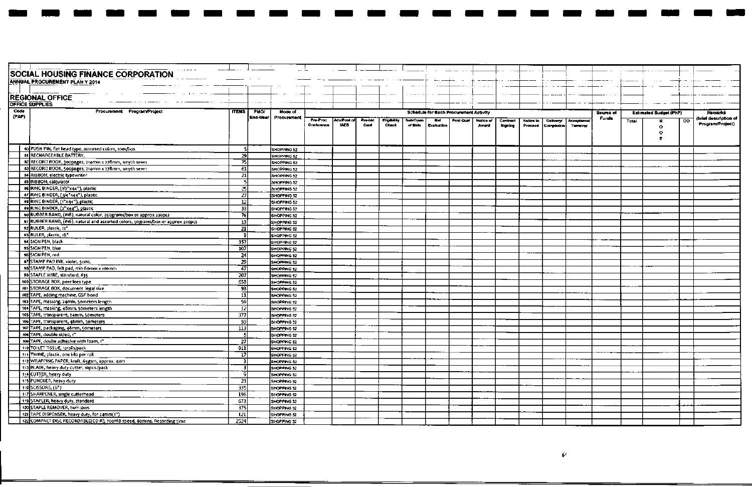|       | $\alpha$ , $\alpha$ , and $\alpha$ , and<br>SOCIAL HOUSING FINANCE CORPORATION   |                  |             |                    |                        |                           |                 |                                   |                      |                         |                                        |                    |                            |                      |                                |                        |              |       |                               |    |                      |
|-------|----------------------------------------------------------------------------------|------------------|-------------|--------------------|------------------------|---------------------------|-----------------|-----------------------------------|----------------------|-------------------------|----------------------------------------|--------------------|----------------------------|----------------------|--------------------------------|------------------------|--------------|-------|-------------------------------|----|----------------------|
|       |                                                                                  |                  |             |                    |                        |                           |                 |                                   |                      |                         |                                        | $--- -$            |                            |                      |                                |                        |              |       |                               |    |                      |
|       | ANNUAL PROCUREMENT PLAN Y 2014                                                   |                  |             |                    |                        |                           |                 |                                   |                      |                         |                                        |                    |                            |                      |                                |                        |              |       |                               |    |                      |
|       |                                                                                  |                  |             |                    |                        |                           |                 |                                   |                      |                         |                                        |                    |                            |                      |                                |                        |              |       |                               |    |                      |
|       | <b>REGIONAL OFFICE</b>                                                           |                  |             |                    |                        |                           |                 |                                   | $100 - 100$          |                         |                                        |                    |                            |                      |                                |                        |              |       |                               |    |                      |
|       | <b>OFFICE SUPPLIES</b>                                                           |                  |             |                    |                        |                           |                 |                                   |                      |                         |                                        |                    |                            |                      |                                |                        |              |       |                               |    |                      |
| Code  | Procurement Program/Project                                                      | <b>ITEMS</b>     | <b>PMO/</b> | Mode of            |                        |                           |                 |                                   |                      |                         | Schedule for Each Procurement Activity |                    |                            |                      |                                |                        | Source of    |       | <b>Estimated Budget (PhP)</b> |    | <b>Remarks</b>       |
| (PAP) |                                                                                  |                  | End-Vser    | Procurement        |                        |                           |                 |                                   |                      |                         |                                        |                    |                            |                      |                                |                        | <b>Funds</b> |       |                               |    | brief description of |
|       |                                                                                  |                  |             |                    | Pre-Proc<br>Conference | MakPost of<br><b>IAEB</b> | Pre-bid<br>Conf | <b>Elipholity</b><br><b>Check</b> | Sub/Open<br>of Bids. | <b>BM</b><br>Evaluation | Post Qual                              | Nolice of<br>Award | <b>Contract</b><br>Signing | Notice to<br>Proceed | <b>Delivery!</b><br>Completion | Acceptance<br>Turnover |              | Total |                               | co | Program/Project)     |
|       |                                                                                  |                  |             |                    |                        |                           |                 |                                   |                      |                         |                                        |                    |                            |                      |                                |                        |              |       | $\bullet$<br>$\bullet$        |    |                      |
|       |                                                                                  |                  |             |                    |                        |                           |                 |                                   |                      |                         |                                        |                    |                            |                      |                                |                        |              |       | Е                             |    |                      |
|       |                                                                                  |                  |             |                    |                        |                           |                 |                                   |                      |                         |                                        |                    |                            |                      |                                |                        |              |       |                               |    |                      |
|       | 80 PUSH PIN, flat head type, assorted colors, 100s/box                           | -sl              |             | SHOPPING 52        |                        |                           |                 |                                   |                      |                         |                                        |                    |                            |                      |                                |                        |              |       |                               |    |                      |
|       | <b>61 RECHARGEABLE BATTERY,</b>                                                  | 29               |             | SHOPPING 52        |                        |                           |                 |                                   |                      |                         |                                        |                    |                            |                      |                                |                        |              |       |                               |    |                      |
|       | 82 RECORD BOOK, 300pages, 214mm x 278mm, smyth sewn                              | 75               |             | SHOPPING 52        |                        |                           |                 |                                   |                      |                         |                                        |                    |                            |                      |                                |                        |              |       |                               |    |                      |
|       | 83 RECORD BOOK, 500pages, 214mm x 278mm, smyth sewn                              | 61               |             | SHOPPING 52        |                        |                           |                 |                                   |                      |                         |                                        |                    |                            |                      |                                |                        |              |       |                               |    |                      |
|       | <b>B4</b> RIBBON, electric typewriter                                            | 21               |             | SHOPPING 52        |                        |                           |                 |                                   |                      |                         |                                        |                    |                            |                      |                                |                        |              |       |                               |    |                      |
|       | 85 RIBBON, calculator                                                            | -51              |             | SHOPPING 52        |                        |                           |                 |                                   |                      |                         |                                        |                    |                            |                      |                                |                        |              |       |                               |    |                      |
|       | 86 RING BINDER, (1/2"x44"), plastic                                              | 25               |             | SHOPPING 52        |                        |                           |                 |                                   |                      |                         |                                        |                    |                            |                      |                                |                        |              |       |                               |    |                      |
|       | 87 RING BINDER, (3/4"x44"), plastic                                              | 27               |             | SHOPPING 52        |                        |                           |                 |                                   |                      |                         |                                        |                    |                            |                      |                                |                        |              |       |                               |    |                      |
|       | es RING BINDER, (1"x44"), plastic                                                | 12               |             | SHOPPING 52        |                        |                           |                 |                                   |                      |                         |                                        |                    |                            |                      |                                |                        |              |       |                               |    |                      |
|       | 89 RING BINDER, (2"x44"), plastic                                                | 33               |             | SHOPPING 52        |                        |                           |                 |                                   |                      |                         |                                        |                    |                            |                      |                                |                        |              |       |                               |    |                      |
|       | 90 RUBBER BAND, (#18), natural color, 350grams/box or approx 220pcs              | 76               |             | SHOPPING 52        |                        |                           |                 |                                   |                      |                         |                                        |                    |                            |                      |                                |                        |              |       |                               |    |                      |
|       | 91 RUBBER BAND, (#16), natural and assorted colors, 50grams/box or approx 220pcs | 13               |             | SHOPPING 52        |                        |                           |                 |                                   |                      |                         |                                        |                    |                            |                      |                                |                        |              |       |                               |    |                      |
|       | 92 RULER, plastic, 12"                                                           | 21               |             | SHOPPING 52        |                        |                           |                 |                                   |                      |                         |                                        |                    |                            |                      |                                |                        |              |       |                               |    |                      |
|       | 93 RULER, plastic, 18*                                                           | R                |             | SHOPPING 52        |                        |                           |                 |                                   |                      |                         |                                        |                    |                            |                      |                                |                        |              |       |                               |    |                      |
|       | 94 SIGN PEN, black                                                               | 357              |             | SHOPPING 52        |                        |                           |                 |                                   |                      |                         |                                        |                    |                            |                      |                                |                        |              |       |                               |    |                      |
|       | 95 SIGN PEN, blue                                                                | 107              |             | SHOPPING 52        |                        |                           |                 |                                   |                      |                         |                                        |                    |                            |                      |                                |                        |              |       |                               |    |                      |
|       | 98 SIGN PEN, red                                                                 | 24               |             | SHOPPING 52        |                        |                           |                 |                                   |                      |                         |                                        |                    |                            |                      |                                |                        |              |       |                               |    |                      |
|       | 97 STAMP PAD INK, violet, somL                                                   | 29               |             | SHOPPING 52        |                        |                           |                 |                                   |                      |                         |                                        |                    |                            |                      |                                |                        |              |       |                               |    |                      |
|       | 98 STAMP PAD, felt pad, min 60mm x 100mm                                         | 47               |             | SHOPPING 52        |                        |                           |                 |                                   |                      |                         |                                        |                    |                            |                      |                                |                        |              |       |                               |    |                      |
|       | 99 STAPLE WIRE, standard, #35                                                    | 207              |             | SHOPPING 52        |                        |                           |                 |                                   |                      |                         |                                        |                    |                            |                      |                                |                        |              |       |                               |    |                      |
|       | 100 STORAGE BOX, peer lees type                                                  | 653              |             | SHOPPING 52        |                        |                           |                 |                                   |                      |                         |                                        |                    |                            |                      |                                |                        |              |       |                               |    |                      |
|       | 101-STORAGE 80X, document legal size                                             | 931              |             | SHOPPING 52        |                        |                           |                 |                                   |                      |                         |                                        |                    |                            |                      |                                |                        |              |       |                               |    |                      |
|       | 102 TAPE, adding machine, GSP bond                                               | ัม               |             | <b>SHOPPING 52</b> |                        |                           |                 |                                   |                      |                         |                                        |                    |                            |                      |                                |                        |              |       |                               |    |                      |
|       | 103 TAPE, masking, 24mm, 50meters length                                         | 59               |             |                    |                        |                           |                 |                                   |                      |                         |                                        |                    |                            |                      |                                |                        |              |       |                               |    |                      |
|       | 104 TAPE, masking, 48mm, 50meters length                                         | 12               |             | SHOPPING 52        |                        |                           |                 |                                   |                      |                         |                                        |                    |                            |                      |                                |                        |              |       |                               |    |                      |
|       | 105 TAPE, transparent, 24mm, 50meters                                            |                  |             | SHOPPING 52        |                        |                           |                 |                                   |                      |                         |                                        |                    |                            |                      |                                |                        |              |       |                               |    |                      |
|       | 106 TAPE, transparent, 48mm, 50meters                                            | 377              |             | SHOPPING 52        |                        |                           |                 |                                   |                      |                         |                                        |                    |                            |                      |                                |                        |              |       |                               |    |                      |
|       |                                                                                  | -59              |             | SHOPPING 52        |                        |                           |                 |                                   |                      |                         |                                        |                    |                            |                      |                                |                        |              |       |                               |    |                      |
|       | 107 TAPE, packaging, 48mm, 50meters<br>106 TAPE, double sided, 1"                | 113<br>к,        |             | SHOPPING 52        |                        |                           |                 |                                   |                      |                         |                                        |                    |                            |                      |                                |                        |              |       |                               |    |                      |
|       |                                                                                  |                  |             | SHOPPING 52        |                        |                           |                 |                                   |                      |                         |                                        |                    |                            |                      |                                |                        |              |       |                               |    |                      |
|       | 109 TAPE, doube adhesive with foam, 1"                                           | 27               |             | SHOPPING 52        |                        |                           |                 |                                   |                      |                         |                                        |                    |                            |                      |                                |                        |              |       |                               |    |                      |
|       | 110 TOILET TISSUE, 12rolls/pack                                                  | 913              |             | SHOPPING 52        |                        |                           |                 |                                   |                      |                         |                                        |                    |                            |                      |                                |                        |              |       |                               |    |                      |
|       | 111 TWINE, plastic, one kilo per roll                                            | 17               |             | SHOPPING 52        |                        |                           |                 |                                   |                      |                         |                                        |                    |                            |                      |                                |                        |              |       |                               |    |                      |
|       | 112 WRAPPING PAPER, kraft, 65gsm, approx. 40m                                    | ঽ                |             | SHOPPING 52        |                        |                           |                 |                                   |                      |                         |                                        |                    |                            |                      |                                |                        |              |       |                               |    |                      |
|       | 113 BLADE, heavy duty cutter, 10pcs./pack                                        | -31              |             | SHOPPING 52        |                        |                           |                 |                                   |                      |                         |                                        |                    |                            |                      |                                |                        |              |       |                               |    |                      |
|       | 114 CUTTER, heavy duty                                                           | 9                |             | SHOPPING 52        |                        |                           |                 |                                   |                      |                         |                                        |                    |                            |                      |                                |                        |              |       |                               |    |                      |
|       | 115 PUNCHER, heavy duty                                                          | 231              |             | SHOPPING 52        |                        |                           |                 |                                   |                      |                         |                                        |                    |                            |                      |                                |                        |              |       |                               |    |                      |
|       | 116 SCISSORS, (6")                                                               | 335              |             | SHOPPING 52        |                        |                           |                 |                                   |                      |                         |                                        |                    |                            |                      |                                |                        |              |       |                               |    |                      |
|       | 117 SHARPENER, single cutterhead                                                 | 196              |             | SHOPPING 52        |                        |                           |                 |                                   |                      |                         |                                        |                    |                            |                      |                                |                        |              |       |                               |    |                      |
|       | 119 STAPLER, heavy duty, standard                                                | 673              |             | SHOPPING 52        |                        |                           |                 |                                   |                      |                         |                                        |                    |                            |                      |                                |                        |              |       |                               |    |                      |
|       | 120 STAPLE REMOVER, twin jaws                                                    | $\overline{375}$ |             | SHOPPING 52        |                        |                           |                 |                                   |                      |                         |                                        |                    |                            |                      |                                |                        |              |       |                               |    |                      |
|       | 121 TAPE DISPENSER, heavy duty, for 24mm(1")                                     | $\overline{121}$ |             | SHOPPING 52        |                        |                           |                 |                                   |                      |                         |                                        |                    |                            |                      |                                |                        |              |       |                               |    |                      |
|       | 122 COMPACT DISC RECORDABLE(CD-R), 700MB speed, 80mins. Recording time           | 2524             |             | SHOPPING 52        |                        |                           |                 |                                   |                      |                         |                                        |                    |                            |                      |                                |                        |              |       |                               |    |                      |

 $\overline{\mathbf{1}}$ 

ika k

- 1

ma d

 $\blacksquare$ 

**Second**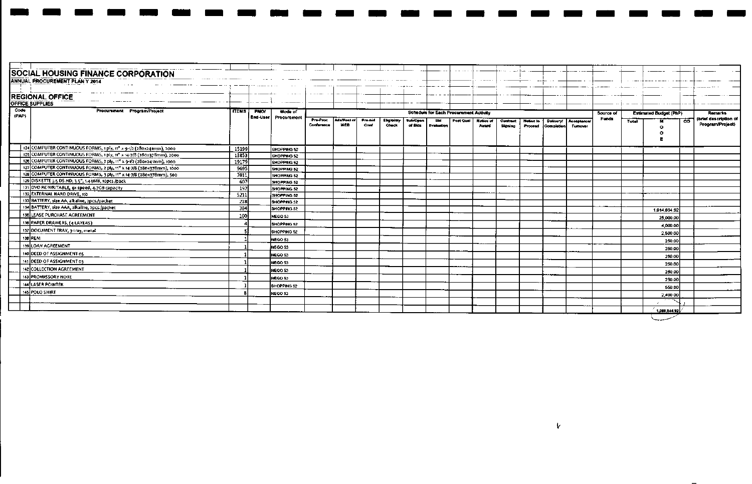|               | <b>SOCIAL HOUSING FINANCE CORPORATION</b><br>ANNUAL PROCUREMENT PLAN Y 2014   |                  |                        |                        |                            |                 |                             |                     |                                        |            | $\cdots$           |          |           |                   |             |           | $\cdot$ $ -$ | ------ - -----                |     |                                           |
|---------------|-------------------------------------------------------------------------------|------------------|------------------------|------------------------|----------------------------|-----------------|-----------------------------|---------------------|----------------------------------------|------------|--------------------|----------|-----------|-------------------|-------------|-----------|--------------|-------------------------------|-----|-------------------------------------------|
|               | <b>REGIONAL OFFICE</b>                                                        |                  |                        |                        |                            |                 |                             |                     |                                        |            |                    |          |           |                   |             |           |              |                               |     |                                           |
|               | <b>OFFICE SUPPLIES</b>                                                        |                  |                        |                        |                            |                 |                             |                     |                                        |            |                    |          |           |                   |             |           |              |                               |     |                                           |
| Code<br>(PAP) | Procurement Program/Project<br><b>ITEMS</b>                                   | PNOY<br>End-User | Mode of<br>Procurement |                        |                            |                 |                             |                     | Schedule for Each Procurement Activity |            |                    |          |           |                   |             | Source of |              | <b>Estimated Budget (PhP)</b> |     | <b>Remarks</b>                            |
|               |                                                                               |                  |                        | Pre-Proc<br>Conference | Ads/Post of<br><b>IAED</b> | Pro-bid<br>Conf | Eligibility<br><b>Check</b> | Sub/Open<br>of Bids | <b>Evaluation</b>                      | Port Out I | Notice of<br>Award | Contract | Notice to | <b>Dolivery</b>   | Acceptance/ | Funds     | Total        |                               | CO. | (brief description of<br>Program/Project) |
|               |                                                                               |                  |                        |                        |                            |                 |                             |                     |                                        |            |                    | Signing  | Proceed   | <b>Completion</b> | Tumover     |           |              | C.                            |     |                                           |
|               |                                                                               |                  |                        |                        |                            |                 |                             |                     |                                        |            |                    |          |           |                   |             |           |              |                               |     |                                           |
|               | 124 COMPUTER CONTINUOUS FORMS, 1 ply, 11" x 9-1/2 (280x241mm), 2000<br>15199  |                  | SHOPPING 52            |                        |                            |                 |                             |                     |                                        |            |                    |          |           |                   |             |           |              |                               |     |                                           |
|               | 125 COMPUTER CONTINUOUS FORMS, 1 ply, 11" x 14-7/8 (280x378mm), 2000<br>13853 |                  | SHOPPING 52            |                        |                            |                 |                             |                     |                                        |            |                    |          |           |                   |             |           |              |                               |     |                                           |
|               | 126 COMPUTER CONTINUOUS FORMS, 2 ply, 11" x 9-1/2 (280x241mm), 1000<br>19179  |                  | SHOPPING 52            |                        |                            |                 |                             |                     |                                        |            |                    |          |           |                   |             |           |              |                               |     |                                           |
|               | 127 COMPUTER CONTINUOUS FORMS, 2 ply, 11" x 14-7/8 (280x378mm), 1000<br>9695  |                  | SHOPPING 52            |                        |                            |                 |                             |                     |                                        |            |                    |          |           |                   |             |           |              |                               |     |                                           |
|               | 128 COMPUTER CONTINUOUS FORMS, 3 ply, 11" x 14-7/8 (280x378mm), 500<br>7011   |                  | SHOPPING 52            |                        |                            |                 |                             |                     |                                        |            |                    |          |           |                   |             |           |              |                               |     |                                           |
|               | 129 DISKETTE 3.5 DS.HD, 3.5", 1.44MB, 10pcs./pack<br>607                      |                  | SHOPPING 52            |                        |                            |                 |                             |                     |                                        |            |                    |          |           |                   |             |           |              |                               |     |                                           |
|               | 131 DVO RE-WRITABLE, 4x speed, 4.7GB capacity<br>192                          |                  | SHOPPING 52            |                        |                            |                 |                             |                     |                                        |            |                    |          |           |                   |             |           |              |                               |     |                                           |
|               | 132 EXTERNAL HARD DRIVE, 1tb<br>5211                                          |                  | SHOPPING 52            |                        |                            |                 |                             |                     |                                        |            |                    |          |           |                   |             |           |              |                               |     |                                           |
|               | 133 BATTERY, size AA, alkaline, 2pcs./packet<br>$\overline{218}$              |                  | SHOPPING 52            |                        |                            |                 |                             |                     |                                        |            |                    |          |           |                   |             |           |              |                               |     |                                           |
|               | 134 BATTERY, size AAA, alkaline, 2pcs./packet<br>384                          |                  | SHOPPING 52            |                        |                            |                 |                             |                     |                                        |            |                    |          |           |                   |             |           |              | 1,014,694.92                  |     |                                           |
|               | 135 LEASE PURCHASE AGREEMENT<br>100                                           |                  | NEGO 53                |                        |                            |                 |                             |                     |                                        |            |                    |          |           |                   |             |           |              | 25,000.00                     |     |                                           |
|               | 136 PAPER DRAWERS, (4 LAYERS)                                                 |                  | SHOPPING 52            |                        |                            |                 |                             |                     |                                        |            |                    |          |           |                   |             |           |              | 4,000.00                      |     |                                           |
|               | 137 DOCUMENT TRAY, 3-tray, metal                                              |                  | SHOPPING 52            |                        |                            |                 |                             |                     |                                        |            |                    |          |           |                   |             |           |              | 2,500.00                      |     |                                           |
|               | 138 REM                                                                       |                  | NEGO 53                |                        |                            |                 |                             |                     |                                        |            |                    |          |           |                   |             |           |              | 250.00                        |     |                                           |
|               | 139 LOAN ACREEMENT                                                            |                  | NEGO 53                |                        |                            |                 |                             |                     |                                        |            |                    |          |           |                   |             |           |              | 250.00                        |     |                                           |
|               | 140 DEED OF ASSIGNMENT 05                                                     |                  | inego sa               |                        |                            |                 |                             |                     |                                        |            |                    |          |           |                   |             |           |              | 250.00                        |     |                                           |
|               | 141 DEED OF ASSIGNMENT 03                                                     |                  | NEGO 53                |                        |                            |                 |                             |                     |                                        |            |                    |          |           |                   |             |           |              | 250.00                        |     |                                           |
|               | 142 COLLECTION AGREEMENT                                                      |                  | NEGO 53                |                        |                            |                 |                             |                     |                                        |            |                    |          |           |                   |             |           |              | 250.00                        |     |                                           |
|               | 143 PROMISSORY NOTE                                                           |                  | NEGO 53                |                        |                            |                 |                             |                     |                                        |            |                    |          |           |                   |             |           |              | 250.00                        |     |                                           |
|               | 144 LASER POINTER                                                             |                  | <b>SHOPPING 52</b>     |                        |                            |                 |                             |                     |                                        |            |                    |          |           |                   |             |           |              | 550.00                        |     |                                           |
|               | 145 POLO SHIRT                                                                |                  | NEGO 53                |                        |                            |                 |                             |                     |                                        |            |                    |          |           |                   |             |           |              |                               |     |                                           |
|               |                                                                               |                  |                        |                        |                            |                 |                             |                     |                                        |            |                    |          |           |                   |             |           |              | 2,400 00                      |     |                                           |
|               |                                                                               |                  |                        |                        |                            |                 |                             |                     |                                        |            |                    |          |           |                   |             |           |              |                               |     |                                           |
|               |                                                                               |                  |                        |                        |                            |                 |                             |                     |                                        |            |                    |          |           |                   |             |           |              | 1,050,344.92                  |     |                                           |
|               |                                                                               |                  |                        |                        |                            |                 |                             |                     |                                        |            |                    |          |           |                   |             |           |              |                               |     |                                           |

 $\blacksquare$ 

 $\blacksquare$ J.

- -

 $\mathbf{v}$ 

 $\blacksquare$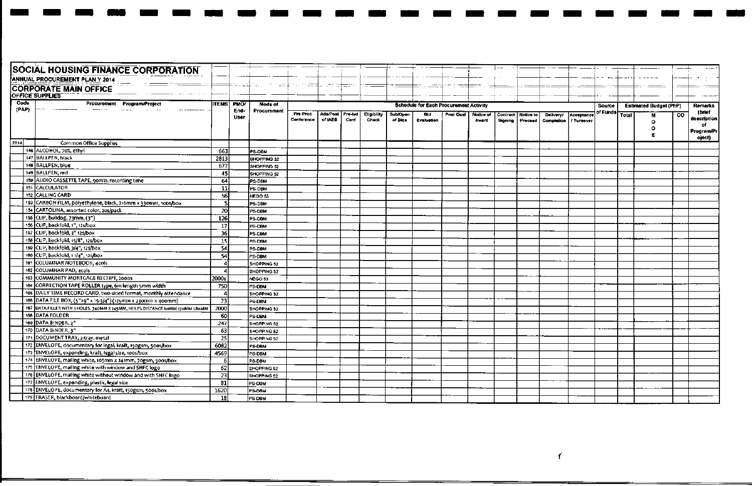|       | <b>SOCIAL HOUSING FINANCE CORPORATION</b>                                    |                 |             |               |                        |                          |                 |                      |                     |                                               |           |                    |                     |                      |                                |                          |                |                               |    |                |
|-------|------------------------------------------------------------------------------|-----------------|-------------|---------------|------------------------|--------------------------|-----------------|----------------------|---------------------|-----------------------------------------------|-----------|--------------------|---------------------|----------------------|--------------------------------|--------------------------|----------------|-------------------------------|----|----------------|
|       | ANNUAL PROCUREMENT PLAN Y 2014                                               |                 |             |               |                        |                          |                 |                      |                     |                                               |           |                    |                     |                      |                                |                          |                |                               |    |                |
|       | <b>CORPORATE MAIN OFFICE</b>                                                 |                 |             |               | n s <del>ta</del>      | ator da <del>taa</del> n |                 |                      |                     |                                               |           |                    |                     |                      |                                |                          |                |                               |    |                |
|       | OFFICE SUPPLIES                                                              |                 |             |               |                        |                          |                 |                      |                     |                                               |           |                    |                     |                      |                                |                          |                |                               |    |                |
| Code  | Procurement<br><b>Program/Project</b>                                        | <b>ITEMS</b>    | <b>PMOT</b> | Mode of       |                        |                          |                 |                      |                     | <b>Schedule for Each Procurement Activity</b> |           |                    |                     |                      |                                |                          | Source         | <b>Estimated Budget (PhP)</b> |    | <b>Remarks</b> |
| (PAP) | .                                                                            |                 | End-        | Procurement   |                        |                          |                 |                      |                     |                                               |           |                    |                     |                      |                                |                          | of Funds Total |                               |    | (brief         |
|       |                                                                              |                 | User        |               | Pre-Proc<br>Conference | Ads/Post<br>of IAEB      | Pre-bid<br>Conf | Eligibility<br>Check | Sub/Open<br>of Bids | Bid<br>Evaluation                             | Post Qual | Notice of<br>Award | Contract<br>Signing | Notice to<br>Proceed | <b>Delivery!</b><br>Completion | Acceptance<br>/ Turnover |                | м                             | CO | description    |
|       |                                                                              |                 |             |               |                        |                          |                 |                      |                     |                                               |           |                    |                     |                      |                                |                          |                | $\circ$<br>۰                  |    | οf             |
|       |                                                                              |                 |             |               |                        |                          |                 |                      |                     |                                               |           |                    |                     |                      |                                |                          |                |                               |    | Program/Pr     |
| 2014  | <b>Common Office Supplies</b>                                                |                 |             |               |                        |                          |                 |                      |                     |                                               |           |                    |                     |                      |                                |                          |                |                               |    | oject)         |
|       | 146 ALCOHOL, 70%, ethyl                                                      | 663             |             | <b>PS-DBM</b> |                        |                          |                 |                      |                     |                                               |           |                    |                     |                      |                                |                          |                |                               |    |                |
|       | 147 BALLPEN, black                                                           | 2813            |             | SHOPPING 52   |                        |                          |                 |                      |                     |                                               |           |                    |                     |                      |                                |                          |                |                               |    |                |
|       | 148 BALLPEN, blue                                                            | 677             |             | SHOPPING 52   |                        |                          |                 |                      |                     |                                               |           |                    |                     |                      |                                |                          |                |                               |    |                |
|       | 149 BALLPEN, red                                                             | 45              |             | SHOPPING 52   |                        |                          |                 |                      |                     |                                               |           |                    |                     |                      |                                |                          |                |                               |    |                |
|       | 150 AUDIO CASSETTE TAPE, 90min. recording time                               | 64              |             | PS-DBM        |                        |                          |                 |                      |                     |                                               |           |                    |                     |                      |                                |                          |                |                               |    |                |
|       | <b>151 CALCULATOR</b>                                                        | -11)            |             | PS-DBM        |                        |                          |                 |                      |                     |                                               |           |                    |                     |                      |                                |                          |                |                               |    |                |
|       | <b>152 CALLING CARD</b>                                                      | 56              |             | NEGO 53       |                        |                          |                 |                      |                     |                                               |           |                    |                     |                      |                                |                          |                |                               |    |                |
|       | 153 CARBON FILM, polyethylene, black, 216mm x 330mm, 100s/box                | -SI             |             | PS-DBM        |                        |                          |                 |                      |                     |                                               |           |                    |                     |                      |                                |                          |                |                               |    |                |
|       | 154 CARTOLINA, assorted color, 20s/pack                                      | 20              |             | PS-DBM        |                        |                          |                 |                      |                     |                                               |           |                    |                     |                      |                                |                          |                |                               |    |                |
|       | 155 CLIP, buildog, 73mm, (3")                                                | 126             |             | PS-DBM        |                        |                          |                 |                      |                     |                                               |           |                    |                     |                      |                                |                          |                |                               |    |                |
|       | 156 CLIP, backfold, 1", 12s/box                                              | 17 <sup>1</sup> |             | PS-DBM        |                        |                          |                 |                      |                     |                                               |           |                    |                     |                      |                                |                          |                |                               |    |                |
|       | 157 CLIP, backfold, 2" 125/box                                               | 36              |             | PS-DBM        |                        |                          |                 |                      |                     |                                               |           |                    |                     |                      |                                |                          |                |                               |    |                |
|       | 158 CLIP, backfold, 15/8", 125/box                                           | <b>15</b>       |             | PS-DBM        |                        |                          |                 |                      |                     |                                               |           |                    |                     |                      |                                |                          |                |                               |    |                |
|       | 159 CLIP, backfold, 3/4", 125/box                                            | 54              |             | PS-DBM        |                        |                          |                 |                      |                     |                                               |           |                    |                     |                      |                                |                          |                |                               |    |                |
|       | 160 CLIP, backfold, 1 1/4", 125/box                                          | 54              |             | PS-DBM        |                        |                          |                 |                      |                     |                                               |           |                    |                     |                      |                                |                          |                |                               |    |                |
|       | 161 COLUMNAR NOTEBOOK, 4cols                                                 |                 |             | SHOPPING 52   |                        |                          |                 |                      |                     |                                               |           |                    |                     |                      |                                |                          |                |                               |    |                |
|       | 162 COLUMNAR PAD, 4cols                                                      |                 |             | SHOPPING 52   |                        |                          |                 |                      |                     |                                               |           |                    |                     |                      |                                |                          |                |                               |    |                |
|       | 163 COMMUNITY MORTGAGE RECEIPT, 2000S                                        | 2000s           |             | NEGO 53       |                        |                          |                 |                      |                     |                                               |           |                    |                     |                      |                                |                          |                |                               |    |                |
|       | 164 CORRECTION TAPE ROLLER type, 6m length 5mm width                         | 750             |             | PS-DBM        |                        |                          |                 |                      |                     |                                               |           |                    |                     |                      |                                |                          |                |                               |    |                |
|       | 165 DAILY TIME RECORD CARD, two-sided format, monthly attendance             | 4               |             | SHOPPING 52   |                        |                          |                 |                      |                     |                                               |           |                    |                     |                      |                                |                          |                |                               |    |                |
|       | 166 DATA FILE BOX, (5"x9" x 15-3/4") (125mm x 230mm x 400mm)                 | -73             |             | PS-DBM        |                        |                          |                 |                      |                     |                                               |           |                    |                     |                      |                                |                          |                |                               |    |                |
|       | 167 DATA FILLER WITH 3 HOLES, 340MM X 245MM, HOLES DISTANCE 60MM 170MM 280MM | 2000            |             | SHOPPING 52   |                        |                          |                 |                      |                     |                                               |           |                    |                     |                      |                                |                          |                |                               |    |                |
|       | 168 DATA FOLDER                                                              | 60              |             | PS-DBM        |                        |                          |                 |                      |                     |                                               |           |                    |                     |                      |                                |                          |                |                               |    |                |
|       | 169 DATA 8INDER, 2"                                                          | 247             |             | SHOPPING 52   |                        |                          |                 |                      |                     |                                               |           |                    |                     |                      |                                |                          |                |                               |    |                |
|       | 170 DATA BINDER, 3"                                                          | 63              |             | SHOPPING 52   |                        |                          |                 |                      |                     |                                               |           |                    |                     |                      |                                |                          |                |                               |    |                |
|       | 171 DOCUMENT TRAY, 2-tray, metal                                             | 25              |             | SHOPPING 52   |                        |                          |                 |                      |                     |                                               |           |                    |                     |                      |                                |                          |                |                               |    |                |
|       | 172 ENVELOPE, documentary for legal, kraft, 150gsm, 5005/box                 | 6082            |             | PS-DBM        |                        |                          |                 |                      |                     |                                               |           |                    |                     |                      |                                |                          |                |                               |    |                |
|       | 173 ENVELOPE, expanding, kraft, legal size, 1005/box                         | 4569            |             | PS-DBM        |                        |                          |                 |                      |                     |                                               |           |                    |                     |                      |                                |                          |                |                               |    |                |
|       | 174 ENVELOPE, mailing white, 105mm x 241mm, 70gsm, 500s/box                  | 6               |             | PS-DBM        |                        |                          |                 |                      |                     |                                               |           |                    |                     |                      |                                |                          |                |                               |    |                |
|       | 175 ENVELOPE, mailing white with window and SHFC logo                        | 62              |             | SHOPPING 52   |                        |                          |                 |                      |                     |                                               |           |                    |                     |                      |                                |                          |                |                               |    |                |
|       | 176 ENVELOPE, mailing white without window and with SHFC logo                | 23              |             | SHOPPING 52   |                        |                          |                 |                      |                     |                                               |           |                    |                     |                      |                                |                          |                |                               |    |                |
|       | 177 ENVELOPE, expanding, plastic, legal size                                 | 81              |             | PS-DBM        |                        |                          |                 |                      |                     |                                               |           |                    |                     |                      |                                |                          |                |                               |    |                |
|       | 178 ENVELOPE, documentary for A4, kraft, 150gsm, 500s/box                    | 1620            |             | PS-DBM        |                        |                          |                 |                      |                     |                                               |           |                    |                     |                      |                                |                          |                |                               |    |                |
|       | 179 ERASER, blackboard/whiteboard                                            | 18              |             | PS-OBM        |                        |                          |                 |                      |                     |                                               |           |                    |                     |                      |                                |                          |                |                               |    |                |

يست

- 1

an a - 1

 $\cdots$ 

 $\mathbf{r}$ 

 $\blacksquare$ 

 $\blacksquare$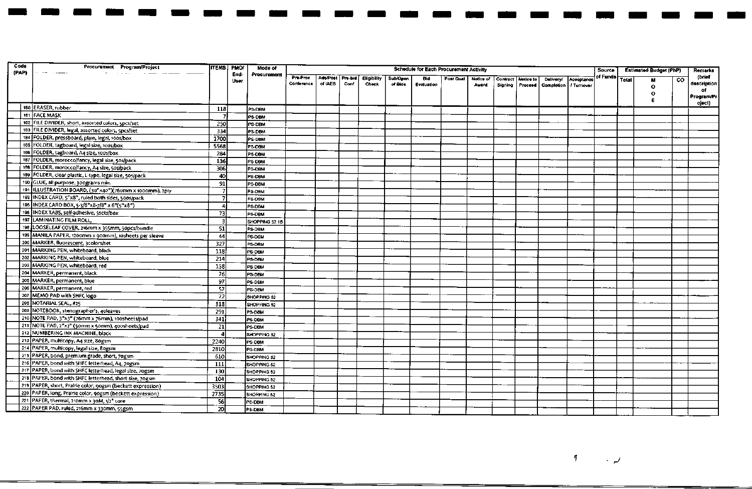| of Funds <br>(brief<br>Pre-Proc<br>Ads/Post Pre-bid<br>Eligibility<br><b>Sub/Open</b><br><b>Bid</b><br>Post Qual<br>Notice of<br>Contract<br>Notice to<br>Acceptance<br><b>Total</b><br><b>Delivery/</b><br>$\overline{c}$<br>User<br>description<br>Conference<br>of IAEB<br>Conf<br>Check<br>of Bids<br>Evaluation<br>Award<br>Signing   Proceed<br>  Completion  <br>/ Tumover<br>$\Omega$<br>of<br>о<br>oject)<br>180 ERASER, rubber<br>118<br>PS-DBM<br>181 FACE MASK<br>$\overline{I}$<br>PS-DBM<br>182 FILE DIVIDER, short, assorted colors, 5pcs/set<br>250<br>PS-DBM<br>183 FILE DIVIDER, legal, assorted colors, spcs/set<br>334<br>PS-DBM<br>184 FOLDER, pressboard, plain, legal, 100s/box<br>1700<br>PS DBM<br>185 FOLDER, tagboard, legal size, 100s/box<br>5568<br>PS-DBM<br>166 FOLDER, tagboard, A4 size, 100s/box<br>284<br>PS-DBM<br>187 FOLDER, morocco/fancy, legal size, 50s/pack<br>136<br>PS-DBM<br>188 FOLDER, morocco/fancy, A4 size, 50s/pack<br>306<br>PS-DBM<br>189 FOLDER, clear plastic, L-type, legal size, 50s/pack<br>40<br>PS-DBM<br>190 GLUE, all purpose, 300grams min.<br>91<br>PS-DBM<br>191 ILLUSTRATION BOARD, (30"x40")(760mm x 1000mm), 2ply<br>PS DBM<br>193 INDEX CARD, 5"x8", ruled both sides, 500s/pack<br>PS DBM<br>195   INDEX CARD BOX, 5-3/8"x8-7/8" x 6"(5"x8")<br>4<br>PS-DBM<br>196   INDEX TABS, self-adhesive, Ssets/box<br>73<br>PS-DBM<br>197 LAMINATING FILM ROLL.<br>-31<br>SHOPPING 52.1B<br>198 LOOSELEAF COVER, 216mm x 355mm, 50pcs/bundle<br>51<br>PS-DBM<br>199 MANILA PAPER, 1200mm x 900mm), 10sheets per sleeve<br>44<br>PS-DBM<br>200 MARKER, fluorescent, 3colors/set<br>$\overline{327}$<br>PS-DBM<br>201 MARKING PEN, whiteboard, black<br>118<br>PS-DBM<br>202 MARKING PEN, whiteboard, blue<br>214<br>PS-DBM<br>203 MARKING PEN, whiteboard, red<br>158<br>PS-DBM<br>204 MARKER, permanent, black<br>76<br>PS-DBM<br>205 MARKER, permanent, blue<br>-97<br>PS-DBM<br>206 MARKER, permanent, red<br>-571<br>PS-DBM<br>207 MEMO PAD with SHFC logo<br>72<br>SHOPPING 52<br>208 NOTARIAL SEAL, #25<br>318<br>SHOPPING 52<br>209 NOTEBOOK, stenographer's, 40leaves<br>291<br>PS-DBM<br>210 NOTE PAD, 3"x3" (76mm x 76mm), 100sheets/pad<br>341<br>PS-DBM<br>211 NOTE PAD, 2"x2" (50mm x 50mm), 400sheets/pad<br>$\overline{21}$<br>PS-DBM<br>212 NUMBERING INK MACHINE, black<br>$\boldsymbol{\Lambda}$<br>SHOPPING 52<br>213 PAPER, multicopy, A4 size, 80gsm<br>2240<br>PS-DBM<br>214 PAPER, multicopy, legal size, 80gsm<br>2810<br>PS-DBM<br>215 PAPER, bond, premium grade, short, 70gsm<br>610<br>SHOPPING 52<br>216 PAPER, bond with SHFC letterhead, A4, 70gsm<br>111<br>SHOPPING 52<br>217 PAPER, bond with SHFC letterhead, legal size, 70gsm<br>130<br>SHOPPING 52<br>218 PAPER, bond with SHFC letterhead, short size, 70gsm<br>104<br>SHOPPING 52<br>219 PAPER, short, Prairie color, 90gsm (beckett expression)<br>3503<br>SHOPPING 52<br>220 PAPER, long, Prairie color, 90gsm (beckett expression)<br>2735<br>SHOPPING 52 | Code<br>(PAP) | Procurement Program/Project                | пемs I | <b>PMO/</b> | Mode of     |  |  | Schedule for Each Procurement Activity |  |  |  | <b>Source</b> | <b>Estimated Budget (PhP)</b> | Remarks           |
|--------------------------------------------------------------------------------------------------------------------------------------------------------------------------------------------------------------------------------------------------------------------------------------------------------------------------------------------------------------------------------------------------------------------------------------------------------------------------------------------------------------------------------------------------------------------------------------------------------------------------------------------------------------------------------------------------------------------------------------------------------------------------------------------------------------------------------------------------------------------------------------------------------------------------------------------------------------------------------------------------------------------------------------------------------------------------------------------------------------------------------------------------------------------------------------------------------------------------------------------------------------------------------------------------------------------------------------------------------------------------------------------------------------------------------------------------------------------------------------------------------------------------------------------------------------------------------------------------------------------------------------------------------------------------------------------------------------------------------------------------------------------------------------------------------------------------------------------------------------------------------------------------------------------------------------------------------------------------------------------------------------------------------------------------------------------------------------------------------------------------------------------------------------------------------------------------------------------------------------------------------------------------------------------------------------------------------------------------------------------------------------------------------------------------------------------------------------------------------------------------------------------------------------------------------------------------------------------------------------------------------------------------------------------------------------------------------------------------------------------------------------------------------------------------------------------------------------------------------------------------------------------------------------------------------------------------------------------------------------------------------------------|---------------|--------------------------------------------|--------|-------------|-------------|--|--|----------------------------------------|--|--|--|---------------|-------------------------------|-------------------|
|                                                                                                                                                                                                                                                                                                                                                                                                                                                                                                                                                                                                                                                                                                                                                                                                                                                                                                                                                                                                                                                                                                                                                                                                                                                                                                                                                                                                                                                                                                                                                                                                                                                                                                                                                                                                                                                                                                                                                                                                                                                                                                                                                                                                                                                                                                                                                                                                                                                                                                                                                                                                                                                                                                                                                                                                                                                                                                                                                                                                                    |               |                                            |        | End-        | Procurement |  |  |                                        |  |  |  |               |                               |                   |
|                                                                                                                                                                                                                                                                                                                                                                                                                                                                                                                                                                                                                                                                                                                                                                                                                                                                                                                                                                                                                                                                                                                                                                                                                                                                                                                                                                                                                                                                                                                                                                                                                                                                                                                                                                                                                                                                                                                                                                                                                                                                                                                                                                                                                                                                                                                                                                                                                                                                                                                                                                                                                                                                                                                                                                                                                                                                                                                                                                                                                    |               |                                            |        |             |             |  |  |                                        |  |  |  |               |                               |                   |
|                                                                                                                                                                                                                                                                                                                                                                                                                                                                                                                                                                                                                                                                                                                                                                                                                                                                                                                                                                                                                                                                                                                                                                                                                                                                                                                                                                                                                                                                                                                                                                                                                                                                                                                                                                                                                                                                                                                                                                                                                                                                                                                                                                                                                                                                                                                                                                                                                                                                                                                                                                                                                                                                                                                                                                                                                                                                                                                                                                                                                    |               |                                            |        |             |             |  |  |                                        |  |  |  |               |                               | <b>Program/Pr</b> |
|                                                                                                                                                                                                                                                                                                                                                                                                                                                                                                                                                                                                                                                                                                                                                                                                                                                                                                                                                                                                                                                                                                                                                                                                                                                                                                                                                                                                                                                                                                                                                                                                                                                                                                                                                                                                                                                                                                                                                                                                                                                                                                                                                                                                                                                                                                                                                                                                                                                                                                                                                                                                                                                                                                                                                                                                                                                                                                                                                                                                                    |               |                                            |        |             |             |  |  |                                        |  |  |  |               |                               |                   |
|                                                                                                                                                                                                                                                                                                                                                                                                                                                                                                                                                                                                                                                                                                                                                                                                                                                                                                                                                                                                                                                                                                                                                                                                                                                                                                                                                                                                                                                                                                                                                                                                                                                                                                                                                                                                                                                                                                                                                                                                                                                                                                                                                                                                                                                                                                                                                                                                                                                                                                                                                                                                                                                                                                                                                                                                                                                                                                                                                                                                                    |               |                                            |        |             |             |  |  |                                        |  |  |  |               |                               |                   |
|                                                                                                                                                                                                                                                                                                                                                                                                                                                                                                                                                                                                                                                                                                                                                                                                                                                                                                                                                                                                                                                                                                                                                                                                                                                                                                                                                                                                                                                                                                                                                                                                                                                                                                                                                                                                                                                                                                                                                                                                                                                                                                                                                                                                                                                                                                                                                                                                                                                                                                                                                                                                                                                                                                                                                                                                                                                                                                                                                                                                                    |               |                                            |        |             |             |  |  |                                        |  |  |  |               |                               |                   |
|                                                                                                                                                                                                                                                                                                                                                                                                                                                                                                                                                                                                                                                                                                                                                                                                                                                                                                                                                                                                                                                                                                                                                                                                                                                                                                                                                                                                                                                                                                                                                                                                                                                                                                                                                                                                                                                                                                                                                                                                                                                                                                                                                                                                                                                                                                                                                                                                                                                                                                                                                                                                                                                                                                                                                                                                                                                                                                                                                                                                                    |               |                                            |        |             |             |  |  |                                        |  |  |  |               |                               |                   |
|                                                                                                                                                                                                                                                                                                                                                                                                                                                                                                                                                                                                                                                                                                                                                                                                                                                                                                                                                                                                                                                                                                                                                                                                                                                                                                                                                                                                                                                                                                                                                                                                                                                                                                                                                                                                                                                                                                                                                                                                                                                                                                                                                                                                                                                                                                                                                                                                                                                                                                                                                                                                                                                                                                                                                                                                                                                                                                                                                                                                                    |               |                                            |        |             |             |  |  |                                        |  |  |  |               |                               |                   |
|                                                                                                                                                                                                                                                                                                                                                                                                                                                                                                                                                                                                                                                                                                                                                                                                                                                                                                                                                                                                                                                                                                                                                                                                                                                                                                                                                                                                                                                                                                                                                                                                                                                                                                                                                                                                                                                                                                                                                                                                                                                                                                                                                                                                                                                                                                                                                                                                                                                                                                                                                                                                                                                                                                                                                                                                                                                                                                                                                                                                                    |               |                                            |        |             |             |  |  |                                        |  |  |  |               |                               |                   |
|                                                                                                                                                                                                                                                                                                                                                                                                                                                                                                                                                                                                                                                                                                                                                                                                                                                                                                                                                                                                                                                                                                                                                                                                                                                                                                                                                                                                                                                                                                                                                                                                                                                                                                                                                                                                                                                                                                                                                                                                                                                                                                                                                                                                                                                                                                                                                                                                                                                                                                                                                                                                                                                                                                                                                                                                                                                                                                                                                                                                                    |               |                                            |        |             |             |  |  |                                        |  |  |  |               |                               |                   |
|                                                                                                                                                                                                                                                                                                                                                                                                                                                                                                                                                                                                                                                                                                                                                                                                                                                                                                                                                                                                                                                                                                                                                                                                                                                                                                                                                                                                                                                                                                                                                                                                                                                                                                                                                                                                                                                                                                                                                                                                                                                                                                                                                                                                                                                                                                                                                                                                                                                                                                                                                                                                                                                                                                                                                                                                                                                                                                                                                                                                                    |               |                                            |        |             |             |  |  |                                        |  |  |  |               |                               |                   |
|                                                                                                                                                                                                                                                                                                                                                                                                                                                                                                                                                                                                                                                                                                                                                                                                                                                                                                                                                                                                                                                                                                                                                                                                                                                                                                                                                                                                                                                                                                                                                                                                                                                                                                                                                                                                                                                                                                                                                                                                                                                                                                                                                                                                                                                                                                                                                                                                                                                                                                                                                                                                                                                                                                                                                                                                                                                                                                                                                                                                                    |               |                                            |        |             |             |  |  |                                        |  |  |  |               |                               |                   |
|                                                                                                                                                                                                                                                                                                                                                                                                                                                                                                                                                                                                                                                                                                                                                                                                                                                                                                                                                                                                                                                                                                                                                                                                                                                                                                                                                                                                                                                                                                                                                                                                                                                                                                                                                                                                                                                                                                                                                                                                                                                                                                                                                                                                                                                                                                                                                                                                                                                                                                                                                                                                                                                                                                                                                                                                                                                                                                                                                                                                                    |               |                                            |        |             |             |  |  |                                        |  |  |  |               |                               |                   |
|                                                                                                                                                                                                                                                                                                                                                                                                                                                                                                                                                                                                                                                                                                                                                                                                                                                                                                                                                                                                                                                                                                                                                                                                                                                                                                                                                                                                                                                                                                                                                                                                                                                                                                                                                                                                                                                                                                                                                                                                                                                                                                                                                                                                                                                                                                                                                                                                                                                                                                                                                                                                                                                                                                                                                                                                                                                                                                                                                                                                                    |               |                                            |        |             |             |  |  |                                        |  |  |  |               |                               |                   |
|                                                                                                                                                                                                                                                                                                                                                                                                                                                                                                                                                                                                                                                                                                                                                                                                                                                                                                                                                                                                                                                                                                                                                                                                                                                                                                                                                                                                                                                                                                                                                                                                                                                                                                                                                                                                                                                                                                                                                                                                                                                                                                                                                                                                                                                                                                                                                                                                                                                                                                                                                                                                                                                                                                                                                                                                                                                                                                                                                                                                                    |               |                                            |        |             |             |  |  |                                        |  |  |  |               |                               |                   |
|                                                                                                                                                                                                                                                                                                                                                                                                                                                                                                                                                                                                                                                                                                                                                                                                                                                                                                                                                                                                                                                                                                                                                                                                                                                                                                                                                                                                                                                                                                                                                                                                                                                                                                                                                                                                                                                                                                                                                                                                                                                                                                                                                                                                                                                                                                                                                                                                                                                                                                                                                                                                                                                                                                                                                                                                                                                                                                                                                                                                                    |               |                                            |        |             |             |  |  |                                        |  |  |  |               |                               |                   |
|                                                                                                                                                                                                                                                                                                                                                                                                                                                                                                                                                                                                                                                                                                                                                                                                                                                                                                                                                                                                                                                                                                                                                                                                                                                                                                                                                                                                                                                                                                                                                                                                                                                                                                                                                                                                                                                                                                                                                                                                                                                                                                                                                                                                                                                                                                                                                                                                                                                                                                                                                                                                                                                                                                                                                                                                                                                                                                                                                                                                                    |               |                                            |        |             |             |  |  |                                        |  |  |  |               |                               |                   |
|                                                                                                                                                                                                                                                                                                                                                                                                                                                                                                                                                                                                                                                                                                                                                                                                                                                                                                                                                                                                                                                                                                                                                                                                                                                                                                                                                                                                                                                                                                                                                                                                                                                                                                                                                                                                                                                                                                                                                                                                                                                                                                                                                                                                                                                                                                                                                                                                                                                                                                                                                                                                                                                                                                                                                                                                                                                                                                                                                                                                                    |               |                                            |        |             |             |  |  |                                        |  |  |  |               |                               |                   |
|                                                                                                                                                                                                                                                                                                                                                                                                                                                                                                                                                                                                                                                                                                                                                                                                                                                                                                                                                                                                                                                                                                                                                                                                                                                                                                                                                                                                                                                                                                                                                                                                                                                                                                                                                                                                                                                                                                                                                                                                                                                                                                                                                                                                                                                                                                                                                                                                                                                                                                                                                                                                                                                                                                                                                                                                                                                                                                                                                                                                                    |               |                                            |        |             |             |  |  |                                        |  |  |  |               |                               |                   |
|                                                                                                                                                                                                                                                                                                                                                                                                                                                                                                                                                                                                                                                                                                                                                                                                                                                                                                                                                                                                                                                                                                                                                                                                                                                                                                                                                                                                                                                                                                                                                                                                                                                                                                                                                                                                                                                                                                                                                                                                                                                                                                                                                                                                                                                                                                                                                                                                                                                                                                                                                                                                                                                                                                                                                                                                                                                                                                                                                                                                                    |               |                                            |        |             |             |  |  |                                        |  |  |  |               |                               |                   |
|                                                                                                                                                                                                                                                                                                                                                                                                                                                                                                                                                                                                                                                                                                                                                                                                                                                                                                                                                                                                                                                                                                                                                                                                                                                                                                                                                                                                                                                                                                                                                                                                                                                                                                                                                                                                                                                                                                                                                                                                                                                                                                                                                                                                                                                                                                                                                                                                                                                                                                                                                                                                                                                                                                                                                                                                                                                                                                                                                                                                                    |               |                                            |        |             |             |  |  |                                        |  |  |  |               |                               |                   |
|                                                                                                                                                                                                                                                                                                                                                                                                                                                                                                                                                                                                                                                                                                                                                                                                                                                                                                                                                                                                                                                                                                                                                                                                                                                                                                                                                                                                                                                                                                                                                                                                                                                                                                                                                                                                                                                                                                                                                                                                                                                                                                                                                                                                                                                                                                                                                                                                                                                                                                                                                                                                                                                                                                                                                                                                                                                                                                                                                                                                                    |               |                                            |        |             |             |  |  |                                        |  |  |  |               |                               |                   |
|                                                                                                                                                                                                                                                                                                                                                                                                                                                                                                                                                                                                                                                                                                                                                                                                                                                                                                                                                                                                                                                                                                                                                                                                                                                                                                                                                                                                                                                                                                                                                                                                                                                                                                                                                                                                                                                                                                                                                                                                                                                                                                                                                                                                                                                                                                                                                                                                                                                                                                                                                                                                                                                                                                                                                                                                                                                                                                                                                                                                                    |               |                                            |        |             |             |  |  |                                        |  |  |  |               |                               |                   |
|                                                                                                                                                                                                                                                                                                                                                                                                                                                                                                                                                                                                                                                                                                                                                                                                                                                                                                                                                                                                                                                                                                                                                                                                                                                                                                                                                                                                                                                                                                                                                                                                                                                                                                                                                                                                                                                                                                                                                                                                                                                                                                                                                                                                                                                                                                                                                                                                                                                                                                                                                                                                                                                                                                                                                                                                                                                                                                                                                                                                                    |               |                                            |        |             |             |  |  |                                        |  |  |  |               |                               |                   |
|                                                                                                                                                                                                                                                                                                                                                                                                                                                                                                                                                                                                                                                                                                                                                                                                                                                                                                                                                                                                                                                                                                                                                                                                                                                                                                                                                                                                                                                                                                                                                                                                                                                                                                                                                                                                                                                                                                                                                                                                                                                                                                                                                                                                                                                                                                                                                                                                                                                                                                                                                                                                                                                                                                                                                                                                                                                                                                                                                                                                                    |               |                                            |        |             |             |  |  |                                        |  |  |  |               |                               |                   |
|                                                                                                                                                                                                                                                                                                                                                                                                                                                                                                                                                                                                                                                                                                                                                                                                                                                                                                                                                                                                                                                                                                                                                                                                                                                                                                                                                                                                                                                                                                                                                                                                                                                                                                                                                                                                                                                                                                                                                                                                                                                                                                                                                                                                                                                                                                                                                                                                                                                                                                                                                                                                                                                                                                                                                                                                                                                                                                                                                                                                                    |               |                                            |        |             |             |  |  |                                        |  |  |  |               |                               |                   |
|                                                                                                                                                                                                                                                                                                                                                                                                                                                                                                                                                                                                                                                                                                                                                                                                                                                                                                                                                                                                                                                                                                                                                                                                                                                                                                                                                                                                                                                                                                                                                                                                                                                                                                                                                                                                                                                                                                                                                                                                                                                                                                                                                                                                                                                                                                                                                                                                                                                                                                                                                                                                                                                                                                                                                                                                                                                                                                                                                                                                                    |               |                                            |        |             |             |  |  |                                        |  |  |  |               |                               |                   |
|                                                                                                                                                                                                                                                                                                                                                                                                                                                                                                                                                                                                                                                                                                                                                                                                                                                                                                                                                                                                                                                                                                                                                                                                                                                                                                                                                                                                                                                                                                                                                                                                                                                                                                                                                                                                                                                                                                                                                                                                                                                                                                                                                                                                                                                                                                                                                                                                                                                                                                                                                                                                                                                                                                                                                                                                                                                                                                                                                                                                                    |               |                                            |        |             |             |  |  |                                        |  |  |  |               |                               |                   |
|                                                                                                                                                                                                                                                                                                                                                                                                                                                                                                                                                                                                                                                                                                                                                                                                                                                                                                                                                                                                                                                                                                                                                                                                                                                                                                                                                                                                                                                                                                                                                                                                                                                                                                                                                                                                                                                                                                                                                                                                                                                                                                                                                                                                                                                                                                                                                                                                                                                                                                                                                                                                                                                                                                                                                                                                                                                                                                                                                                                                                    |               |                                            |        |             |             |  |  |                                        |  |  |  |               |                               |                   |
|                                                                                                                                                                                                                                                                                                                                                                                                                                                                                                                                                                                                                                                                                                                                                                                                                                                                                                                                                                                                                                                                                                                                                                                                                                                                                                                                                                                                                                                                                                                                                                                                                                                                                                                                                                                                                                                                                                                                                                                                                                                                                                                                                                                                                                                                                                                                                                                                                                                                                                                                                                                                                                                                                                                                                                                                                                                                                                                                                                                                                    |               |                                            |        |             |             |  |  |                                        |  |  |  |               |                               |                   |
|                                                                                                                                                                                                                                                                                                                                                                                                                                                                                                                                                                                                                                                                                                                                                                                                                                                                                                                                                                                                                                                                                                                                                                                                                                                                                                                                                                                                                                                                                                                                                                                                                                                                                                                                                                                                                                                                                                                                                                                                                                                                                                                                                                                                                                                                                                                                                                                                                                                                                                                                                                                                                                                                                                                                                                                                                                                                                                                                                                                                                    |               |                                            |        |             |             |  |  |                                        |  |  |  |               |                               |                   |
|                                                                                                                                                                                                                                                                                                                                                                                                                                                                                                                                                                                                                                                                                                                                                                                                                                                                                                                                                                                                                                                                                                                                                                                                                                                                                                                                                                                                                                                                                                                                                                                                                                                                                                                                                                                                                                                                                                                                                                                                                                                                                                                                                                                                                                                                                                                                                                                                                                                                                                                                                                                                                                                                                                                                                                                                                                                                                                                                                                                                                    |               |                                            |        |             |             |  |  |                                        |  |  |  |               |                               |                   |
|                                                                                                                                                                                                                                                                                                                                                                                                                                                                                                                                                                                                                                                                                                                                                                                                                                                                                                                                                                                                                                                                                                                                                                                                                                                                                                                                                                                                                                                                                                                                                                                                                                                                                                                                                                                                                                                                                                                                                                                                                                                                                                                                                                                                                                                                                                                                                                                                                                                                                                                                                                                                                                                                                                                                                                                                                                                                                                                                                                                                                    |               |                                            |        |             |             |  |  |                                        |  |  |  |               |                               |                   |
|                                                                                                                                                                                                                                                                                                                                                                                                                                                                                                                                                                                                                                                                                                                                                                                                                                                                                                                                                                                                                                                                                                                                                                                                                                                                                                                                                                                                                                                                                                                                                                                                                                                                                                                                                                                                                                                                                                                                                                                                                                                                                                                                                                                                                                                                                                                                                                                                                                                                                                                                                                                                                                                                                                                                                                                                                                                                                                                                                                                                                    |               |                                            |        |             |             |  |  |                                        |  |  |  |               |                               |                   |
|                                                                                                                                                                                                                                                                                                                                                                                                                                                                                                                                                                                                                                                                                                                                                                                                                                                                                                                                                                                                                                                                                                                                                                                                                                                                                                                                                                                                                                                                                                                                                                                                                                                                                                                                                                                                                                                                                                                                                                                                                                                                                                                                                                                                                                                                                                                                                                                                                                                                                                                                                                                                                                                                                                                                                                                                                                                                                                                                                                                                                    |               |                                            |        |             |             |  |  |                                        |  |  |  |               |                               |                   |
|                                                                                                                                                                                                                                                                                                                                                                                                                                                                                                                                                                                                                                                                                                                                                                                                                                                                                                                                                                                                                                                                                                                                                                                                                                                                                                                                                                                                                                                                                                                                                                                                                                                                                                                                                                                                                                                                                                                                                                                                                                                                                                                                                                                                                                                                                                                                                                                                                                                                                                                                                                                                                                                                                                                                                                                                                                                                                                                                                                                                                    |               |                                            |        |             |             |  |  |                                        |  |  |  |               |                               |                   |
|                                                                                                                                                                                                                                                                                                                                                                                                                                                                                                                                                                                                                                                                                                                                                                                                                                                                                                                                                                                                                                                                                                                                                                                                                                                                                                                                                                                                                                                                                                                                                                                                                                                                                                                                                                                                                                                                                                                                                                                                                                                                                                                                                                                                                                                                                                                                                                                                                                                                                                                                                                                                                                                                                                                                                                                                                                                                                                                                                                                                                    |               |                                            |        |             |             |  |  |                                        |  |  |  |               |                               |                   |
|                                                                                                                                                                                                                                                                                                                                                                                                                                                                                                                                                                                                                                                                                                                                                                                                                                                                                                                                                                                                                                                                                                                                                                                                                                                                                                                                                                                                                                                                                                                                                                                                                                                                                                                                                                                                                                                                                                                                                                                                                                                                                                                                                                                                                                                                                                                                                                                                                                                                                                                                                                                                                                                                                                                                                                                                                                                                                                                                                                                                                    |               |                                            |        |             |             |  |  |                                        |  |  |  |               |                               |                   |
|                                                                                                                                                                                                                                                                                                                                                                                                                                                                                                                                                                                                                                                                                                                                                                                                                                                                                                                                                                                                                                                                                                                                                                                                                                                                                                                                                                                                                                                                                                                                                                                                                                                                                                                                                                                                                                                                                                                                                                                                                                                                                                                                                                                                                                                                                                                                                                                                                                                                                                                                                                                                                                                                                                                                                                                                                                                                                                                                                                                                                    |               |                                            |        |             |             |  |  |                                        |  |  |  |               |                               |                   |
|                                                                                                                                                                                                                                                                                                                                                                                                                                                                                                                                                                                                                                                                                                                                                                                                                                                                                                                                                                                                                                                                                                                                                                                                                                                                                                                                                                                                                                                                                                                                                                                                                                                                                                                                                                                                                                                                                                                                                                                                                                                                                                                                                                                                                                                                                                                                                                                                                                                                                                                                                                                                                                                                                                                                                                                                                                                                                                                                                                                                                    |               |                                            |        |             |             |  |  |                                        |  |  |  |               |                               |                   |
|                                                                                                                                                                                                                                                                                                                                                                                                                                                                                                                                                                                                                                                                                                                                                                                                                                                                                                                                                                                                                                                                                                                                                                                                                                                                                                                                                                                                                                                                                                                                                                                                                                                                                                                                                                                                                                                                                                                                                                                                                                                                                                                                                                                                                                                                                                                                                                                                                                                                                                                                                                                                                                                                                                                                                                                                                                                                                                                                                                                                                    |               |                                            |        |             |             |  |  |                                        |  |  |  |               |                               |                   |
|                                                                                                                                                                                                                                                                                                                                                                                                                                                                                                                                                                                                                                                                                                                                                                                                                                                                                                                                                                                                                                                                                                                                                                                                                                                                                                                                                                                                                                                                                                                                                                                                                                                                                                                                                                                                                                                                                                                                                                                                                                                                                                                                                                                                                                                                                                                                                                                                                                                                                                                                                                                                                                                                                                                                                                                                                                                                                                                                                                                                                    |               |                                            |        |             |             |  |  |                                        |  |  |  |               |                               |                   |
|                                                                                                                                                                                                                                                                                                                                                                                                                                                                                                                                                                                                                                                                                                                                                                                                                                                                                                                                                                                                                                                                                                                                                                                                                                                                                                                                                                                                                                                                                                                                                                                                                                                                                                                                                                                                                                                                                                                                                                                                                                                                                                                                                                                                                                                                                                                                                                                                                                                                                                                                                                                                                                                                                                                                                                                                                                                                                                                                                                                                                    |               |                                            |        |             |             |  |  |                                        |  |  |  |               |                               |                   |
|                                                                                                                                                                                                                                                                                                                                                                                                                                                                                                                                                                                                                                                                                                                                                                                                                                                                                                                                                                                                                                                                                                                                                                                                                                                                                                                                                                                                                                                                                                                                                                                                                                                                                                                                                                                                                                                                                                                                                                                                                                                                                                                                                                                                                                                                                                                                                                                                                                                                                                                                                                                                                                                                                                                                                                                                                                                                                                                                                                                                                    |               | 221 PAPER, thermal, 210mm x 30M, 1/2" core | 56     |             | PS-DBM      |  |  |                                        |  |  |  |               |                               |                   |
| 222 PAPER PAD, ruled, 216mm x 330mm, 55gsm<br>20<br>PS-DBM                                                                                                                                                                                                                                                                                                                                                                                                                                                                                                                                                                                                                                                                                                                                                                                                                                                                                                                                                                                                                                                                                                                                                                                                                                                                                                                                                                                                                                                                                                                                                                                                                                                                                                                                                                                                                                                                                                                                                                                                                                                                                                                                                                                                                                                                                                                                                                                                                                                                                                                                                                                                                                                                                                                                                                                                                                                                                                                                                         |               |                                            |        |             |             |  |  |                                        |  |  |  |               |                               |                   |

- - - - - - - - - - - - - - - - - - - - - - -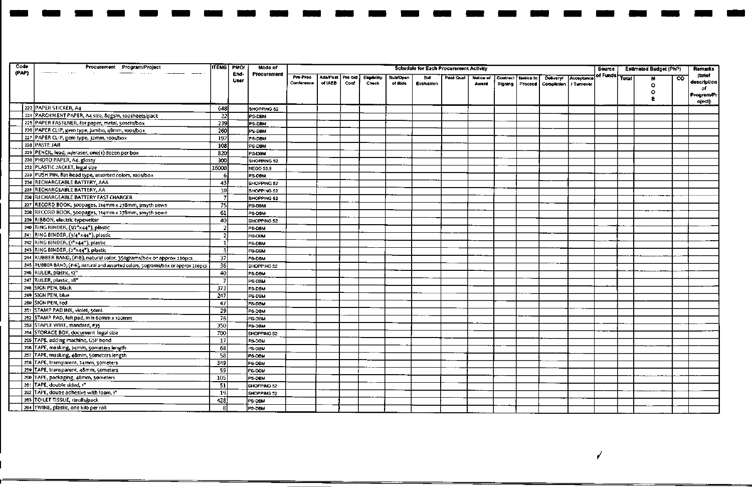| Code  | Procurement Program/Project                                                                 |                         | <b>ITEMS PMOI</b>   | Mode of          |            |                  |      |                    |                 | Schedule for Each Procurement Activity |           |           |          |           |                                 |            | Source   |              | <b>Estimated Budget (PhP)</b> |     | <b>Remarks</b>      |
|-------|---------------------------------------------------------------------------------------------|-------------------------|---------------------|------------------|------------|------------------|------|--------------------|-----------------|----------------------------------------|-----------|-----------|----------|-----------|---------------------------------|------------|----------|--------------|-------------------------------|-----|---------------------|
| (PAP) |                                                                                             |                         | End-<br><b>User</b> | Procurement      | Pre-Proc   | Ads/Post Pre-bid |      | <b>Elipibility</b> | <b>Sub/Open</b> | <b>Bid</b>                             | Post Qual | Notice of | Contract | Notice to | <b>Delivery/</b>                | Acceptance | of Funds | <b>Total</b> |                               | co. | (brief              |
|       |                                                                                             |                         |                     |                  | Conference | of IAEB          | Conf | <b>Check</b>       | of Bids         | Evaluation                             |           | Award     | Signing  |           | Proceed Completion   / Turnover |            |          |              | $\circ$                       |     | description  <br>οf |
|       |                                                                                             |                         |                     |                  |            |                  |      |                    |                 |                                        |           |           |          |           |                                 |            |          |              | ٥                             |     | Program/Pr          |
|       |                                                                                             |                         |                     |                  |            |                  |      |                    |                 |                                        |           |           |          |           |                                 |            |          |              |                               |     | oject)              |
|       | 223 PAPER STICKER, A4<br>224 PARCHMENT PAPER, A4 size, 80gsm, 100sheets/pack                | 648                     |                     | SHOPPING 52      |            |                  |      |                    |                 |                                        |           |           |          |           |                                 |            |          |              |                               |     |                     |
|       |                                                                                             | 22                      |                     | PS-DBM           |            |                  |      |                    |                 |                                        |           |           |          |           |                                 |            |          |              |                               |     |                     |
|       | 225 PAPER FASTENER, for paper, metal, 50sets/box                                            | 239                     |                     | PS-DBM           |            |                  |      |                    |                 |                                        |           |           |          |           |                                 |            |          |              |                               |     |                     |
|       | 226 PAPER CLIP, gem type, jumbo, 48mm, 100s/box<br>227 PAPER CLIP, gem type, 32mm, 100s/box | 260                     |                     | PS-DBM           |            |                  |      |                    |                 |                                        |           |           |          |           |                                 |            |          |              |                               |     |                     |
|       | 228 PASTE JAR                                                                               | 192                     |                     | PS-DBM           |            |                  |      |                    |                 |                                        |           |           |          |           |                                 |            |          |              |                               |     |                     |
|       |                                                                                             | 108                     |                     | PS-DBM           |            |                  |      |                    |                 |                                        |           |           |          |           |                                 |            |          |              |                               |     |                     |
|       | 229 PENCIL, lead, w/eraser, one(1) dozen per box                                            | 820                     |                     | PS-DBM           |            |                  |      |                    |                 |                                        |           |           |          |           |                                 |            |          |              |                               |     |                     |
|       | 230 PHOTO PAPER, A4, glossy                                                                 | $\overline{8}$          |                     | SHOPPING 52      |            |                  |      |                    |                 |                                        |           |           |          |           |                                 |            |          |              |                               |     |                     |
|       | 232 PLASTIC JACKET, legal size                                                              | 16000                   |                     | <b>NEGO 53.9</b> |            |                  |      |                    |                 |                                        |           |           |          |           |                                 |            |          |              |                               |     |                     |
|       | 233 PUSH PIN, flat head type, assorted colors, 100s/box                                     | 6                       |                     | PS-DBM           |            |                  |      |                    |                 |                                        |           |           |          |           |                                 |            |          |              |                               |     |                     |
|       | 234 RECHARGEABLE BATTERY, AAA                                                               | 43                      |                     | SHOPPING 52      |            |                  |      |                    |                 |                                        |           |           |          |           |                                 |            |          |              |                               |     |                     |
|       | 235 RECHARGEABLE BATTERY, AA                                                                | 10                      |                     | SHOPPING 52      |            |                  |      |                    |                 |                                        |           |           |          |           |                                 |            |          |              |                               |     |                     |
|       | 236 RECHARGEABLE BATTERY FAST CHARGER                                                       | $\overline{7}$          |                     | SHOPPING 52      |            |                  |      |                    |                 |                                        |           |           |          |           |                                 |            |          |              |                               |     |                     |
|       | 237 RECORD BOOK, 300pages, 214mm x 278mm, smyth sewn                                        | 75                      |                     | PS-DBM           |            |                  |      |                    |                 |                                        |           |           |          |           |                                 |            |          |              |                               |     |                     |
|       | 238 RECORD BOOK, 500pages, 214mm x 278mm, smyth sewn                                        | 61                      |                     | PS-DBM           |            |                  |      |                    |                 |                                        |           |           |          |           |                                 |            |          |              |                               |     |                     |
|       | 239 RIBBON, electric typewriter                                                             | 40                      |                     | SHOPPING 52      |            |                  |      |                    |                 |                                        |           |           |          |           |                                 |            |          |              |                               |     |                     |
|       | 240 RING BINDER, (1/2"x44"), plastic                                                        | $\overline{2}$          |                     | PS-DBM           |            |                  |      |                    |                 |                                        |           |           |          |           |                                 |            |          |              |                               |     |                     |
|       | 241 RING BINDER, (3/4"x44"), plastic                                                        | $\overline{2}$          |                     | PS-DBM           |            |                  |      |                    |                 |                                        |           |           |          |           |                                 |            |          |              |                               |     |                     |
|       | 242 RING BINDER, (1"x44"), plastic                                                          | -11                     |                     | PS-DBM           |            |                  |      |                    |                 |                                        |           |           |          |           |                                 |            |          |              |                               |     |                     |
|       | 243 RING BINDER, (2"x44"), plastic                                                          | $\overline{\mathbf{3}}$ |                     | PS-DBM           |            |                  |      |                    |                 |                                        |           |           |          |           |                                 |            |          |              |                               |     |                     |
|       | 244 RUBBER BAND, (#18), natural color, 350grams/box or approx 220pcs                        | 37                      |                     | PS-DBM           |            |                  |      |                    |                 |                                        |           |           |          |           |                                 |            |          |              |                               |     |                     |
|       | 245 RUBBER BAND, (#16), natural and assorted colors, 5ograms/box or approx 220pcs           | 36                      |                     | SHOPPING 52      |            |                  |      |                    |                 |                                        |           |           |          |           |                                 |            |          |              |                               |     |                     |
|       | 246 RULER, plastic, 12"                                                                     | 40I                     |                     | PS-DBM           |            |                  |      |                    |                 |                                        |           |           |          |           |                                 |            |          |              |                               |     |                     |
|       | 247 RULER, plastic, 18*                                                                     | $\mathcal{I}$           |                     | PS-DBM           |            |                  |      |                    |                 |                                        |           |           |          |           |                                 |            |          |              |                               |     |                     |
|       | 248 SIGN PEN, black                                                                         | 373                     |                     | PS-DBM           |            |                  |      |                    |                 |                                        |           |           |          |           |                                 |            |          |              |                               |     |                     |
|       | 249 SIGN PEN, blue                                                                          | 247                     |                     | PS-DBM           |            |                  |      |                    |                 |                                        |           |           |          |           |                                 |            |          |              |                               |     |                     |
|       | 250 SIGN PEN, red                                                                           | 47                      |                     | PS-DBM           |            |                  |      |                    |                 |                                        |           |           |          |           |                                 |            |          |              |                               |     |                     |
|       | 251 STAMP PAD INK, violet, 50mL                                                             | 29                      |                     | PS-DBM           |            |                  |      |                    |                 |                                        |           |           |          |           |                                 |            |          |              |                               |     |                     |
|       | 252 STAMP PAD, felt pad, min 6omm x 100mm                                                   | 76                      |                     | PS DBM           |            |                  |      |                    |                 |                                        |           |           |          |           |                                 |            |          |              |                               |     |                     |
|       | 253 STAPLE WIRE, standard, #35                                                              | 350                     |                     | PS DBM           |            |                  |      |                    |                 |                                        |           |           |          |           |                                 |            |          |              |                               |     |                     |
|       | 254 STORAGE BOX, document legal size                                                        | 700                     |                     | SHOPPING 52      |            |                  |      |                    |                 |                                        |           |           |          |           |                                 |            |          |              |                               |     |                     |
|       | 255 TAPE, adding machine, GSP bond                                                          | 17                      |                     | PS-DBM           |            |                  |      |                    |                 |                                        |           |           |          |           |                                 |            |          |              |                               |     |                     |
|       | 258 TAPE, masking, 24mm, 50meters length                                                    | 68                      |                     | PS-OBM           |            |                  |      |                    |                 |                                        |           |           |          |           |                                 |            |          |              |                               |     |                     |
|       | 257 TAPE, masking, 48mm, 50meters length                                                    | 58                      |                     | PS-DBM           |            |                  |      |                    |                 |                                        |           |           |          |           |                                 |            |          |              |                               |     |                     |
|       | 258 TAPE, transparent, 24mm, 50meters                                                       | 349                     |                     | PS-DOM           |            |                  |      |                    |                 |                                        |           |           |          |           |                                 |            |          |              |                               |     |                     |
|       | 259 TAPE, transparent, 48mm, 50meters                                                       | -59                     |                     | PS-DBM           |            |                  |      |                    |                 |                                        |           |           |          |           |                                 |            |          |              |                               |     |                     |
|       | 260 TAPE, packaging, 48mm, 50meters                                                         | 105                     |                     | PS-DBM           |            |                  |      |                    |                 |                                        |           |           |          |           |                                 |            |          |              |                               |     |                     |
|       | 261 TAPE, double sided, 1"                                                                  | $\overline{51}$         |                     | SHOPPING 52      |            |                  |      |                    |                 |                                        |           |           |          |           |                                 |            |          |              |                               |     |                     |
|       | 262 TAPE, doube adhesive with foam, 1"                                                      | -19                     |                     | SHOPPING 52      |            |                  |      |                    |                 |                                        |           |           |          |           |                                 |            |          |              |                               |     |                     |
|       | 263 TOILET TISSUE, 12rolls/pack                                                             | 428                     |                     | PS-DBM           |            |                  |      |                    |                 |                                        |           |           |          |           |                                 |            |          |              |                               |     |                     |
|       | 264 TWINE, plastic, one kilo per roll                                                       | 8                       |                     | PS-DBM           |            |                  |      |                    |                 |                                        |           |           |          |           |                                 |            |          |              |                               |     |                     |

 $\overline{r}$ 

- - - - - - - - - - - - - - - - - - - - - - -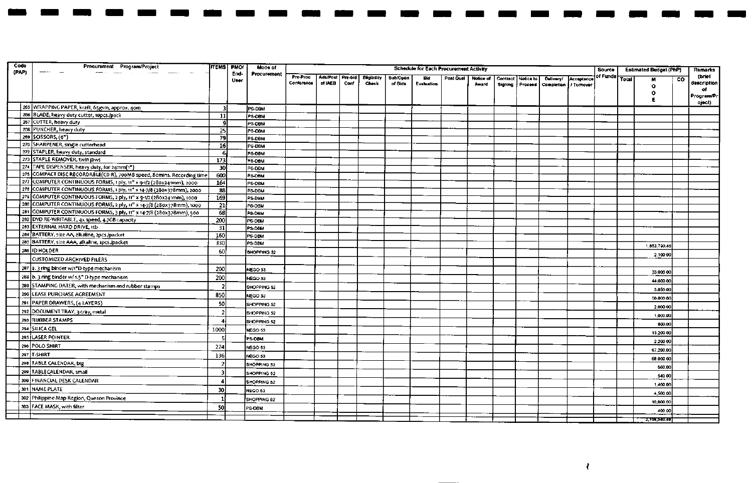| Code  | Procurement Program/Project                                                                                          |                 | <b>ITEMS PMOT</b> | Mode of            |            |                  |      |                    |          | <b>Schedule for Each Procurement Activity</b> |           |           |                 |           |                         |            | Source   |              | <b>Estimated Budget (PhP)</b> |     | <b>Remarks</b>   |
|-------|----------------------------------------------------------------------------------------------------------------------|-----------------|-------------------|--------------------|------------|------------------|------|--------------------|----------|-----------------------------------------------|-----------|-----------|-----------------|-----------|-------------------------|------------|----------|--------------|-------------------------------|-----|------------------|
| (PAP) | —- <u>-</u> - -                                                                                                      |                 | End-              | Procurement        | Pre-Proc   | Ads/Post Pre-bid |      | <b>Eligibility</b> | Sub/Open | Bid                                           | Post Qual | Notice of | <b>Contract</b> | Notice to | Delivery/               | Acceptance | of Funds | <b>Total</b> |                               | CO. | (brief           |
|       |                                                                                                                      |                 | <b>User</b>       |                    | Conference | of IAEB          | Conf | Check              | of Bids  | <b>Evaluation</b>                             |           | Award     | Signing         | Proceed   | Completion   / Turnover |            |          |              | $\bullet$                     |     | description      |
|       |                                                                                                                      |                 |                   |                    |            |                  |      |                    |          |                                               |           |           |                 |           |                         |            |          |              | Ω                             |     | of<br>Program/Pr |
|       |                                                                                                                      |                 |                   |                    |            |                  |      |                    |          |                                               |           |           |                 |           |                         |            |          |              |                               |     | oject)           |
|       | 265 WRAPPING PAPER, kraft, 65gsm, approx. 40m                                                                        | - 31            |                   | <b>PS-DBM</b>      |            |                  |      |                    |          |                                               |           |           |                 |           |                         |            |          |              |                               |     |                  |
|       | 266 BLADE, heavy duty cutter, 10pcs./pack<br>267 CUTTER, heavy duty                                                  | $11$            |                   | PS-DBM             |            |                  |      |                    |          |                                               |           |           |                 |           |                         |            |          |              |                               |     |                  |
|       | 268 PUNCHER, heavy duty                                                                                              | -9              |                   | PS-DBM             |            |                  |      |                    |          |                                               |           |           |                 |           |                         |            |          |              |                               |     |                  |
|       | 269 SCISSORS, (6")                                                                                                   | 25<br>79        |                   | PS-DBM             |            |                  |      |                    |          |                                               |           |           |                 |           |                         |            |          |              |                               |     |                  |
|       | 270 SHARPENER, single cutterhead                                                                                     | 16              |                   | PS-DEM<br>PS-DBM   |            |                  |      |                    |          |                                               |           |           |                 |           |                         |            |          |              |                               |     |                  |
|       | 272 STAPLER, heavy duty, standard                                                                                    | -6              |                   | PS-DBM             |            |                  |      |                    |          |                                               |           |           |                 |           |                         |            |          |              |                               |     |                  |
|       | 273 STAPLE REMOVER, twin jaws                                                                                        | 173             |                   | PS-DBM             |            |                  |      |                    |          |                                               |           |           |                 |           |                         |            |          |              |                               |     |                  |
|       | 274 TAPE DISPENSER, heavy duty, for 24mm(1")                                                                         | 30              |                   | PS-DBM             |            |                  |      |                    |          |                                               |           |           |                 |           |                         |            |          |              |                               |     |                  |
|       | 275 COMPACT DISC RECORDABLE(CD-R), 700MB speed, 80mins. Recording time                                               | 600             |                   | PS-DBM             |            |                  |      |                    |          |                                               |           |           |                 |           |                         |            |          |              |                               |     |                  |
|       | 277 COMPUTER CONTINUOUS FORMS, 1 ply, 11" x 9-1/2 (280x241mm), 2000                                                  | 164             |                   | PS-DBM             |            |                  |      |                    |          |                                               |           |           |                 |           |                         |            |          |              |                               |     |                  |
|       | 278 COMPUTER CONTINUOUS FORMS, 1 ply, 11" x 14-7/8 (280x378mm), 2000                                                 | 88              |                   | PS-DBM             |            |                  |      |                    |          |                                               |           |           |                 |           |                         |            |          |              |                               |     |                  |
|       | 279 COMPUTER CONTINUOUS FORMS, 2 ply, 11" x 9-1/2 (280x241mm), 1000                                                  | 169             |                   | PS-DBM             |            |                  |      |                    |          |                                               |           |           |                 |           |                         |            |          |              |                               |     |                  |
|       | 280 COMPUTER CONTINUOUS FORMS, 2 ply, 11" x 14-7/8 (280x378mm), 1000                                                 | $\overline{21}$ |                   | PS-DBM             |            |                  |      |                    |          |                                               |           |           |                 |           |                         |            |          |              |                               |     |                  |
|       | 281 COMPUTER CONTINUOUS FORMS, 3 ply, 11" x 14-7/8 (280x378mm), 500<br>282 DVD RE-WRITABLE, 4x speed, 4.7GB capacity | 68<br>200       |                   | PS-DBM             |            |                  |      |                    |          |                                               |           |           |                 |           |                         |            |          |              |                               |     |                  |
|       | 283 EXTERNAL HARD DRIVE, 1tb                                                                                         | $\overline{31}$ |                   | les dem<br>PS-DBM  |            |                  |      |                    |          |                                               |           |           |                 |           |                         |            |          |              |                               |     |                  |
|       | 284 BATTERY, size AA, alkaline, 2pcs./packet                                                                         | 160             |                   | PS-DBM             |            |                  |      |                    |          |                                               |           |           |                 |           |                         |            |          |              |                               |     |                  |
|       | 285 BATTERY, size AAA, alkaline, 2pcs./packet                                                                        | 330             |                   | PS-DBM             |            |                  |      |                    |          |                                               |           |           |                 |           |                         |            |          |              |                               |     |                  |
|       | 286 ID HOLDER                                                                                                        | 60              |                   | SHOPPING 52        |            |                  |      |                    |          |                                               |           |           |                 |           |                         |            |          |              | 1,853,790.48                  |     |                  |
|       | <b>CUSTOMIZED ARCHIVED FILERS</b>                                                                                    |                 |                   |                    |            |                  |      |                    |          |                                               |           |           |                 |           |                         |            |          |              | 2,100 00                      |     |                  |
|       | 287 a. 3 ring binder w/t <sup>o</sup> D-type mechanism                                                               | 200             |                   | NEGO 53            |            |                  |      |                    |          |                                               |           |           |                 |           |                         |            |          |              |                               |     |                  |
|       | 288 b. 3 ring binder w/ 1.5" D-type mechanism                                                                        | 200             |                   | NEGO 53            |            |                  |      |                    |          |                                               |           |           |                 |           |                         |            |          |              | 33,000.00                     |     |                  |
|       | 289 STAMPING DATER, with mechanism and rubber stamps                                                                 |                 |                   | SHOPPING 52        |            |                  |      |                    |          |                                               |           |           |                 |           |                         |            |          |              | 44,000.00                     |     |                  |
|       | 290 LEASE PURCHASE AGREEMENT                                                                                         | 850             |                   | NEGO 53            |            |                  |      |                    |          |                                               |           |           |                 |           |                         |            |          |              | 3,850.00                      |     |                  |
|       | 291 PAPER DRAWERS, (4 LAYERS)                                                                                        | 50              |                   | SHOPPING 52        |            |                  |      |                    |          |                                               |           |           |                 |           |                         |            |          |              | 50,000.00                     |     |                  |
|       | 292 DOCUMENT TRAY, 3-tray, metal                                                                                     |                 |                   | <b>SHOPPING 52</b> |            |                  |      |                    |          |                                               |           |           |                 |           |                         |            |          |              | 2,000.00                      |     |                  |
|       | 293 RUBBER STAMPS                                                                                                    |                 |                   | SHOPPING 52        |            |                  |      |                    |          |                                               |           |           |                 |           |                         |            |          |              | 1,000.00                      |     |                  |
|       | 294 SILICA GEL                                                                                                       | 1000            |                   | NEGO 53            |            |                  |      |                    |          |                                               |           |           |                 |           |                         |            |          |              | 800.00                        |     |                  |
|       | 295 LASER POINTER                                                                                                    |                 |                   | PS-DBM             |            |                  |      |                    |          |                                               |           |           |                 |           |                         |            |          |              | 13,200.00                     |     |                  |
|       | 296 POLO SHIRT                                                                                                       | 224             |                   | NEGO 53            |            |                  |      |                    |          |                                               |           |           |                 |           |                         |            |          |              | 2,200.00                      |     |                  |
|       | 297 T-SHIRT                                                                                                          | 136             |                   | NEGO 53            |            |                  |      |                    |          |                                               |           |           |                 |           |                         |            |          |              | 67,200.00                     |     |                  |
|       | 298 TABLE CALENDAR, big                                                                                              | $\mathcal{P}$   |                   | SHOPPING 52        |            |                  |      |                    |          |                                               |           |           |                 |           |                         |            |          |              | 68,000.00                     |     |                  |
|       | 299 TABLECALENDAR, small                                                                                             | $\overline{3}$  |                   | SHOPPING 52        |            |                  |      |                    |          |                                               |           |           |                 |           |                         |            |          |              | 560.00                        |     |                  |
|       | 300 FINANCIAL DESK CALENDAR                                                                                          | 4               |                   | SHOPPING 52        |            |                  |      |                    |          |                                               |           |           |                 |           |                         |            |          |              | 540.00                        |     |                  |
|       | 301 NAME PLATE                                                                                                       | 30              |                   | NEGO 53            |            |                  |      |                    |          |                                               |           |           |                 |           |                         |            |          |              | 1,400.00                      |     |                  |
|       | 302 Philippine Map Region, Quezon Province                                                                           |                 |                   | SHOPPING 52        |            |                  |      |                    |          |                                               |           |           |                 |           |                         |            |          |              | 4,500.00                      |     |                  |
|       | 303 FACE MASK, with filter                                                                                           | 50              |                   |                    |            |                  |      |                    |          |                                               |           |           |                 |           |                         |            |          |              | 10,000.00                     |     |                  |
|       |                                                                                                                      |                 |                   | PS-DBM             |            |                  |      |                    |          |                                               |           |           |                 |           |                         |            |          |              | 400 00                        |     |                  |
|       |                                                                                                                      |                 |                   |                    |            |                  |      |                    |          |                                               |           |           |                 |           |                         |            |          |              | 2.158.540.48                  |     |                  |

 $\blacksquare$ 

 $\blacksquare$ 

 $\blacksquare$ 

 $\overline{1}$ 

 $\blacksquare$ 

 $\blacksquare$  $\overline{\phantom{a}}$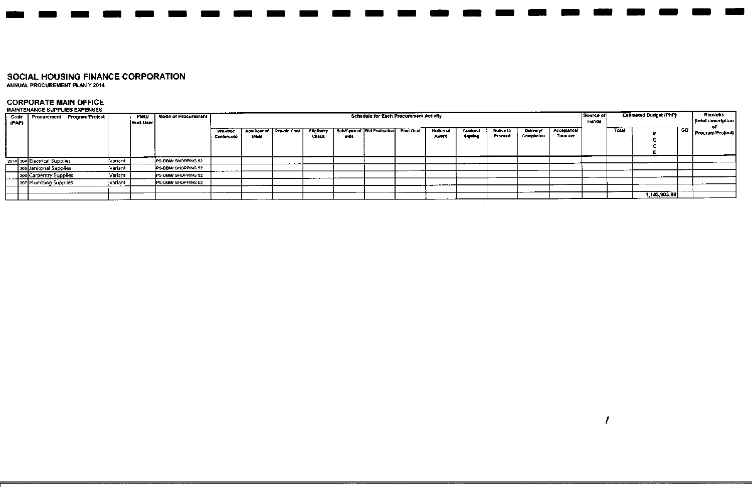ANNUAL PROCUREMENT PLAN Y 2014

# **CORPORATE MAIN OFFICE** MAINTENANCE SUPPLIES EXPENSES

|       | MAINTENANCE SUPPLIES EXPENSES      |           |                  |                      |                        |             |                          |                      |             |                                               |           |                    |                            |                      |                                |                         |                    |       |                               |     |                               |
|-------|------------------------------------|-----------|------------------|----------------------|------------------------|-------------|--------------------------|----------------------|-------------|-----------------------------------------------|-----------|--------------------|----------------------------|----------------------|--------------------------------|-------------------------|--------------------|-------|-------------------------------|-----|-------------------------------|
| (PAP) | Code   Procurement Program/Project |           | PMO/<br>End-User | Mode of Procurement  |                        |             |                          |                      |             | <b>Schedule for Each Procurement Activity</b> |           |                    |                            |                      |                                |                         | Source of<br>Funde |       | <b>Estimated Budget (PhP)</b> |     | Remarks<br>(brief description |
|       |                                    |           |                  |                      | Pre-Proc<br>Conference | <b>IAEB</b> | Ads/Post of Pre-bid Conf | Eligibility<br>Check | <b>Bids</b> | Sub/Open of Bid Evaluation                    | Post Qual | Notice of<br>Award | <b>Contract</b><br>Signing | Notice to<br>Proceed | <b>Delivery!</b><br>Completion | Acceptance/<br>Turnover |                    | Total |                               | CO. | Program/Project               |
|       | 2014 304 Electrical Supplies       | Variant   |                  | IPS DBM SHOPPING 52  |                        |             |                          |                      |             |                                               |           |                    |                            |                      |                                |                         |                    |       |                               |     |                               |
|       | 305 Janitorial Supplies            | Variant   |                  | PS-DBM/SHOPPING 52   |                        |             |                          |                      |             |                                               |           |                    |                            |                      |                                |                         |                    |       |                               |     |                               |
|       | 306 Carpentry Supplies             | Variant   |                  | IPS DBM/ SHOPPING 52 |                        |             |                          |                      |             |                                               |           |                    |                            |                      |                                |                         |                    |       |                               |     |                               |
|       | 307 Plumbing Supplies              | l Variant |                  | PS-DAM/ SHOPPING 52  |                        | ___         |                          |                      |             |                                               |           |                    |                            |                      |                                |                         |                    |       |                               |     |                               |
|       |                                    |           |                  |                      |                        |             |                          |                      |             |                                               |           |                    |                            |                      |                                |                         |                    |       |                               |     |                               |
|       |                                    |           |                  |                      |                        |             |                          |                      |             |                                               |           |                    |                            |                      |                                |                         |                    |       | 1.143,903.98                  |     |                               |

,

- - - - - - - - - - - - - - - - - - - - - - -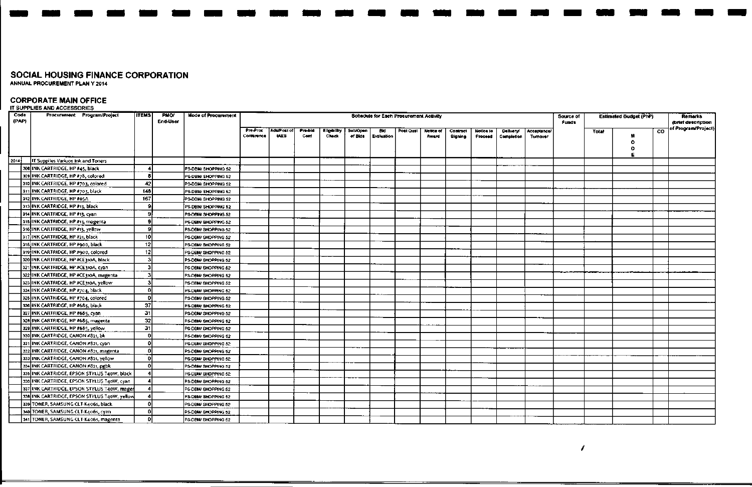## **CORPORATE MAIN OFFICE**

IT SUPPLIES AND ACCESSORIES

| Code<br>(PAP) | Procurement Program/Project                  | <b>ITEMS</b>    | PMO/<br>End-User | Mode of Procurement |                        |                           |                 |                             |                     |                   | Schedule for Each Procurement Activity |                    |                     |                      |                         |                         | Source of<br>Funds |       | Estimated Budget (PhP) |     | <b>Remarks</b><br>(brief description |
|---------------|----------------------------------------------|-----------------|------------------|---------------------|------------------------|---------------------------|-----------------|-----------------------------|---------------------|-------------------|----------------------------------------|--------------------|---------------------|----------------------|-------------------------|-------------------------|--------------------|-------|------------------------|-----|--------------------------------------|
|               |                                              |                 |                  |                     | Pre-Proc<br>Conference | AduPost of<br><b>IAEB</b> | Pre-bid<br>Conf | <b>Eligibility</b><br>Check | Sub/Open<br>of Bids | Bid<br>Evaluation | Post Qual                              | Notice of<br>Award | Contract<br>Signing | Notice to<br>Proceed | Deliveryi<br>Completion | Acceptance/<br>Turnover |                    | Total | м<br>Ω<br>o<br>E       | CO. | of Program/Project)                  |
| 2014]         | IT Supplies Variuos Ink and Toners           |                 |                  |                     |                        |                           |                 |                             |                     |                   |                                        |                    |                     |                      |                         |                         |                    |       |                        |     |                                      |
|               | 308 INK CARTRIDGE, HP #45, black             |                 |                  | PS-DBM/SHOPPING 52  |                        |                           |                 |                             |                     |                   |                                        |                    |                     |                      |                         |                         |                    |       |                        |     |                                      |
|               | 309 INK CARTRIDGE, HP #78, colored           | 8               |                  | PS-DBM/ SHOPPING 52 |                        |                           |                 |                             |                     |                   |                                        |                    |                     |                      |                         |                         |                    |       |                        |     |                                      |
|               | 310 INK CARTRIDGE, HP #703, colored          | 42              |                  | PS-DBM/ SHOPPING 52 |                        |                           |                 |                             |                     |                   |                                        |                    |                     |                      |                         |                         |                    |       |                        |     |                                      |
|               | 311 INK CARTRIDGE, HP #703, black            | 148             |                  | PS-DBM/ SHOPPING 52 |                        |                           |                 |                             |                     |                   |                                        |                    |                     |                      |                         |                         |                    |       |                        |     |                                      |
|               | 312 INK CARTRIDGE, HP #05A                   | 167             |                  | PS-DBM/SHOPPING 52  |                        |                           |                 |                             |                     |                   |                                        |                    |                     |                      |                         |                         |                    |       |                        |     |                                      |
|               | 313 INK CARTRIOGE, HP #13, black             | -91             |                  | PS-DBM/SHOPPING 52  |                        |                           |                 |                             |                     |                   |                                        |                    |                     |                      |                         |                         |                    |       |                        |     |                                      |
|               | 314 JINK CARTRIDGE, HP #13, cyan             |                 |                  | PS-DBM/SHOPPING 52  |                        |                           |                 |                             |                     |                   |                                        |                    |                     |                      |                         |                         |                    |       |                        |     |                                      |
|               | 315 INK CARTRIDGE, HP #13, magenta           | 9               |                  | PS-DBM/SHOPPING 52  |                        |                           |                 |                             |                     |                   |                                        |                    |                     |                      |                         |                         |                    |       |                        |     |                                      |
|               | 316 INK CARTRIDGE, HP #13, yellow            | $\mathbf{Q}$    |                  | PS-DBM/SHOPPING 52  |                        |                           |                 |                             |                     |                   |                                        |                    |                     |                      |                         |                         |                    |       |                        |     |                                      |
|               | 317 INK CARTRIDGE, HP #21, black             | 10              |                  | PS-DBM/ SHOPPING 52 |                        |                           |                 |                             |                     |                   |                                        |                    |                     |                      |                         |                         |                    |       |                        |     |                                      |
|               | 318 INK CARTRIDGE, HP #900, black            | 12 <sup>1</sup> |                  | PS-DBM/ SHOPPING 52 |                        |                           |                 |                             |                     |                   |                                        |                    |                     |                      |                         |                         |                    |       |                        |     |                                      |
|               | 319 INK CARTRIDGE, HP #900, colored          | 12              |                  | PS-DBM/ SHOPPING 52 |                        |                           |                 |                             |                     |                   |                                        |                    |                     |                      |                         |                         |                    |       |                        |     |                                      |
|               | 320 INK CARTRIDGE, HP #CE310A, black         |                 |                  | PS-DBM/ SHOPPING 52 |                        |                           |                 |                             |                     |                   |                                        |                    |                     |                      |                         |                         |                    |       |                        |     |                                      |
|               | 321 INK CARTRIDGE, HP #CE310A, cyan          | з               |                  | PS-DBM/ SHOPPING 52 |                        |                           |                 |                             |                     |                   |                                        |                    |                     |                      |                         |                         |                    |       |                        |     |                                      |
|               | 322 INK CARTRIDGE, HP #CE310A, magenta       | 3               |                  | PS-DBM/SHOPPING 52  |                        |                           |                 |                             |                     |                   |                                        |                    |                     |                      |                         |                         |                    |       |                        |     |                                      |
|               | 323 INK CARTRIDGE, HP #CE310A, yellow        |                 |                  | PS-DBM/SHOPPING 52  |                        |                           |                 |                             |                     |                   |                                        |                    |                     |                      |                         |                         |                    |       |                        |     |                                      |
|               | 324 INK CARTRIDGE, HP #704, black            | $\theta$        |                  | PS-DBM/SHOPPING 52  |                        |                           |                 |                             |                     |                   |                                        |                    |                     |                      |                         |                         |                    |       |                        |     |                                      |
|               | 325 INK CARTRIDGE, HP #704, colored          | nl              |                  | PS-DBM/ SHOPPING 52 |                        |                           |                 |                             |                     |                   |                                        |                    |                     |                      |                         |                         |                    |       |                        |     |                                      |
|               | 326 INK CARTRIDGE, HP #685, black            | 37              |                  | PS-DBM/SHOPPING 52  |                        |                           |                 |                             |                     |                   |                                        |                    |                     |                      |                         |                         |                    |       |                        |     |                                      |
|               | 327 INK CARTRIDGE, HP #685, cyan             | 31              |                  | PS-DBM/SHOPPING 52  |                        |                           |                 |                             |                     |                   |                                        |                    |                     |                      |                         |                         |                    |       |                        |     |                                      |
|               | 328 INK CARTRIDGE, HP #685, magenta          | 32              |                  | PS-DBM/ SHOPPING 52 |                        |                           |                 |                             |                     |                   |                                        |                    |                     |                      |                         |                         |                    |       |                        |     |                                      |
|               | 329 INK CARTRIDGE, HP #685, yellow           | 31              |                  | PS-DBM/ SHOPPING 52 |                        |                           |                 |                             |                     |                   |                                        |                    |                     |                      |                         |                         |                    |       |                        |     |                                      |
|               | 330 INK CARTRIDGE, CANON #821, bk            | n               |                  | PS-DBM/ SHOPPING 52 |                        |                           |                 |                             |                     |                   |                                        |                    |                     |                      |                         |                         |                    |       |                        |     |                                      |
|               | 331 INK CARTRIDGE, CANON #821, cyan          | Ω               |                  | PS-DBM/SHOPPING 52  |                        |                           |                 |                             |                     |                   |                                        |                    |                     |                      |                         |                         |                    |       |                        |     |                                      |
|               | 332 INK CARTRIDGE, CANON #821, magental      | n.              |                  | PS-DBM/ SHOPPING 52 |                        |                           |                 |                             |                     |                   |                                        |                    |                     |                      |                         |                         |                    |       |                        |     |                                      |
|               | 333 INK CARTRIOGE, CANON #821, yellow        | n.              |                  | PS-DBM/ SHOPPING 52 |                        |                           |                 |                             |                     |                   |                                        |                    |                     |                      |                         |                         |                    |       |                        |     |                                      |
|               | 334 INK CARTRIDGE, CANON #821, pgbk          | n.              |                  | PS-DBM/SHOPPING 52  |                        |                           |                 |                             |                     |                   |                                        |                    |                     |                      |                         |                         |                    |       |                        |     |                                      |
|               | 335 INK CARTRIDGE, EPSON STYLUS T40W, black  |                 |                  | PS-DBM/SHOPPING 52  |                        |                           |                 |                             |                     |                   |                                        |                    |                     |                      |                         |                         |                    |       |                        |     |                                      |
|               | 336 INK CARTRIDGE, EPSON STYLUS T40W, cyan   |                 |                  | PS-DBM/ SHOPPING 52 |                        |                           |                 |                             |                     |                   |                                        |                    |                     |                      |                         |                         |                    |       |                        |     |                                      |
|               | 337 INK CARTRIDGE, EPSON STYLUS T40W, mager  |                 |                  | PS-DEM/SHOPPING 52  |                        |                           |                 |                             |                     |                   |                                        |                    |                     |                      |                         |                         |                    |       |                        |     |                                      |
|               | 338 INK CARTRIDGE, EPSON STYLUS T40W, yellow |                 |                  | PS-DBM/SHOPPING 52  |                        |                           |                 |                             |                     |                   |                                        |                    |                     |                      |                         |                         |                    |       |                        |     |                                      |
|               | 339 TONER, SAMSUNG CLT-K406s, black          |                 |                  | PS DBM/ SHOPPING 52 |                        |                           |                 |                             |                     |                   |                                        |                    |                     |                      |                         |                         |                    |       |                        |     |                                      |
|               | 340 TONER, SAMSUNG CLT-K406s, cyan           |                 |                  | PS-DBM/ SHOPPING 52 |                        |                           |                 |                             |                     |                   |                                        |                    |                     |                      |                         |                         |                    |       |                        |     |                                      |
|               | 341 TONER, SAMSUNG CLT-K406s, magenta        |                 |                  | PS-DBM/ SHOPPING 52 |                        |                           |                 |                             |                     |                   |                                        |                    |                     |                      |                         |                         |                    |       |                        |     |                                      |

- - - - - - - - - - - - - - - - - - - - - - -

 $\mathcal{L}$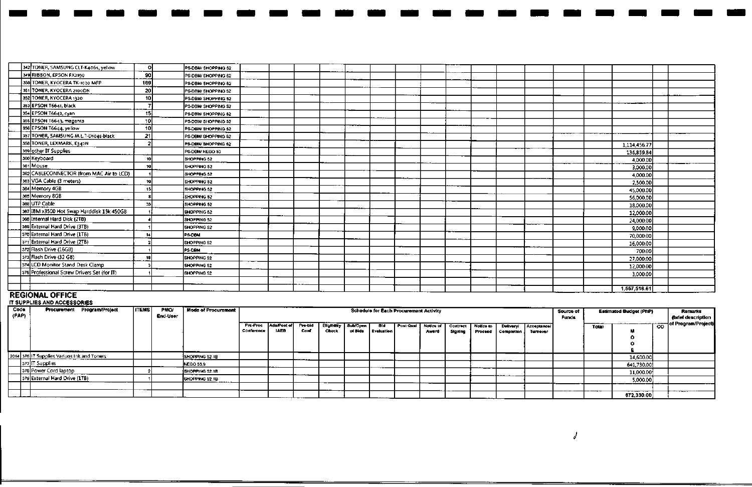| 342 TONER, SAMSUNG CLT-K406s, yellow        | O.  | PS-DBM/ SHOPPING 52 |  |  |  |  |  |  |  |              |  |
|---------------------------------------------|-----|---------------------|--|--|--|--|--|--|--|--------------|--|
| 349 RIBBON, EPSON FX2190                    | 90  | PS-DBM/ SHOPPING 52 |  |  |  |  |  |  |  |              |  |
| 350 TONER, KYOCERA TK-1020 MFP              | 169 | PS-DBM/ SHOPPING 52 |  |  |  |  |  |  |  |              |  |
| 351 TONER, KYOCERA 2100DN                   | 20  | PS-DBM/ SHOPPING 52 |  |  |  |  |  |  |  |              |  |
| 352 TONER, KYOCERA 1320                     | 10  | PS-DBM/SHOPPING 52  |  |  |  |  |  |  |  |              |  |
| 353 EPSON T6641, black                      |     | PS-DBM/ SHOPPING 52 |  |  |  |  |  |  |  |              |  |
| 354 EPSON T6642, cyan                       | 15  | PS-DBM/SHOPPING 52  |  |  |  |  |  |  |  |              |  |
| 355 EPSON T6643, magenta                    | 10  | P5-DBM/SHOPPING 52  |  |  |  |  |  |  |  |              |  |
| 356 EPSON T6644, yellow                     | 10  | PS-DBM/ SHOPPING 52 |  |  |  |  |  |  |  |              |  |
| 357 TONER, SAMSUNG M.L.T.D104s-black        | 21  | PS-DBM/SHOPPING 52  |  |  |  |  |  |  |  |              |  |
| 358 TONER, LEXMARK, E342N                   |     | PS-DBM/SHOPPING 52  |  |  |  |  |  |  |  | 1.114.456.77 |  |
| 359 other IT Supplies                       |     | PS-DBM/ NEGO 53     |  |  |  |  |  |  |  | 136,859.84   |  |
| 360 Keyboard                                | 10  | SHOPPING 52         |  |  |  |  |  |  |  | 4,000.00     |  |
| 361 Mouse                                   | 10  | SHOPPING 52         |  |  |  |  |  |  |  | 3,000.00     |  |
| 362 CABLECONNECTOR (from MAC Air to LCD)    |     | SHOPPING 52         |  |  |  |  |  |  |  | 4,000.00     |  |
| 363 VGA Cable (3 meters)                    | 10  | SHOPPING 52         |  |  |  |  |  |  |  | 2,500.00     |  |
| 364 Memory 4GB                              | 15  | SHOPPING 52         |  |  |  |  |  |  |  | 45,000.00    |  |
| 365 Memory 8GB                              |     | SHOPPING 52         |  |  |  |  |  |  |  | 56,000,00    |  |
| 366 UTP Cable                               | 33  | SHOPPING 52         |  |  |  |  |  |  |  | 18,000.00    |  |
| 367 IBM x3500 Hot Swap Harddisk 15k 450GB   |     | SHOPPING 52         |  |  |  |  |  |  |  | 12,000.00    |  |
| 368 Internal Hard Disk (2TB)                |     | SHOPPING 52         |  |  |  |  |  |  |  | 24,000.00    |  |
| 369 External Hard Drive (3TB)               |     | SHOPPING 52         |  |  |  |  |  |  |  | 9,000.00     |  |
| 370 External Hard Drive (1TB)               |     | <b>PS-DBM</b>       |  |  |  |  |  |  |  | 70,000.00    |  |
| 371 External Hard Drive (2TB)               |     | SHOPPING 52         |  |  |  |  |  |  |  | 16,000.00    |  |
| 372 Flash Drive (16GB)                      |     | PS DEM              |  |  |  |  |  |  |  | 700.00       |  |
| 373 Flash Drive (32 GB)                     |     | SHOPPING 52         |  |  |  |  |  |  |  | 27,000.00    |  |
| 374 LCD Monitor Stand Desk Clamp            |     | SHOPPING 52         |  |  |  |  |  |  |  | 12,000.00    |  |
| 375 Professional Screw Drivers Set (for IT) |     | SHOPPING 52         |  |  |  |  |  |  |  | 3,000.00     |  |
|                                             |     |                     |  |  |  |  |  |  |  |              |  |
| ---------------                             |     |                     |  |  |  |  |  |  |  | 1,557,516.61 |  |

- - - - - - - - - - - - - - - - - - - - - - -

#### **REGIONAL OFFICE** IT SUPPLIES **AND** ACCESSORIES

| Code<br>  (PAP) | Procurement                                | Program/Project | <b>ITEMS</b> | <b>PMO</b><br>End-User | <b>Mode of Procurement</b> |                        |                            |                |                            |                     | Schedule for Each Procurement Activity |           |                    |                     |                             |                         |                         | Source of<br><b>Funds</b> |            | <b>Estimated Budget (PhP)</b> |           | Remarks<br>(brief description |
|-----------------|--------------------------------------------|-----------------|--------------|------------------------|----------------------------|------------------------|----------------------------|----------------|----------------------------|---------------------|----------------------------------------|-----------|--------------------|---------------------|-----------------------------|-------------------------|-------------------------|---------------------------|------------|-------------------------------|-----------|-------------------------------|
|                 |                                            |                 |              |                        |                            | Pre-Proc<br>Conference | Ads/Post of<br><b>IAEB</b> | Pre-bid<br>Com | <b>Eligibitky</b><br>Check | SubfOpen<br>of Bids | eld.<br>  Evaluation                   | Post Qual | Notice of<br>Award | Contract<br>Signing | Notice to<br><b>Proceed</b> | Delivery/<br>Completion | Acceptance/<br>Turnover |                           | Total      |                               | <b>CD</b> | — of Program/Project)         |
|                 | 2014 376 IT Supplies Vanuos Ink and Toners |                 |              |                        | SHOPPING 52.1B             |                        |                            |                |                            |                     |                                        |           |                    |                     |                             |                         |                         |                           |            |                               |           |                               |
|                 |                                            |                 |              |                        |                            |                        |                            |                |                            |                     |                                        |           |                    |                     |                             | -----                   |                         |                           |            | 14,600.00                     |           |                               |
| __              | 377 Supplies                               |                 |              |                        | <b>NEGO 53.9</b>           |                        |                            |                |                            |                     |                                        |           |                    |                     |                             |                         |                         |                           |            | 641,730.00                    |           |                               |
|                 | 378 Power Cord laptop                      |                 |              |                        | <b>ISHOPPING 52.1B</b>     |                        |                            |                |                            |                     |                                        |           |                    |                     | ____                        |                         |                         |                           |            | 11,000.00                     |           |                               |
|                 | 379 External Hard Drive (1T8)              |                 |              |                        | SHOPPING 52.1B             |                        |                            |                |                            |                     |                                        |           |                    |                     |                             |                         |                         |                           |            | 5,000.00                      |           |                               |
|                 |                                            |                 |              |                        |                            |                        |                            |                |                            |                     |                                        |           |                    |                     |                             |                         |                         |                           |            |                               |           |                               |
|                 |                                            |                 |              |                        |                            |                        |                            |                |                            |                     |                                        |           |                    |                     |                             |                         |                         |                           | ---------- | ---------------<br>672,330.00 |           | _____                         |

*J*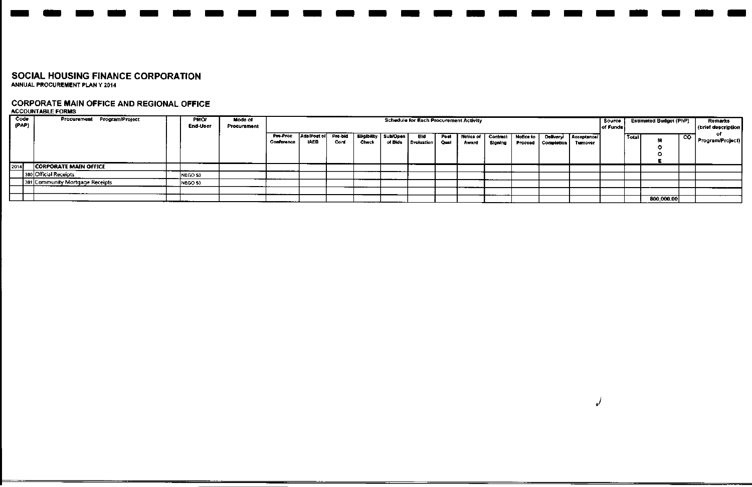# CORPORATE MAIN OFFICE AND REGIONAL OFFICE ACCOUNTABLE FORMS

| Code<br>(PAP) | Procurement Program/Project     | PMO <sub>1</sub><br>End-User | Mode of<br>Procurement |                        |                            |                 |         |                                     | <b>Schedule for Each Procurement Activity</b> |              |       |                                   |                      |                                       |                         | Source<br>of Funds |         | <b>Estimated Budget (PhP)</b> |     | Remarks<br>(brief descriptio |
|---------------|---------------------------------|------------------------------|------------------------|------------------------|----------------------------|-----------------|---------|-------------------------------------|-----------------------------------------------|--------------|-------|-----------------------------------|----------------------|---------------------------------------|-------------------------|--------------------|---------|-------------------------------|-----|------------------------------|
|               |                                 |                              |                        | Pre-Proc<br>Conference | Ads/Post of<br><b>IAEB</b> | Pre-bid<br>Conf | Check   | Eligibility   Sub/Open  <br>of Blds | Bid<br><b>Evaluation</b>                      | Post<br>Qual | Award | Notice of   Contract  <br>Signing | Notice to<br>Proceed | <b>Delivery!</b><br><b>Completion</b> | Acceptance/<br>Turnover |                    | Total i | 88.                           | ్యా | Program/Project              |
| 2014          | <b>CORPORATE MAIN OFFICE</b>    |                              |                        |                        |                            |                 |         |                                     |                                               |              |       |                                   |                      |                                       |                         |                    |         |                               |     |                              |
|               | 380 Official Receipts           | NEGO 53                      |                        |                        |                            |                 |         |                                     |                                               |              |       |                                   |                      |                                       |                         |                    |         |                               |     |                              |
|               | 381 Community Mortgage Receipts | NEGO 53                      |                        |                        |                            |                 |         |                                     |                                               |              |       |                                   |                      |                                       |                         |                    |         |                               |     |                              |
|               |                                 |                              |                        |                        |                            |                 |         |                                     |                                               |              |       |                                   |                      |                                       |                         |                    |         |                               |     |                              |
|               |                                 |                              |                        |                        |                            |                 | _______ |                                     |                                               |              |       |                                   |                      |                                       |                         |                    |         | 800,000.00                    |     |                              |

*J*

- - - - - - - - - - - - - - - - - - - - - - -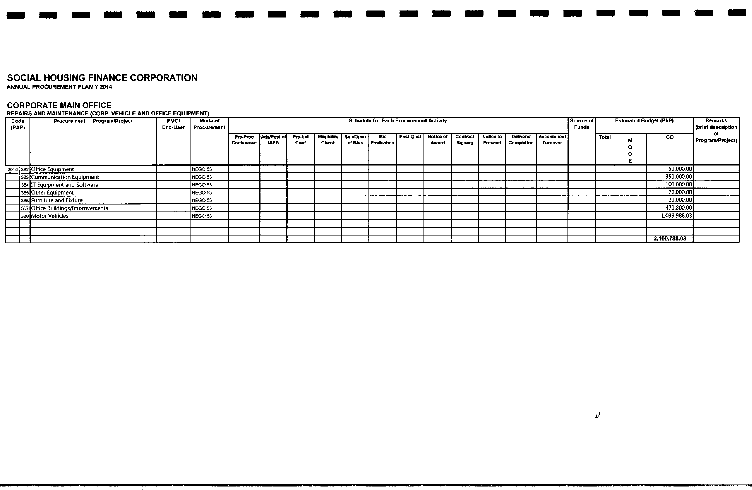ANNUAL PROCUREMENT PLAN Y 2014

**CORPORATE MAIN OFFICE** REPAIRS AND MAINTENANCE (CORP VEHICLE AND OFFICE EQUIPMENT)

| Code<br>(PAP) | Procurement Program/Project       | <b>PMO/</b><br>End-User | <b>Mode of</b><br>Procurement |                        |                            |                |                      |                     |                   | <b>Schedule for Each Procurement Activity</b> |                    |                     |                      |                         |                        | Source of<br><b>Funds</b> |       | <b>Estimated Budget (PhP)</b> |              | Remarks<br>(brief description |
|---------------|-----------------------------------|-------------------------|-------------------------------|------------------------|----------------------------|----------------|----------------------|---------------------|-------------------|-----------------------------------------------|--------------------|---------------------|----------------------|-------------------------|------------------------|---------------------------|-------|-------------------------------|--------------|-------------------------------|
|               |                                   |                         |                               | Pre-Proc<br>Conference | Ads/Post of<br><b>IAEB</b> | Pre-bid<br>Com | Eligibility<br>Check | Sub/Open<br>of Blds | Bid<br>Evaluation | <b>Post Qual</b>                              | Notice of<br>Award | Contract<br>Signing | Notice to<br>Proceed | Delivery/<br>Completion | Acceptance/<br>Tumover |                           | Total |                               | CO           | Program/Project               |
|               | 2014 382 Office Equipment         |                         | NEGO 53                       |                        |                            |                |                      |                     |                   |                                               |                    |                     |                      |                         |                        |                           |       |                               | 50,000.00    |                               |
|               | 383 Communication Equipment       |                         | NEGO 53                       |                        |                            |                |                      |                     |                   |                                               |                    |                     |                      |                         |                        |                           |       |                               | 350,000.00   |                               |
|               | 384 IT Equipment and Software     |                         | NEGO 53                       |                        |                            |                |                      |                     |                   |                                               |                    |                     |                      |                         |                        |                           |       |                               | 100,000.00   |                               |
|               | 385 Other Equipment               |                         | NEGO 53                       |                        |                            |                |                      |                     |                   |                                               |                    |                     |                      |                         |                        |                           |       |                               | 70,000.00    |                               |
|               | 386 Furniture and Fixture         |                         | NEGO 53                       |                        |                            |                |                      |                     |                   |                                               |                    |                     |                      |                         |                        |                           |       |                               | 20,000.00    |                               |
|               | 387 Office Buildings/Improvements |                         | NEGO 53                       |                        |                            |                |                      |                     |                   |                                               |                    |                     |                      |                         |                        |                           |       |                               | 470,800.00   |                               |
|               | 388 Motor Vehicles                |                         | NEGO 53                       |                        |                            |                |                      |                     |                   |                                               |                    |                     |                      |                         |                        |                           |       |                               | 1,039,988.03 |                               |
|               | ----------                        |                         |                               |                        |                            |                |                      |                     |                   |                                               |                    |                     |                      |                         |                        |                           |       |                               |              |                               |
|               |                                   |                         |                               |                        |                            |                |                      |                     |                   |                                               |                    |                     |                      |                         |                        |                           |       |                               |              |                               |
|               |                                   |                         |                               |                        |                            |                |                      |                     |                   |                                               |                    |                     |                      |                         |                        |                           |       |                               | 2,100,788.03 |                               |

- - --- - - - - - - - - - - - - - - - - - -

 $\overline{\nu}$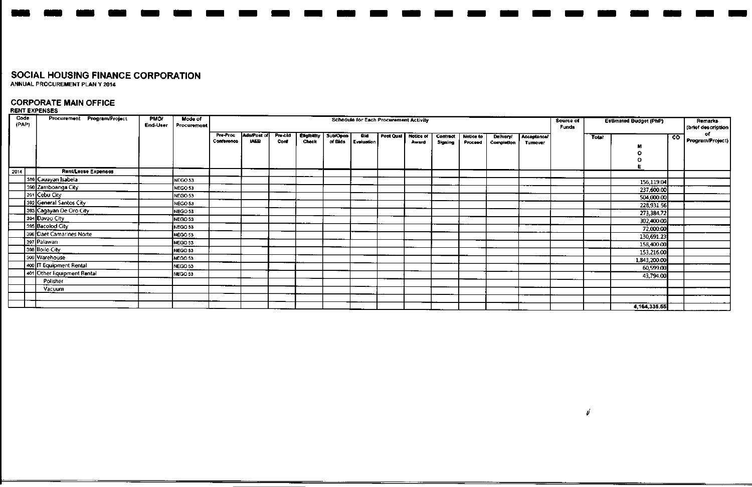# **CORPORATE MAIN OFFICE RENT EXPENSES**

| Code<br>(PAP) | Procurement Program/Project | <b>PMO/</b><br>End-User | Mode of<br>Procurement |                        |                            |                 |                                    |                     |                          | <b>Schedule for Each Procurement Activity</b> |                           |                     |                      |                         |                         | Source of<br>Funds |       | <b>Estimated Budget (PhP)</b> |                | Remarks<br>(brief description |
|---------------|-----------------------------|-------------------------|------------------------|------------------------|----------------------------|-----------------|------------------------------------|---------------------|--------------------------|-----------------------------------------------|---------------------------|---------------------|----------------------|-------------------------|-------------------------|--------------------|-------|-------------------------------|----------------|-------------------------------|
|               |                             |                         |                        | Pre-Proc<br>Conference | Ads/Post of<br><b>IAEB</b> | Pre-bld<br>Conf | <b>Eligibility</b><br><b>Check</b> | Sub/Open<br>of Bids | <b>Bid</b><br>Evaluation | Post Qual                                     | <b>Notice of</b><br>Award | Contract<br>Signing | Notice to<br>Proceed | Delivery/<br>Completion | Acceptance/<br>Turnover |                    | Total |                               | $\overline{c}$ | οГ<br>Program/Project)        |
|               |                             |                         |                        |                        |                            |                 |                                    |                     |                          |                                               |                           |                     |                      |                         |                         |                    |       |                               |                |                               |
| 2014          | Rent/Lease Expenses         |                         |                        |                        |                            |                 |                                    |                     |                          |                                               |                           |                     |                      |                         |                         |                    |       |                               |                |                               |
|               | 389 Cauayan Isabela         |                         | NEGO 53                |                        |                            |                 |                                    |                     |                          |                                               |                           |                     |                      |                         |                         |                    |       | 156,119.04                    |                |                               |
|               | 390 Zamboanga City          |                         | NEGO 53                |                        |                            |                 |                                    |                     |                          |                                               |                           |                     |                      |                         |                         |                    |       | 237,600.00                    |                |                               |
|               | 391 Cebu City               |                         | NEGO 53                |                        |                            |                 |                                    |                     |                          |                                               |                           |                     |                      |                         |                         |                    |       | 504,000.00                    |                |                               |
|               | 392 General Santos City     |                         | NEGO 53                |                        |                            |                 |                                    |                     |                          |                                               |                           |                     |                      |                         |                         |                    |       | 228,931.56                    |                |                               |
|               | 393 Cagayan De Oro City     |                         | NEGO 53                |                        |                            |                 |                                    |                     |                          |                                               |                           |                     |                      |                         |                         |                    |       | 273,384.72                    |                |                               |
|               | 394 Davao City              |                         | NEGO 53                |                        |                            |                 |                                    |                     |                          |                                               |                           |                     |                      |                         |                         |                    |       | 302,400.00                    |                |                               |
|               | 395 Bacolod City            |                         | NEGO 53                |                        |                            |                 |                                    |                     |                          |                                               |                           |                     |                      |                         |                         |                    |       | 72,000.00                     |                |                               |
|               | 396 Daet Camarines Norte    |                         | NEGO 53                |                        |                            |                 |                                    |                     |                          |                                               |                           |                     |                      |                         |                         |                    |       | 130,691.23                    |                |                               |
|               | 397   Palawan               |                         | NEGO 53                |                        |                            |                 |                                    |                     |                          |                                               |                           |                     |                      |                         |                         |                    |       | 158,400.00                    |                |                               |
|               | 398 Iloilo City             |                         | NEGO 53                |                        |                            |                 |                                    |                     |                          |                                               |                           |                     |                      |                         |                         |                    |       | 153,216.00                    |                |                               |
|               | 399 Warehouse               |                         | NEGO 53                |                        |                            |                 |                                    |                     |                          |                                               |                           |                     |                      |                         |                         |                    |       | 1,843,200.00                  |                |                               |
|               | 400 T Equipment Rental      |                         | NEGO 53                |                        |                            |                 |                                    |                     |                          |                                               |                           |                     |                      |                         |                         |                    |       | 60,599.00                     |                |                               |
|               | 401 Other Equipment Rental  |                         | NEGO 53                |                        |                            |                 |                                    |                     |                          |                                               |                           |                     |                      |                         |                         |                    |       | 43,794.00                     |                |                               |
|               | Polisher                    |                         |                        |                        |                            |                 |                                    |                     |                          |                                               |                           |                     |                      |                         |                         |                    |       |                               |                |                               |
|               | Vacuum                      |                         |                        |                        |                            |                 |                                    |                     |                          |                                               |                           |                     |                      |                         |                         |                    |       |                               |                |                               |
|               |                             |                         |                        |                        |                            |                 |                                    |                     |                          |                                               |                           |                     |                      |                         |                         |                    |       |                               |                |                               |
|               |                             |                         |                        |                        |                            |                 |                                    |                     |                          |                                               |                           |                     |                      |                         |                         |                    |       | 4, 164, 335.55                |                |                               |

- - - - - - - - - - - - - - - - - - - - - - -

d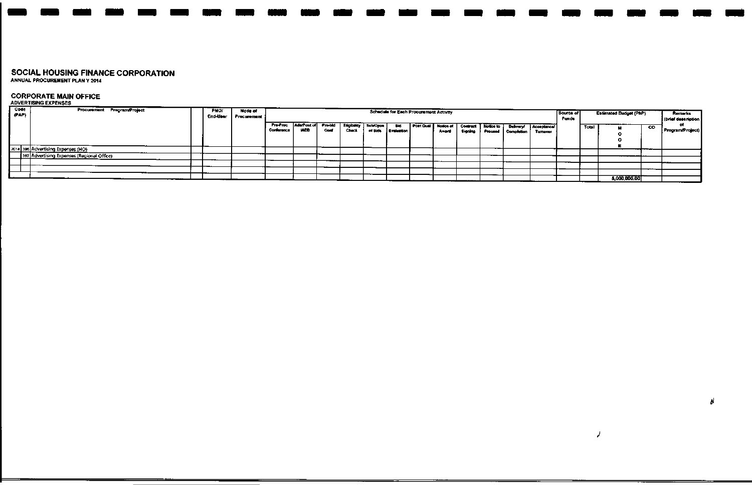# **CORPORATE MAIN OFFICE**

| <b>Code</b><br>(PAP) | Procurement Program/Project                | <b>PMO/</b> | Mode of     |            |                     |      |                    |          |                   | Schedule for Each Procurement Activity |                       |           |           |                           |            | Source of    |       | Estimated Budget (PhP) |           | Remarks            |
|----------------------|--------------------------------------------|-------------|-------------|------------|---------------------|------|--------------------|----------|-------------------|----------------------------------------|-----------------------|-----------|-----------|---------------------------|------------|--------------|-------|------------------------|-----------|--------------------|
|                      |                                            | End-User    | Procurement |            |                     |      |                    |          |                   |                                        |                       |           |           |                           |            | <b>Funds</b> |       |                        |           | (brief description |
|                      |                                            |             |             | Pre-Proc   | Ads/Post of Pre-bid |      | <b>Eligibility</b> | Sub/Open | BH.               |                                        | Post Qual   Notice of | Commact 1 | Notice to | Delivery!                 | Acceptance |              | Total |                        | <b>CO</b> |                    |
|                      |                                            |             |             | Conference | <b>LAED</b>         | Conf | <b>Check</b>       | of Bids  | <b>Evaluation</b> |                                        | Award                 | Signing   |           | <b>Froceed Completion</b> | Tumover    |              |       |                        |           | Frogram/Project)   |
|                      |                                            |             |             |            |                     |      |                    |          |                   |                                        |                       |           |           |                           |            |              |       |                        |           |                    |
|                      | 2014 396 Advertising Expenses (HO)         |             |             |            |                     |      |                    |          |                   |                                        |                       |           |           |                           |            |              |       |                        |           |                    |
|                      |                                            |             |             |            |                     |      |                    |          |                   |                                        |                       |           |           |                           |            |              |       |                        |           |                    |
|                      | 397 Advertising Expenses (Regional Office) |             |             |            |                     |      |                    |          |                   |                                        |                       |           |           |                           |            |              |       |                        |           |                    |
|                      |                                            |             |             |            |                     |      |                    |          |                   |                                        |                       |           |           |                           |            |              |       |                        |           |                    |
|                      |                                            |             |             |            |                     |      |                    |          |                   |                                        |                       |           |           |                           |            |              |       |                        |           |                    |
|                      |                                            |             |             |            |                     |      |                    |          |                   |                                        |                       |           |           |                           |            |              |       |                        | ---       |                    |
|                      |                                            |             |             |            |                     |      |                    |          |                   |                                        |                       |           |           |                           |            |              |       |                        |           |                    |
|                      |                                            |             |             |            |                     |      |                    |          |                   |                                        |                       |           |           |                           |            |              |       | 5,000,000.00           |           |                    |

d

 $\overline{\phantom{a}}$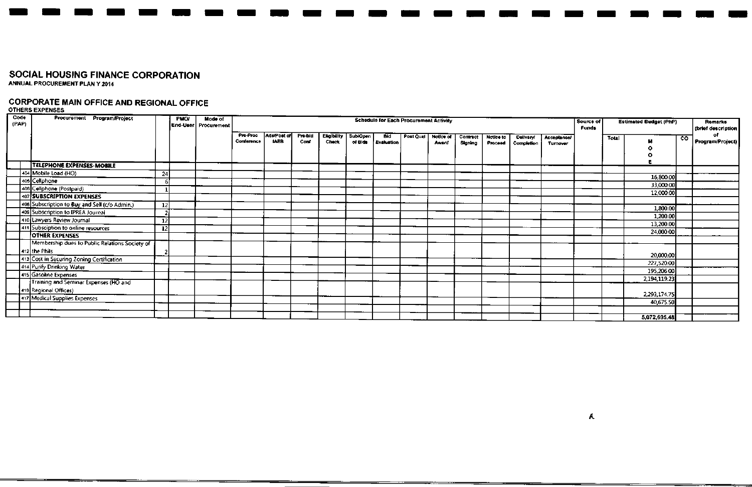# **CORPORATE MAIN OFFICE AND REGIONAL OFFICE** OTHERS EXPENSES

| Code  | Procurement Program/Project                    |                 | <b>PMO/</b> | <b>Mode of</b>       |                        |                            |                 |                                    |          | <b>Schedule for Each Procurement Activity</b> |           |           |          |           |            |             |                           |       |                               |    |                        |
|-------|------------------------------------------------|-----------------|-------------|----------------------|------------------------|----------------------------|-----------------|------------------------------------|----------|-----------------------------------------------|-----------|-----------|----------|-----------|------------|-------------|---------------------------|-------|-------------------------------|----|------------------------|
| (PAP) |                                                |                 |             | End-User Procurement |                        |                            |                 |                                    |          |                                               |           |           |          |           |            |             | Source of<br><b>Funds</b> |       | <b>Estimated Budget (PhP)</b> |    | Remarks                |
|       |                                                |                 |             |                      |                        |                            |                 |                                    |          |                                               |           |           |          |           |            |             |                           |       |                               |    | (brief description     |
|       |                                                |                 |             |                      | Pre-Proc<br>Conference | Ads/Post of<br><b>IAEB</b> | Pre-bid<br>Cord | <b>Eligibility</b><br><b>Check</b> | Sub/Open | Bid                                           | Post Qual | Notice of | Contract | Notice to | Delivery   | Acceptance/ |                           | Total |                               | co | of.<br>Program/Project |
|       |                                                |                 |             |                      |                        |                            |                 |                                    | of Blds  | Evaluation                                    |           | Award     | Signing  | Proceed   | Completion | Turnover    |                           |       |                               |    |                        |
|       |                                                |                 |             |                      |                        |                            |                 |                                    |          |                                               |           |           |          |           |            |             |                           |       |                               |    |                        |
|       |                                                |                 |             |                      |                        |                            |                 |                                    |          |                                               |           |           |          |           |            |             |                           |       |                               |    |                        |
|       | TELEPHONE EXPENSES-MOBILE                      |                 |             |                      |                        |                            |                 |                                    |          |                                               |           |           |          |           |            |             |                           |       |                               |    |                        |
|       | 404 Mobile Load (HO)                           | 24              |             |                      |                        |                            |                 |                                    |          |                                               |           |           |          |           |            |             |                           |       | 16,800.00                     |    |                        |
|       | 405 Cellphone                                  |                 |             |                      |                        |                            |                 |                                    |          |                                               |           |           |          |           |            |             |                           |       | 33,000.00                     |    |                        |
|       | 406 Cellphone (Postpaid)                       |                 |             |                      |                        |                            |                 |                                    |          |                                               |           |           |          |           |            |             |                           |       | 12,000.00                     |    |                        |
|       | 407 SUBSCRIPTION EXPENSES                      |                 |             |                      |                        |                            |                 |                                    |          |                                               |           |           |          |           |            |             |                           |       |                               |    |                        |
|       | 408 Subscription to Buy and Sell (c/o Admin.)  | 12              |             |                      |                        |                            |                 |                                    |          |                                               |           |           |          |           |            |             |                           |       | 1,800.00                      |    |                        |
|       | 409 Subscription to IPREA Journal              | 2               |             |                      |                        |                            |                 |                                    |          |                                               |           |           |          |           |            |             |                           |       |                               |    |                        |
|       | 410 Lawyers Review Journal                     | $\overline{12}$ |             |                      |                        |                            |                 |                                    |          |                                               |           |           |          |           |            |             |                           |       | 1,200.00                      |    |                        |
|       | 411 Subsciption to online resources            | 12              |             |                      |                        |                            |                 |                                    |          |                                               |           |           |          |           |            |             |                           |       | 13,200.00                     |    |                        |
|       | <b>OTHER EXPENSES</b>                          |                 |             |                      |                        |                            |                 |                                    |          |                                               |           |           |          |           |            |             |                           |       | 24,000.00                     |    |                        |
|       | Membership dues to Public Relations Society of |                 |             |                      |                        |                            |                 |                                    |          |                                               |           |           |          |           |            |             |                           |       |                               |    |                        |
|       | 412 the Phils                                  |                 |             |                      |                        |                            |                 |                                    |          |                                               |           |           |          |           |            |             |                           |       |                               |    |                        |
|       | 413 Cost in Securing Zoning Certification      |                 |             |                      |                        |                            |                 |                                    |          |                                               |           |           |          |           |            |             |                           |       | 20,000.00                     |    |                        |
|       | 414 Purify Drinking Water                      |                 |             |                      |                        |                            |                 |                                    |          |                                               |           |           |          |           |            |             |                           |       | 227,520.00                    |    |                        |
|       | 415 Gasoline Expenses                          |                 |             |                      |                        |                            |                 |                                    |          |                                               |           |           |          |           |            |             |                           |       | 195,206.00                    |    |                        |
|       | Training and Seminar Expenses (HO and          |                 |             |                      |                        |                            |                 |                                    |          |                                               |           |           |          |           |            |             |                           |       | 2,194,119.23                  |    |                        |
|       |                                                |                 |             |                      |                        |                            |                 |                                    |          |                                               |           |           |          |           |            |             |                           |       |                               |    |                        |
|       | 416 Regional Offices)                          |                 |             |                      |                        |                            |                 |                                    |          |                                               |           |           |          |           |            |             |                           |       | 2,293,174.75                  |    |                        |
|       | 417 Medical Supplies Expenses                  |                 |             |                      |                        |                            |                 |                                    |          |                                               |           |           |          |           |            |             |                           |       | 40,675.50                     |    |                        |
|       |                                                |                 |             |                      |                        |                            |                 |                                    |          |                                               |           |           |          |           |            |             |                           |       |                               |    |                        |
|       |                                                |                 |             |                      |                        |                            |                 |                                    |          |                                               |           |           |          |           |            |             |                           |       | 5,072,695.48                  |    |                        |

- - - -- - - - - - - - -- - - - - - - - - -

 $\mathbf{A}$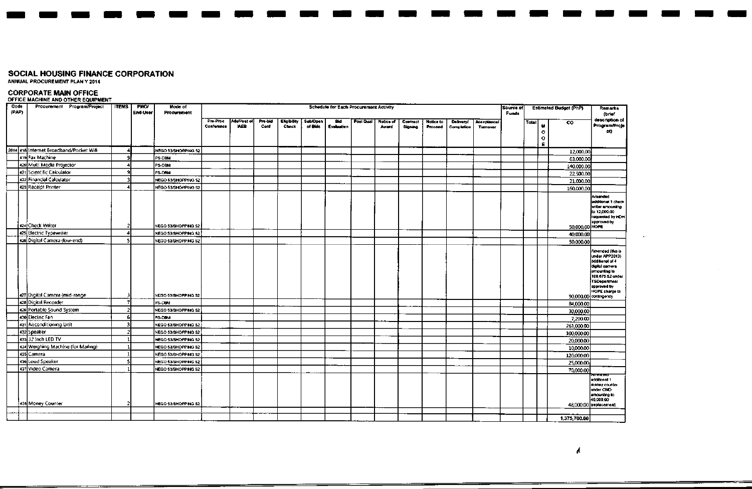ANNUAL PROCUREMENT PLAN Y 2014

## **CORPORATE MAIN OFFICE** OFFICE MACHINE AND OTHER EQUIPMENT

| Code<br>(PAP) | Procurement Program/Project             | <b>ITEMS</b> | PMO<br>End-User | Mode of<br>Procurement |                        |                           |                 |                             |                            | Schedule for Each Procurement Activity |           |                    |                     |                      |                                |                         | Source of<br><b>Funds</b> |       |                                    | <b>Estimated Budget (PhP)</b> | Remarks<br>(brief                                                                                                                                                                             |
|---------------|-----------------------------------------|--------------|-----------------|------------------------|------------------------|---------------------------|-----------------|-----------------------------|----------------------------|----------------------------------------|-----------|--------------------|---------------------|----------------------|--------------------------------|-------------------------|---------------------------|-------|------------------------------------|-------------------------------|-----------------------------------------------------------------------------------------------------------------------------------------------------------------------------------------------|
|               |                                         |              |                 |                        | Pre-Proc<br>Conference | Ads/Post of<br><b>WEB</b> | Pre-bid<br>Conf | <b>Eligibility</b><br>Check | <b>Sub/Open</b><br>of Bids | Bid<br>Evaluation                      | Post Qual | Notice of<br>Award | Contract<br>Signing | Notice to<br>Proceed | <b>Delivery!</b><br>Completion | Acceptancel<br>Turnover |                           | Total | $\mathbf{u}$<br>$\circ$<br>$\circ$ | $\overline{c}$                | description of<br>Program/Proje<br>ct)                                                                                                                                                        |
|               | 2014 418 Internet Broadband/Pocket Wifi |              |                 | NEGO S3/SHOPPING 52    |                        |                           |                 |                             |                            |                                        |           |                    |                     |                      |                                |                         |                           |       | Ε.                                 | 12,000,00                     |                                                                                                                                                                                               |
|               | 419 Fax Machine                         |              |                 | <b>PS-DBM</b>          |                        |                           |                 |                             |                            |                                        |           |                    |                     |                      |                                |                         |                           |       |                                    | 63,000.00                     |                                                                                                                                                                                               |
|               | 420 Multi Media Projector               |              |                 | <b>PS-DBM</b>          |                        |                           |                 |                             |                            |                                        |           |                    |                     |                      |                                |                         |                           |       |                                    | 140,000.00                    |                                                                                                                                                                                               |
|               | 421 Scientific Calculator               |              |                 | PS-DBM                 |                        |                           |                 |                             |                            |                                        |           |                    |                     |                      |                                |                         |                           |       |                                    | 22,500.00                     |                                                                                                                                                                                               |
|               | 422 Financial Calculator                |              |                 | NEGO 53/SHOPPING 52    |                        |                           |                 |                             |                            |                                        |           |                    |                     |                      |                                |                         |                           |       |                                    | 21,000.00                     |                                                                                                                                                                                               |
|               | 423 Receipt Printer                     |              |                 | NEGO 53/SHOPPING 52    |                        |                           |                 |                             |                            |                                        |           |                    |                     |                      |                                |                         |                           |       |                                    | 160,000,00                    |                                                                                                                                                                                               |
|               | 424 Check Writer                        |              |                 | NEGO 53/SHOPPING 52    |                        |                           |                 |                             |                            |                                        |           |                    |                     |                      |                                |                         |                           |       |                                    | 50,000,00 HOPE                | <b>Amended</b><br>additional 1 check<br>writer amounting<br>to 12,000.00<br>requested by HDH<br>approved by                                                                                   |
|               | 425 Electric Typewriter                 | Δ            |                 | NEGO 53/SHOPPING 52    |                        |                           |                 |                             |                            |                                        |           |                    |                     |                      |                                |                         |                           |       |                                    | 40,000.00                     |                                                                                                                                                                                               |
|               | 426 Digital Camera (low-end)            |              |                 | NEGO SA/SHOPPING 52    |                        |                           |                 |                             |                            |                                        |           |                    |                     |                      |                                |                         |                           |       |                                    | 50,000.00                     |                                                                                                                                                                                               |
|               | 427 Digital Camera (mid-range           |              |                 | NEGO 53/SHOPPING 52    |                        |                           |                 |                             |                            |                                        |           |                    |                     |                      |                                |                         |                           |       |                                    |                               | Amended (this is<br>under APP2013)<br>additional of 4<br>digital carnera<br>amounting to<br>108,675.52 under<br><b>TSDepartment</b><br>approved by<br>HOPE charge to<br>90,000,00 contingency |
|               | 428 Digital Recorder                    |              |                 | PS-DBM                 |                        |                           |                 |                             |                            |                                        |           |                    |                     |                      |                                |                         |                           |       |                                    | 84,000,00                     |                                                                                                                                                                                               |
|               | 429 Portable Sound System               |              |                 | NEGO 53/SHOPPING 52    |                        |                           |                 |                             |                            |                                        |           |                    |                     |                      |                                |                         |                           |       |                                    | 30,000.00                     |                                                                                                                                                                                               |
|               | 430 Electric Fan                        | 6            |                 | PS-DBM                 |                        |                           |                 |                             |                            |                                        |           |                    |                     |                      |                                |                         |                           |       |                                    | 7.200.00                      |                                                                                                                                                                                               |
|               | 431 Airconditioning Unit                | я            |                 | NEGO 53/SHOPPING 52    |                        |                           |                 |                             |                            |                                        |           |                    |                     |                      |                                |                         |                           |       |                                    | 261,000.00                    |                                                                                                                                                                                               |
|               | 432 Speaker                             |              |                 | NEGO 53/SHOPPING 52    |                        |                           |                 |                             |                            |                                        |           |                    |                     |                      |                                |                         |                           |       |                                    | 100,000.00                    |                                                                                                                                                                                               |
|               | 433 32 Inch LED TV                      |              |                 | NEGO 53/SHOPPING 52    |                        |                           |                 |                             |                            |                                        |           |                    |                     |                      |                                |                         |                           |       |                                    | 20,000.00                     |                                                                                                                                                                                               |
|               | 434 Weighing Machine (for Mailing)      |              |                 | NEGO 53/SHOPPING 52    |                        |                           |                 |                             |                            |                                        |           |                    |                     |                      |                                |                         |                           |       |                                    | 10,000.00                     |                                                                                                                                                                                               |
|               | 435 Camera                              |              |                 | NEGO 53/SHOPPING 52    |                        |                           |                 |                             |                            |                                        |           |                    |                     |                      |                                |                         |                           |       |                                    | 120,000.00                    |                                                                                                                                                                                               |
|               | 436 Loud Speaker                        |              |                 | NEGO S3/SHOPPING 52    |                        |                           |                 |                             |                            |                                        |           |                    |                     |                      |                                |                         |                           |       |                                    | 25,000.00                     |                                                                                                                                                                                               |
|               | 437 Video Camera                        |              |                 | NEGO 53/SHOPPING 52    |                        |                           |                 |                             |                            |                                        |           |                    |                     |                      |                                |                         |                           |       |                                    | 70,000,00                     |                                                                                                                                                                                               |
|               | 436 Money Counter                       |              |                 | NEGO 53/SHOPPING 52    |                        |                           |                 |                             |                            |                                        |           |                    |                     |                      |                                |                         |                           |       |                                    |                               | additional 1<br>money counter<br>under CMD<br>amounting to<br>48,000.00<br>48.000.00 (replacement)                                                                                            |
|               |                                         |              |                 |                        |                        |                           |                 |                             |                            |                                        |           |                    |                     |                      |                                |                         |                           |       |                                    |                               |                                                                                                                                                                                               |
|               |                                         |              |                 |                        |                        |                           |                 |                             |                            |                                        |           |                    |                     |                      |                                |                         |                           |       |                                    | 1,375,700.00                  |                                                                                                                                                                                               |

- -- - - - - - - - - - - - - - - - - - - - -

 $\boldsymbol{\mathcal{L}}$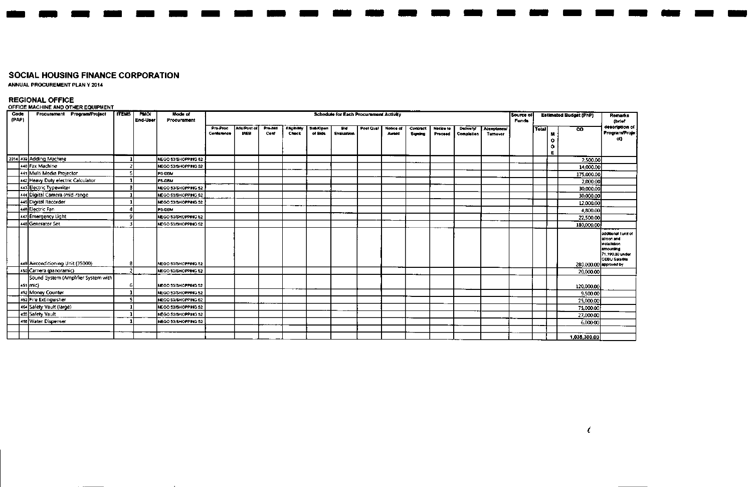$\sim$ 

**ANNUAL PROCUREMENT PLAN Y 2014**

**REGIONAL OFFICE OFFICE MACHINE AND OTHER EQUIPMENT**

| Code<br>(PAP) | Procurement Program/Project                         | <b>ITEMS</b> | <b>PMO</b> | Mode of              |                        |                            |                 |                             |                     | <b>Schedule for Each Procurement Activity</b> |           |                      |                     |                      |                                |                                       | Source of    |       |   | <b>Estimated Budget (PhP)</b> | Remarks                                                                                                     |
|---------------|-----------------------------------------------------|--------------|------------|----------------------|------------------------|----------------------------|-----------------|-----------------------------|---------------------|-----------------------------------------------|-----------|----------------------|---------------------|----------------------|--------------------------------|---------------------------------------|--------------|-------|---|-------------------------------|-------------------------------------------------------------------------------------------------------------|
|               |                                                     |              | End-User   | Procurement          |                        |                            |                 |                             |                     |                                               |           |                      |                     |                      |                                |                                       | <b>Funds</b> |       |   |                               | (brief<br>description of                                                                                    |
|               |                                                     |              |            |                      | Pre-Proc<br>Conference | Ads/Post of<br><b>IAEB</b> | Pre-bid<br>Conf | <b>Eligibility</b><br>Check | Sub/Open<br>of Bids | <b>Did</b><br>Evaluation                      | Post Qual | Notice of<br>Avenued | Contract<br>Signing | Notice to<br>Proceed | <b>Delivery!</b><br>Completion | <b>Acceptance/</b><br><b>Turnover</b> |              | Total | M | $\overline{\text{co}}$        | <b>Program/Proje</b>                                                                                        |
|               |                                                     |              |            |                      |                        |                            |                 |                             |                     |                                               |           |                      |                     |                      |                                |                                       |              |       | ۰ |                               | ct)                                                                                                         |
|               |                                                     |              |            |                      |                        |                            |                 |                             |                     |                                               |           |                      |                     |                      |                                |                                       |              |       | ۰ |                               |                                                                                                             |
|               |                                                     |              |            |                      |                        |                            |                 |                             |                     |                                               |           |                      |                     |                      |                                |                                       |              |       | E |                               |                                                                                                             |
|               | 2014 439 Adding Machine                             |              |            | NEGO 53/SHOPPING 52  |                        |                            |                 |                             |                     |                                               |           |                      |                     |                      |                                |                                       |              |       |   | 2,500.00                      |                                                                                                             |
|               | 440 Fax Machine                                     |              |            | NEGO 53/SHOPPING 52  |                        |                            |                 |                             |                     |                                               |           |                      |                     |                      |                                |                                       |              |       |   | 14,000.00                     |                                                                                                             |
|               | 441 Multi Media Projector                           |              |            | <b>PS-DBM</b>        |                        |                            |                 |                             |                     |                                               |           |                      |                     |                      |                                |                                       |              |       |   | 175,000.00                    |                                                                                                             |
|               | 442 Heavy Duty electric Calculator                  |              |            | <b>PS-DBM</b>        |                        |                            |                 |                             |                     |                                               |           |                      |                     |                      |                                |                                       |              |       |   | 2,000.00                      |                                                                                                             |
|               | 443 Electric Typewriter                             |              |            | NEGO 53/SHOPPING 52  |                        |                            |                 |                             |                     |                                               |           |                      |                     |                      |                                |                                       |              |       |   | 30,000,00                     |                                                                                                             |
|               | 444 Digital Camera (mid-range                       |              |            | NEGO S3/SHOPPING 52  |                        |                            |                 |                             |                     |                                               |           |                      |                     |                      |                                |                                       |              |       |   | 30,000.00                     |                                                                                                             |
|               | 445 Digital Recorder                                |              |            | NEGO 53/SHOPPING 52  |                        |                            |                 |                             |                     |                                               |           |                      |                     |                      |                                |                                       |              |       |   | 12,000.00                     |                                                                                                             |
|               | 446 Electric Fan                                    |              |            | <b>PS-DBM</b>        |                        |                            |                 |                             |                     |                                               |           |                      |                     |                      |                                |                                       |              |       |   | 4,800,00                      |                                                                                                             |
|               | 47 Emergency Light                                  | o            |            | NEGO 53/SHOPPING 52  |                        |                            |                 |                             |                     |                                               |           |                      |                     |                      |                                |                                       |              |       |   | 22,500.00                     |                                                                                                             |
|               | 448 Generator Set                                   |              |            | NEGO S3/SHOPPING \$2 |                        |                            |                 |                             |                     |                                               |           |                      |                     |                      |                                |                                       |              |       |   | 180,000.00                    |                                                                                                             |
|               | 449 Airconditioning Unit (35000)                    |              |            | NEGO 53/SHOPPING 52  |                        |                            |                 |                             |                     |                                               |           |                      |                     |                      |                                |                                       |              |       |   | 280,000,00 approved by        | additional 1unit of<br>aircon and<br>ns <b>leiksl</b> ion<br>amounting<br>71,190.00 under<br>CEBU Satellite |
|               | 450 Carnera (panoramic)                             | n,           |            | NEGO S3/SHOPPING S2  |                        |                            |                 |                             |                     |                                               |           |                      |                     |                      |                                |                                       |              |       |   | 20,000.00                     |                                                                                                             |
|               | Sound System (Amplifier System with ]<br>  451 mic) |              |            | NEGO 53/SHOPPING 52  |                        |                            |                 |                             |                     |                                               |           |                      |                     |                      |                                |                                       |              |       |   | 120,000.00                    |                                                                                                             |
|               | 452 Money Counter                                   |              |            | NEGO 53/SHOPPING 52  |                        |                            |                 |                             |                     |                                               |           |                      |                     |                      |                                |                                       |              |       |   | 9,500.00                      |                                                                                                             |
|               | 453 Fire Extinguisher                               |              |            | NEGO 53/SHOPPING 52  |                        |                            |                 |                             |                     |                                               |           |                      |                     |                      |                                |                                       |              |       |   | 25,000,00                     |                                                                                                             |
|               | 464 Safety Vault (large)                            |              |            | NEGO 53/SHOPPING 52  |                        |                            |                 |                             |                     |                                               |           |                      |                     |                      |                                |                                       |              |       |   | 75,000.00                     |                                                                                                             |
|               | 455 Safety Vault                                    |              |            | NEGO S3/SHOPPING 52  |                        |                            |                 |                             |                     |                                               |           |                      |                     |                      |                                |                                       |              |       |   | 27,000.00                     |                                                                                                             |
|               | 456 Water Dispenser                                 |              |            | NEGO 53/SHOPPING 52  |                        |                            |                 |                             |                     |                                               |           |                      |                     |                      |                                |                                       |              |       |   | 6,000.00                      |                                                                                                             |
|               |                                                     |              |            |                      |                        |                            |                 |                             |                     |                                               |           |                      |                     |                      |                                |                                       |              |       |   |                               |                                                                                                             |
|               |                                                     |              |            |                      |                        |                            |                 |                             |                     |                                               |           |                      |                     |                      |                                |                                       |              |       |   | 1,035,300.00                  |                                                                                                             |

------- --- -- - - -- - -- -

*i*

- - -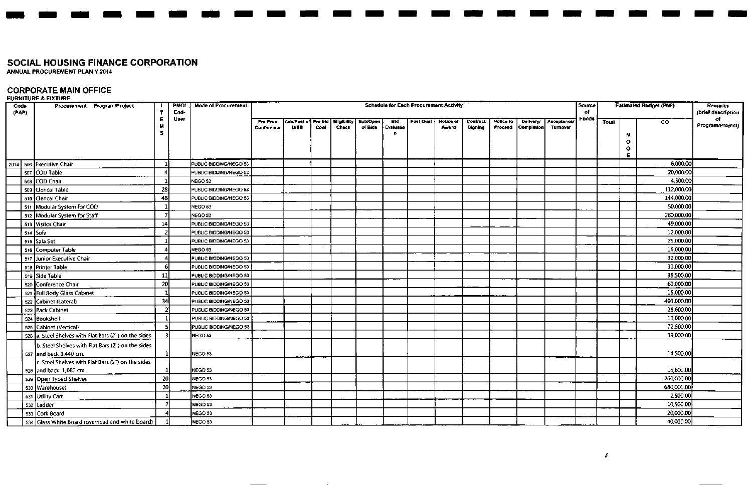ANNUAL PROCUREMENT PLAN Y 2014

### **CORPORATE MAIN OFFICE**

#### FURNITURE & FIXTURI

| Code<br>(PAP) | Procurement Program/Project                           |                | <b>PMO/</b><br>End- | <b>Mode of Procurement</b> |                        |             |      |       |                                                         |                  | <b>Schedule for Each Procurement Activity</b> |                           |                     |                             |                                |                        | Source<br>$\mathbf{C}$ |       |   | <b>Estimated Budget (PhP)</b> | <b>Remarks</b><br>(brief description |
|---------------|-------------------------------------------------------|----------------|---------------------|----------------------------|------------------------|-------------|------|-------|---------------------------------------------------------|------------------|-----------------------------------------------|---------------------------|---------------------|-----------------------------|--------------------------------|------------------------|------------------------|-------|---|-------------------------------|--------------------------------------|
|               |                                                       | Ε.<br>M        | User                |                            | Pre-Proc<br>Conference | <b>IAEB</b> | Conf | Check | Ada/Post of Pre-bid   Eligibility   Sub/Open<br>of Bids | Bld<br>Evaluatio | <b>Post Qual</b>                              | <b>Notice of</b><br>Award | Contract<br>Signing | <b>Notice to</b><br>Proceed | <b>Delivery/</b><br>Completion | Acceptance/<br>Tumover | Funds                  | Total |   | $\overline{c}$                | of<br>Program/Project)               |
|               |                                                       | s              |                     |                            |                        |             |      |       |                                                         | n                |                                               |                           |                     |                             |                                |                        |                        |       | o |                               |                                      |
|               |                                                       |                |                     |                            |                        |             |      |       |                                                         |                  |                                               |                           |                     |                             |                                |                        |                        |       | ٥ |                               |                                      |
|               |                                                       |                |                     |                            |                        |             |      |       |                                                         |                  |                                               |                           |                     |                             |                                |                        |                        |       | Е |                               |                                      |
|               | 2014   506 Executive Chair                            |                |                     | PUBLIC BIDDING/NEGO 53     |                        |             |      |       |                                                         |                  |                                               |                           |                     |                             |                                |                        |                        |       |   | 6.000.00                      |                                      |
|               | soz COD Table                                         | 4              |                     | PUBLIC BIDDING/NEGO 53     |                        |             |      |       |                                                         |                  |                                               |                           |                     |                             |                                |                        |                        |       |   | 20,000.00                     |                                      |
|               | 508 COD Chair                                         |                |                     | NEGO 53                    |                        |             |      |       |                                                         |                  |                                               |                           |                     |                             |                                |                        |                        |       |   | 4.500.00                      |                                      |
|               | 509 Clerical Table                                    | 28             |                     | PUBLIC BIDDING/NEGO 53     |                        |             |      |       |                                                         |                  |                                               |                           |                     |                             |                                |                        |                        |       |   | 112,000.00                    |                                      |
|               | 510 Clerical Chair                                    | 48             |                     | PUBLIC BIDDING/NEGO 53     |                        |             |      |       |                                                         |                  |                                               |                           |                     |                             |                                |                        |                        |       |   | 144,000.00                    |                                      |
|               | 511 Modular System for COD                            |                |                     | NEGO 53                    |                        |             |      |       |                                                         |                  |                                               |                           |                     |                             |                                |                        |                        |       |   | 50,000.00                     |                                      |
|               | 512 Modular System for Staff                          | 7              |                     | NEGO 53                    |                        |             |      |       |                                                         |                  |                                               |                           |                     |                             |                                |                        |                        |       |   | 280,000.00                    |                                      |
|               | 513 Visitor Chair                                     | 14             |                     | PUBLIC BIDDING/NEGO 53     |                        |             |      |       |                                                         |                  |                                               |                           |                     |                             |                                |                        |                        |       |   | 49,000.00                     |                                      |
|               | 514 Sofa                                              | $\overline{2}$ |                     | PUBLIC BIDDING/NEGO 53     |                        |             |      |       |                                                         |                  |                                               |                           |                     |                             |                                |                        |                        |       |   | 12,000.00                     |                                      |
|               | 515 Sala Set                                          |                |                     | PUBLIC BIDDING/NEGO 53     |                        |             |      |       |                                                         |                  |                                               |                           |                     |                             |                                |                        |                        |       |   | 25,000.00                     |                                      |
|               | 516 Computer Table                                    | 4              |                     | NEGO 53                    |                        |             |      |       |                                                         |                  |                                               |                           |                     |                             |                                |                        |                        |       |   | 16,000.00                     |                                      |
|               | 517 Junior Executive Chair                            | 4              |                     | PUBLIC BIDDING/NEGO 53     |                        |             |      |       |                                                         |                  |                                               |                           |                     |                             |                                |                        |                        |       |   | 32,000.00                     |                                      |
|               | 518 Printer Table                                     | 6              |                     | PUBLIC BIDDING/NEGO 53     |                        |             |      |       |                                                         |                  |                                               |                           |                     |                             |                                |                        |                        |       |   | 30,000.00                     |                                      |
|               | 519 Side Table                                        | 11             |                     | PUBLIC BIDDING/NEGO 53     |                        |             |      |       |                                                         |                  |                                               |                           |                     |                             |                                |                        |                        |       |   | 38,500.00                     |                                      |
|               | 520 Conference Chair                                  | 20             |                     | PUBLIC BIDDING/NEGO 53     |                        |             |      |       |                                                         |                  |                                               |                           |                     |                             |                                |                        |                        |       |   | 60,000.00                     |                                      |
|               | 521 Full Body Glass Cabinet                           | -1             |                     | PUBLIC BIDDING/NEGO 53     |                        |             |      |       |                                                         |                  |                                               |                           |                     |                             |                                |                        |                        |       |   | 15,000.00                     |                                      |
|               | 522 Cabinet (Lateral)                                 | 34             |                     | PUBLIC BIDDING/NEGO 53     |                        |             |      |       |                                                         |                  |                                               |                           |                     |                             |                                |                        |                        |       |   | 493,000.00                    |                                      |
|               | 523 Back Cabinet                                      | $\overline{2}$ |                     | PUBLIC BIDDING/NEGO 53     |                        |             |      |       |                                                         |                  |                                               |                           |                     |                             |                                |                        |                        |       |   | 28,600.00                     |                                      |
|               | 524 Bookshelf                                         | $\mathbf{1}$   |                     | PUBLIC BIDDING/NEGO 53     |                        |             |      |       |                                                         |                  |                                               |                           |                     |                             |                                |                        |                        |       |   | 10,000.00                     |                                      |
|               | 525 Cabinet (Vertical)                                | s              |                     | PUBLIC BIDDING/NEGO 53     |                        |             |      |       |                                                         |                  |                                               |                           |                     |                             |                                |                        |                        |       |   | 72,500.00                     |                                      |
|               | 526 a. Steel Shelves with Flat Bars (2") on the sides | R              |                     | NEGO 53                    |                        |             |      |       |                                                         |                  |                                               |                           |                     |                             |                                |                        |                        |       |   | 39,000.00                     |                                      |
|               | b. Steel Shelves with Flat Bars (2") on the sides     |                |                     |                            |                        |             |      |       |                                                         |                  |                                               |                           |                     |                             |                                |                        |                        |       |   |                               |                                      |
|               | 527 and back 1.440 cm.                                |                |                     | NEGO 53                    |                        |             |      |       |                                                         |                  |                                               |                           |                     |                             |                                |                        |                        |       |   | 14,500.00                     |                                      |
|               | c. Steel Shelves with Flat Bars (2") on the sides     |                |                     |                            |                        |             |      |       |                                                         |                  |                                               |                           |                     |                             |                                |                        |                        |       |   |                               |                                      |
|               | 528 and back 1,660 cm.                                |                |                     | NEGO 53                    |                        |             |      |       |                                                         |                  |                                               |                           |                     |                             |                                |                        |                        |       |   | 15,600.00                     |                                      |
|               | 529 Open Typed Shelves                                | 20             |                     | NEGO 53                    |                        |             |      |       |                                                         |                  |                                               |                           |                     |                             |                                |                        |                        |       |   | 260,000.00                    |                                      |
|               | 530 Warehouse)                                        | 20             |                     | NEGO 53                    |                        |             |      |       |                                                         |                  |                                               |                           |                     |                             |                                |                        |                        |       |   | 680,000.00                    |                                      |
|               | 531 Utility Cart                                      |                |                     | NEGO 53                    |                        |             |      |       |                                                         |                  |                                               |                           |                     |                             |                                |                        |                        |       |   | 2,500.00                      |                                      |
|               | 532 Ladder                                            | -7             |                     | NEGO 53                    |                        |             |      |       |                                                         |                  |                                               |                           |                     |                             |                                |                        |                        |       |   | 10,500.00                     |                                      |
|               | 533 Cork Board                                        |                |                     | NEGO 53                    |                        |             |      |       |                                                         |                  |                                               |                           |                     |                             |                                |                        |                        |       |   | 20,000.00                     |                                      |
|               | 534 Glass White Board (overhead and white board)      |                |                     | NEGO 53                    |                        |             |      |       |                                                         |                  |                                               |                           |                     |                             |                                |                        |                        |       |   | 40,000,00                     |                                      |

- - - - - - - - - - - - - - - - - - - - - - -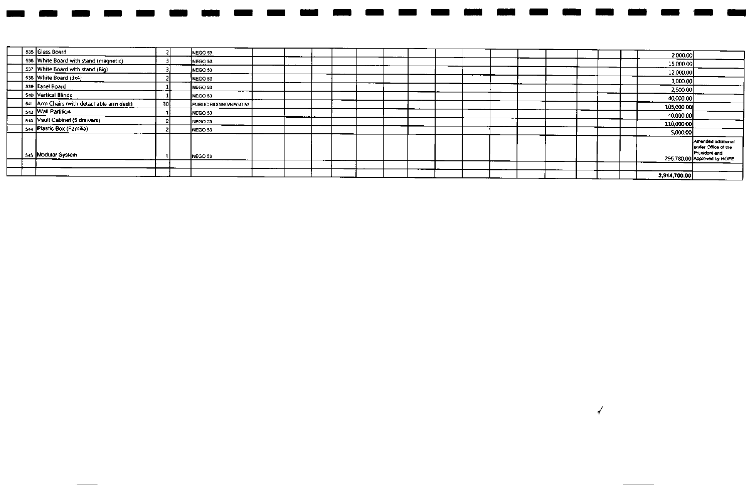|                                                            |                 |                        |  |  |  |  |  |  |  | 2,914,700.00 |                                                                                           |
|------------------------------------------------------------|-----------------|------------------------|--|--|--|--|--|--|--|--------------|-------------------------------------------------------------------------------------------|
|                                                            |                 |                        |  |  |  |  |  |  |  |              |                                                                                           |
| 545 Modular System                                         |                 | NEGO 53                |  |  |  |  |  |  |  |              | Amended additional<br>under Office of the<br>President and<br>296,780.00 Approved by HOPE |
|                                                            |                 | NEGO 53                |  |  |  |  |  |  |  | 5,000,00     |                                                                                           |
| 543 Vault Cabinet (5 drawers)<br>544 Plastic Box (Familia) |                 | NEGO 53                |  |  |  |  |  |  |  | 110,000.00   |                                                                                           |
| 542 Wall Partition                                         |                 | NEGO 53                |  |  |  |  |  |  |  | 40,000.00    |                                                                                           |
| 541 Arm Chairs (with detachable arm desk)                  | 30 <sup>1</sup> | PUBLIC BIDDING/NEGO 53 |  |  |  |  |  |  |  | 105,000,00   |                                                                                           |
| 540 Vertical Blinds                                        |                 | NEGO 53                |  |  |  |  |  |  |  | 40,000.00    |                                                                                           |
| 539 Easel Board                                            |                 | NEGO 53                |  |  |  |  |  |  |  | 2,500,00     |                                                                                           |
| 538 White Board (3x4)                                      |                 | NEGO 53                |  |  |  |  |  |  |  | 3,000.00     |                                                                                           |
| 537 White Board with stand (Big)                           |                 | NEGO 53                |  |  |  |  |  |  |  | 12,000.00    |                                                                                           |
| 536 White Board with stand (magnetic)                      |                 | NEGO 53                |  |  |  |  |  |  |  | 15,000.00    |                                                                                           |
|                                                            |                 | NEGO 53                |  |  |  |  |  |  |  | 2,000.00     |                                                                                           |
| 535 Glass Board                                            |                 |                        |  |  |  |  |  |  |  |              |                                                                                           |

 $\sqrt{ }$ 

- - - - - - - - - - - - - - - - - - - - - -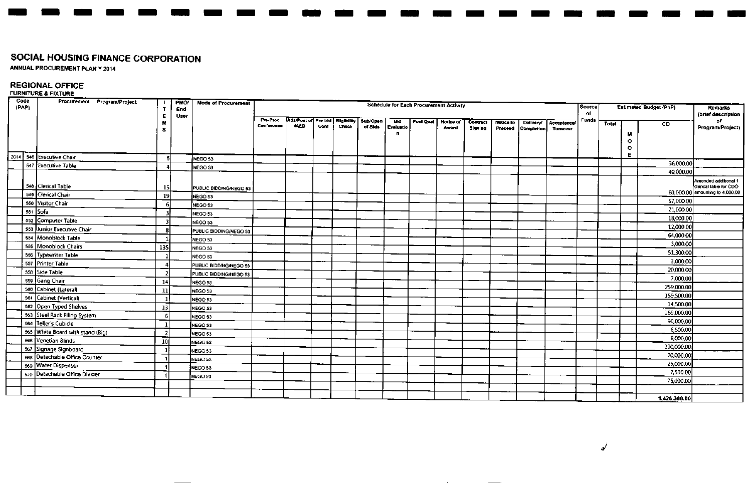**ANNUAL PROCUREMENT PLAN Y 2014** 

## **REGIONAL OFFICE**

### **FURNITURE & FIXTURE**

| Code<br>(PAP) | Procurement Program/Project              | т<br>Е                  | <b>PMO/</b><br>End-<br>User | <b>Mode of Procurement</b>        |                        |                                                |      |       |                     |                         | <b>Schedule for Each Procurement Activity</b> |                    |                     |                      |                                |                                | Source<br>of |       |                           | <b>Estimated Budget (PhP)</b> | <b>Remarks</b><br>(brief description                                             |
|---------------|------------------------------------------|-------------------------|-----------------------------|-----------------------------------|------------------------|------------------------------------------------|------|-------|---------------------|-------------------------|-----------------------------------------------|--------------------|---------------------|----------------------|--------------------------------|--------------------------------|--------------|-------|---------------------------|-------------------------------|----------------------------------------------------------------------------------|
|               |                                          | M<br>s.                 |                             |                                   | Pre-Proc<br>Conference | Adu/Post of Pre-bid Eligibility<br><b>IAEB</b> | Conf | Check | Sub/Open<br>of Bids | Bid<br><b>Evaluatio</b> | Post Qual                                     | Notice of<br>Award | Contract<br>Signing | Notice to<br>Proceed | Delivery/<br><b>Completion</b> | Acceptance/<br><b>Turnover</b> | Fund*        | Total | N                         | $\overline{c}$                | оf<br>Program/Project)                                                           |
|               |                                          |                         |                             |                                   |                        |                                                |      |       |                     |                         |                                               |                    |                     |                      |                                |                                |              |       | $\circ$<br>$\bullet$<br>Е |                               |                                                                                  |
|               | 2014 546 Executive Chair                 | -6                      |                             | NEGO 53                           |                        |                                                |      |       |                     |                         |                                               |                    |                     |                      |                                |                                |              |       |                           | 36,000.00                     |                                                                                  |
|               | 547 Executive Table                      |                         |                             | NEGO 53                           |                        |                                                |      |       |                     |                         |                                               |                    |                     |                      |                                |                                |              |       |                           | 40,000.00                     |                                                                                  |
|               | 548 Clerical Table<br>549 Clerical Chair | 15                      |                             | PUBLIC BIDDING/NEGO 53            |                        |                                                |      |       |                     |                         |                                               |                    |                     |                      |                                |                                |              |       |                           |                               | Amended additional 1<br>derical table for CDO<br>60,000,00 amounting to 4,000.00 |
|               | 550 Visitor Chair                        | 19                      |                             | NEGO 53                           |                        |                                                |      |       |                     |                         |                                               |                    |                     |                      |                                |                                |              |       |                           | 57,000.00                     |                                                                                  |
|               | 551 Sofa                                 | 6                       |                             | NEGO 53                           |                        |                                                |      |       |                     |                         |                                               |                    |                     |                      |                                |                                |              |       |                           | 21,000.00                     |                                                                                  |
|               | 552 Computer Table                       | 3                       |                             | NEGO 53                           |                        |                                                |      |       |                     |                         |                                               |                    |                     |                      |                                |                                |              |       |                           | 18,000.00                     |                                                                                  |
|               | 553 Junior Executive Chair               | $\overline{\mathbf{3}}$ |                             | NEGO 53                           |                        |                                                |      |       |                     |                         |                                               |                    |                     |                      |                                |                                |              |       |                           | 12,000.00                     |                                                                                  |
|               | 554 Monoblock Table                      | 8                       |                             | PUBLIC BIDDING/NEGO 53            |                        |                                                |      |       |                     |                         |                                               |                    |                     |                      |                                |                                |              |       |                           | 64,000.00                     |                                                                                  |
|               | 555 Monoblock Chairs                     | 135                     |                             | NEGO 53                           |                        |                                                |      |       |                     |                         |                                               |                    |                     |                      |                                |                                |              |       |                           | 3,000,00                      |                                                                                  |
|               | 556 Typewriter Table                     |                         |                             | NEGO 53                           |                        |                                                |      |       |                     |                         |                                               |                    |                     |                      |                                |                                |              |       |                           | 51,300.00                     |                                                                                  |
|               | 557 Printer Table                        |                         |                             | NEGO 53                           |                        |                                                |      |       |                     |                         |                                               |                    |                     |                      |                                |                                |              |       |                           | 3,000.00                      |                                                                                  |
|               | 558 Side Table                           |                         |                             | PUBLIC BIDDING/NEGO 53            |                        |                                                |      |       |                     |                         |                                               |                    |                     |                      |                                |                                |              |       |                           | 20,000.00                     |                                                                                  |
|               | 559 Gang Chair                           | 14                      |                             | PUBLIC BIDDING/NEGO 53<br>NEGO 53 |                        |                                                |      |       |                     |                         |                                               |                    |                     |                      |                                |                                |              |       |                           | 7,000.00                      |                                                                                  |
|               | 560 Cabinet (Lateral)                    | 11                      |                             | NEGO 53                           |                        |                                                |      |       |                     |                         |                                               |                    |                     |                      |                                |                                |              |       |                           | 259,000.00                    |                                                                                  |
|               | 561 Cabinet (Vertical)                   | $\mathbf{1}$            |                             | NEGO 53                           |                        |                                                |      |       |                     |                         |                                               |                    |                     |                      |                                |                                |              |       |                           | 159,500.00                    |                                                                                  |
|               | 562 Open Typed Shelves                   | 13                      |                             | NEGO 53                           |                        |                                                |      |       |                     |                         |                                               |                    |                     |                      |                                |                                |              |       |                           | 14,500.00                     |                                                                                  |
|               | 563 Steel Rack Filing System             | 6                       |                             | NEGO 53                           |                        |                                                |      |       |                     |                         |                                               |                    |                     |                      |                                |                                |              |       |                           | 169,000,00                    |                                                                                  |
|               | 564 Teller's Cubicle                     | -11                     |                             | NEGO 53                           |                        |                                                |      |       |                     |                         |                                               |                    |                     |                      |                                |                                |              |       |                           | 90,000,00                     |                                                                                  |
|               | 565 White Board with stand (Big)         | -21                     |                             | NEGO 53                           |                        |                                                |      |       |                     |                         |                                               |                    |                     |                      |                                |                                |              |       |                           | 6,500,00                      |                                                                                  |
|               | 566 Venetian Blinds                      | 10 <sup>1</sup>         |                             | NEGO 53                           |                        |                                                |      |       |                     |                         |                                               |                    |                     |                      |                                |                                |              |       |                           | 8,000.00                      |                                                                                  |
|               | 567 Signage Signboard                    |                         |                             | NEGO 53                           |                        |                                                |      |       |                     |                         |                                               |                    |                     |                      |                                |                                |              |       |                           | 200,000,00                    |                                                                                  |
|               | 568 Detachable Office Counter            |                         |                             | NEGO 53                           |                        |                                                |      |       |                     |                         |                                               |                    |                     |                      |                                |                                |              |       |                           | 20,000.00                     |                                                                                  |
|               | 569 Water Dispenser                      |                         |                             | NEGO 53                           |                        |                                                |      |       |                     |                         |                                               |                    |                     |                      |                                |                                |              |       |                           | 25,000.00                     |                                                                                  |
|               | 570 Detachable Office Divider            |                         |                             | NEGO 53                           |                        |                                                |      |       |                     |                         |                                               |                    |                     |                      |                                |                                |              |       |                           | 7,500.00                      |                                                                                  |
|               |                                          |                         |                             |                                   |                        |                                                |      |       |                     |                         |                                               |                    |                     |                      |                                |                                |              |       |                           | 75,000.00                     |                                                                                  |
|               |                                          |                         |                             |                                   |                        |                                                |      |       |                     |                         |                                               |                    |                     |                      |                                |                                |              |       |                           |                               |                                                                                  |
|               |                                          |                         |                             |                                   |                        |                                                |      |       |                     |                         |                                               |                    |                     |                      |                                |                                |              |       |                           | 1,426,300.00                  |                                                                                  |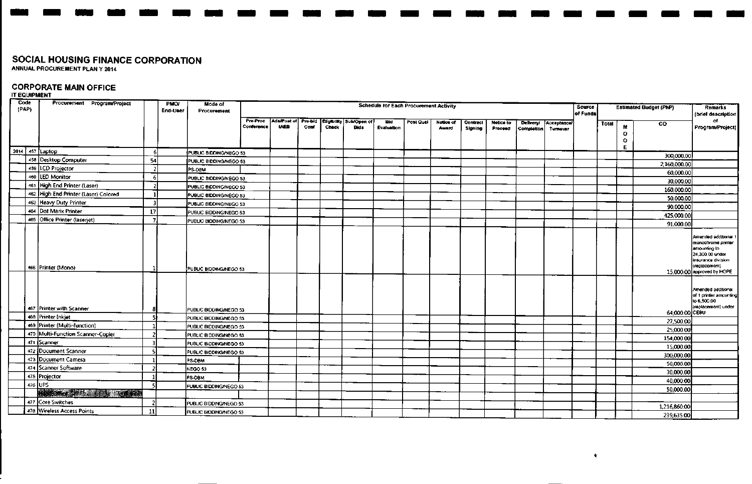# **CORPORATE MAIN OFFICE**

| Code<br>(PAP) |                                                | Procurement Program/Project          |        | <b>PMO/</b><br>End-User | Mode of<br>Procurement        |                        |             |      |       |                                                            | <b>Schedule for Each Procurement Activity</b> |           |                    |                     |                      |                         |                                | Source<br>of Funds |       |              | <b>Estimated Budget (PhP)</b> | Remarks<br>(brief description                                                                                                                      |
|---------------|------------------------------------------------|--------------------------------------|--------|-------------------------|-------------------------------|------------------------|-------------|------|-------|------------------------------------------------------------|-----------------------------------------------|-----------|--------------------|---------------------|----------------------|-------------------------|--------------------------------|--------------------|-------|--------------|-------------------------------|----------------------------------------------------------------------------------------------------------------------------------------------------|
|               |                                                |                                      |        |                         |                               | Pro-Proc<br>Conference | <b>IAEB</b> | Conf | Check | Ada/Post of Pre-bld Eligibility Sub/Open of<br><b>Bids</b> | Bid<br>Evaluation                             | Post Qual | Notice of<br>Award | Contract<br>Signing | Notice to<br>Proceed | Delivery/<br>Completion | <b>Acceptancel</b><br>Turnover |                    | Total | M<br>$\circ$ | $_{\rm co}$                   | of.<br>Program/Project)                                                                                                                            |
|               |                                                |                                      |        |                         |                               |                        |             |      |       |                                                            |                                               |           |                    |                     |                      |                         |                                |                    |       | ۰            |                               |                                                                                                                                                    |
| 2014          | 457 Laptop                                     |                                      | -6     |                         | PUBLIC BIDDING/NEGO 53        |                        |             |      |       |                                                            |                                               |           |                    |                     |                      |                         |                                |                    |       |              | 300,000.00                    |                                                                                                                                                    |
|               | 458 Desktop Computer                           |                                      | -54    |                         | PUBLIC BIDDING/NEGO 53        |                        |             |      |       |                                                            |                                               |           |                    |                     |                      |                         |                                |                    |       |              | 2,160,000.00                  |                                                                                                                                                    |
|               | 459   LCD Projector                            |                                      |        |                         | PS-DBM                        |                        |             |      |       |                                                            |                                               |           |                    |                     |                      |                         |                                |                    |       |              | 60,000.00                     |                                                                                                                                                    |
|               | 460 LED Monitor                                |                                      | -61    |                         | PUBLIC BIDDING/NEGO 53        |                        |             |      |       |                                                            |                                               |           |                    |                     |                      |                         |                                |                    |       |              | 30,000.00                     |                                                                                                                                                    |
|               |                                                | 461 High End Printer (Laser)         |        |                         | PUBLIC BIDDING/NEGO 53        |                        |             |      |       |                                                            |                                               |           |                    |                     |                      |                         |                                |                    |       |              | 160,000.00                    |                                                                                                                                                    |
|               |                                                | 462 High End Printer (Laser) Colored |        |                         | PUBLIC BIDDING/NEGO 53        |                        |             |      |       |                                                            |                                               |           |                    |                     |                      |                         |                                |                    |       |              | 50,000.00                     |                                                                                                                                                    |
|               | 463 Heavy Duty Printer                         |                                      |        |                         | PUBLIC BIDDING/NEGO 53        |                        |             |      |       |                                                            |                                               |           |                    |                     |                      |                         |                                |                    |       |              | 90,000,00                     |                                                                                                                                                    |
|               | 464 Dot Marix Printer                          |                                      | 17     |                         | PUBLIC BIDDING/NEGO 53        |                        |             |      |       |                                                            |                                               |           |                    |                     |                      |                         |                                |                    |       |              | 425,000.00                    |                                                                                                                                                    |
|               |                                                | 465 Office Printer (laserjet)        | 7      |                         | PUBLIC BIODING/NEGO 53        |                        |             |      |       |                                                            |                                               |           |                    |                     |                      |                         |                                |                    |       |              | 91,000.00                     |                                                                                                                                                    |
|               | 466 Printer (Mono)                             |                                      |        |                         | PUBLIC BIDDING/NEGO 53        |                        |             |      |       |                                                            |                                               |           |                    |                     |                      |                         |                                |                    |       |              |                               | Amended additional 1<br>monochrome printer<br>amounting to<br>24,300.00 under<br>insurance division<br>(replacement)<br>15,000,00 approved by HOPE |
|               | 467 Printer with Scanner<br>468 Printer Inkiet |                                      |        |                         | PUBLIC BIDDING/NEGO 53        |                        |             |      |       |                                                            |                                               |           |                    |                     |                      |                         |                                |                    |       |              | 64,000.00 CEBU                | Amended additional<br>of 1 printer amounting<br>to 6,500.00<br>(replacement) under                                                                 |
|               |                                                | 469 Printer (Multi-function)         | 5      |                         | PUBLIC BIDDING/NEGO 53        |                        |             |      |       |                                                            |                                               |           |                    |                     |                      |                         |                                |                    |       |              | 27,500.00                     |                                                                                                                                                    |
|               |                                                | 470 Multi-Function Scanner-Copier    |        |                         | PUBLIC BIDDING/NEGO 53        |                        |             |      |       |                                                            |                                               |           |                    |                     |                      |                         |                                |                    |       |              | 25,000.00                     |                                                                                                                                                    |
|               | 471 Scanner                                    |                                      |        |                         | PUBLIC BIDDING/NEGO 53        |                        |             |      |       |                                                            |                                               |           |                    |                     |                      |                         |                                |                    |       |              | 154,000.00                    |                                                                                                                                                    |
|               | 472 Document Scanner                           |                                      | Е<br>5 |                         | PUBLIC BIDDING/NEGO 53        |                        |             |      |       |                                                            |                                               |           |                    |                     |                      |                         |                                |                    |       |              | 15,000.00                     |                                                                                                                                                    |
|               | 473 Document Camera                            |                                      | -1     |                         | <b>FUBLIC BIDDING/NEGO 53</b> |                        |             |      |       |                                                            |                                               |           |                    |                     |                      |                         |                                |                    |       |              | 300,000.00                    |                                                                                                                                                    |
|               | 474 Scanner Software                           |                                      | 2      |                         | PS-DBM                        |                        |             |      |       |                                                            |                                               |           |                    |                     |                      |                         |                                |                    |       |              | 50,000.00                     |                                                                                                                                                    |
|               | 475 Projector                                  |                                      |        |                         | NEGO 53                       |                        |             |      |       |                                                            |                                               |           |                    |                     |                      |                         |                                |                    |       |              | 30,000.00                     |                                                                                                                                                    |
|               | 476 UPS                                        |                                      |        |                         | PS-DBM                        |                        |             |      |       |                                                            |                                               |           |                    |                     |                      |                         |                                |                    |       |              | 40,000.00                     |                                                                                                                                                    |
|               |                                                | <b>NAMES AND DESCRIPTION</b>         |        |                         | PUBLIC BIDDING/NEGO 53        |                        |             |      |       |                                                            |                                               |           |                    |                     |                      |                         |                                |                    |       |              | 50,000.00                     |                                                                                                                                                    |
|               | 477 Core Switches                              |                                      |        |                         |                               |                        |             |      |       |                                                            |                                               |           |                    |                     |                      |                         |                                |                    |       |              |                               |                                                                                                                                                    |
|               |                                                | 478 Wireless Access Points           |        |                         | PUBLIC BIDDING/NEGO 53        |                        |             |      |       |                                                            |                                               |           |                    |                     |                      |                         |                                |                    |       |              | 1,216,860.00                  |                                                                                                                                                    |
|               |                                                |                                      | 11     |                         | PUBLIC BIODING/NEGO 53        |                        |             |      |       |                                                            |                                               |           |                    |                     |                      |                         |                                |                    |       |              | 239,635.00                    |                                                                                                                                                    |

 $\langle \rangle$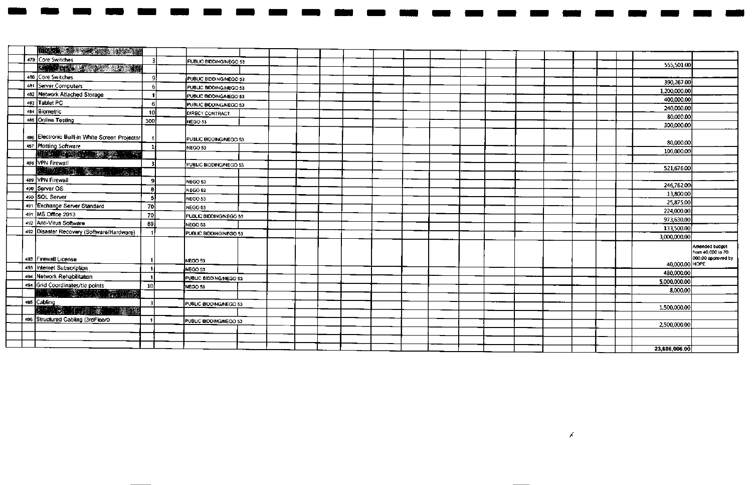|  | <b>The Communication of the Communication</b>                                                                                                                                                                                                                                                                                                                                                            |     |                        |                |                                                            |
|--|----------------------------------------------------------------------------------------------------------------------------------------------------------------------------------------------------------------------------------------------------------------------------------------------------------------------------------------------------------------------------------------------------------|-----|------------------------|----------------|------------------------------------------------------------|
|  | 479 Core Switches                                                                                                                                                                                                                                                                                                                                                                                        | 3   | PUBLIC BIDDING/NEGO 53 | 555,501.00     |                                                            |
|  | <b>START CONSTRUCTION</b>                                                                                                                                                                                                                                                                                                                                                                                |     |                        |                |                                                            |
|  | 480 Core Switches                                                                                                                                                                                                                                                                                                                                                                                        | O   | PUBLIC BIDDING/NEGO 53 | 390,267.00     |                                                            |
|  | 481 Server Computers                                                                                                                                                                                                                                                                                                                                                                                     |     | PUBLIC BIODING/NEGO 53 | 1,200,000.00   |                                                            |
|  | 482 Metwork Atlached Storage                                                                                                                                                                                                                                                                                                                                                                             |     | PUBLIC BIDDING/NEGO 53 | 400,000,00     |                                                            |
|  | 483 Tablet PC                                                                                                                                                                                                                                                                                                                                                                                            | -6  | PUBLIC BIDDING/NEGO 53 | 240,000.00     |                                                            |
|  | 484 Biometric                                                                                                                                                                                                                                                                                                                                                                                            | 10  | <b>DIRECT CONTRACT</b> |                |                                                            |
|  | 485 Online Testing                                                                                                                                                                                                                                                                                                                                                                                       | 300 | NEGO 53                | 80,000.00      |                                                            |
|  | 486 Electronic Built-in White Screen Projector                                                                                                                                                                                                                                                                                                                                                           |     | PUBLIC BIDDING/NEGO 53 | 300,000.00     |                                                            |
|  | 487 Plotting Software                                                                                                                                                                                                                                                                                                                                                                                    |     | NEGO <sub>53</sub>     | 80,000.00      |                                                            |
|  | $\begin{bmatrix} \frac{1}{2} & \frac{1}{2} & \frac{1}{2} & \frac{1}{2} & \frac{1}{2} & \frac{1}{2} & \frac{1}{2} & \frac{1}{2} & \frac{1}{2} & \frac{1}{2} & \frac{1}{2} & \frac{1}{2} & \frac{1}{2} & \frac{1}{2} & \frac{1}{2} & \frac{1}{2} & \frac{1}{2} & \frac{1}{2} & \frac{1}{2} & \frac{1}{2} & \frac{1}{2} & \frac{1}{2} & \frac{1}{2} & \frac{1}{2} & \frac{1}{2} & \frac{1}{2} & \frac{1}{2$ |     |                        | 100,000.00     |                                                            |
|  | 488 VPN Firewall                                                                                                                                                                                                                                                                                                                                                                                         |     | PUBLIC BIDDING/NEGO 53 |                |                                                            |
|  | KUTERALIST WARRANT                                                                                                                                                                                                                                                                                                                                                                                       |     |                        | 521,676.00     |                                                            |
|  | 489 VPN Firewall                                                                                                                                                                                                                                                                                                                                                                                         | -O  | NEGO 53                |                |                                                            |
|  | 490 Server OS                                                                                                                                                                                                                                                                                                                                                                                            | я   | NEGO 53                | 246,762.00     |                                                            |
|  | 490 SQL Server                                                                                                                                                                                                                                                                                                                                                                                           | 5   | NEGO 53                | 13,800.00      |                                                            |
|  | 491 Exchange Server Standard                                                                                                                                                                                                                                                                                                                                                                             | 70  | NEGO 53                | 25,875.00      |                                                            |
|  | 491 MS Office 2013                                                                                                                                                                                                                                                                                                                                                                                       | 70  | PUBLIC BIDDING/NEGO 53 | 224,000.00     |                                                            |
|  | 492 Anti-Virus Software                                                                                                                                                                                                                                                                                                                                                                                  | 89  | NEGO 53                | 973,630.00     |                                                            |
|  | 492 Disaster Recovery (Software/Hardware)                                                                                                                                                                                                                                                                                                                                                                |     |                        | 133,500.00     |                                                            |
|  |                                                                                                                                                                                                                                                                                                                                                                                                          |     | PUBLIC BIDDING/NEGO 53 | 3,000,000.00   |                                                            |
|  | 493 Firewall License<br>493 Internet Subscription                                                                                                                                                                                                                                                                                                                                                        | -11 | NEGO 53                | 40,000.00 HOPE | Amended budget<br>from 40,000 to 70.<br>000.00 approved by |
|  | 494 Network Rehabilitation                                                                                                                                                                                                                                                                                                                                                                               |     | NEGO 53                | 480,000.00     |                                                            |
|  | 494 Grid Coordinates/tie points                                                                                                                                                                                                                                                                                                                                                                          |     | PUBLIC BIDDING/NEGO 53 | 5,000,000.00   |                                                            |
|  | ett på 1998 till 1998 i 1999 på                                                                                                                                                                                                                                                                                                                                                                          | 10  | NEGO 53                | 8,000.00       |                                                            |
|  | 495 Cabling                                                                                                                                                                                                                                                                                                                                                                                              |     |                        |                |                                                            |
|  | BARAN STER OR THERE                                                                                                                                                                                                                                                                                                                                                                                      |     | PUBLIC BIDDING/NEGO 53 | 1,500,000,00   |                                                            |
|  | 496 Structured Cabling (3rdFloor0                                                                                                                                                                                                                                                                                                                                                                        |     |                        |                |                                                            |
|  |                                                                                                                                                                                                                                                                                                                                                                                                          |     | PUBLIC BIDDING/NEGO 53 | 2,500,000.00   |                                                            |
|  |                                                                                                                                                                                                                                                                                                                                                                                                          |     |                        |                |                                                            |
|  |                                                                                                                                                                                                                                                                                                                                                                                                          |     |                        |                |                                                            |
|  |                                                                                                                                                                                                                                                                                                                                                                                                          |     |                        | 23,606,006.00  |                                                            |

 $\overline{\mathcal{L}}$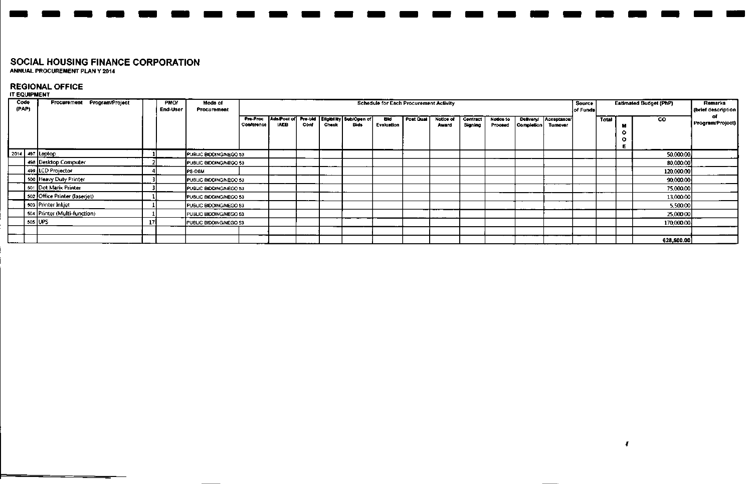ANNUAL PROCUREMENT PLAN Y 2014

#### **REGIONAL OFFICE**

#### IT EQUIPMENT

| Code<br>(PAP) | Procurement Program/Project   |    | <b>PMO/</b><br>End-User | Mode of<br>Procurement |                               |             |      |       |                                                     | <b>Schedule for Each Procurement Activity</b> |                  |                    |                            |                      |            |                                   | Source<br>of Funds |       |        | <b>Estimated Budget (PhP)</b> | Remarks<br>(brief description |
|---------------|-------------------------------|----|-------------------------|------------------------|-------------------------------|-------------|------|-------|-----------------------------------------------------|-----------------------------------------------|------------------|--------------------|----------------------------|----------------------|------------|-----------------------------------|--------------------|-------|--------|-------------------------------|-------------------------------|
|               |                               |    |                         |                        | Pre-Proc<br><b>Conference</b> | <b>IAEB</b> | Conf | Check | Ads/Post of Pre-bid Eligibility Sub/Open of<br>Bids | BIJ<br>Evaluation                             | <b>Post Qual</b> | Notice of<br>Award | <b>Contract</b><br>Signing | Notice to<br>Proceed | Completion | Delivery/ Acceptance/<br>Turnover |                    | Total | o<br>O | CO.                           | Program/Project)              |
|               | 2014 497 Laptop               |    |                         | PUBLIC BIDDING/NEGO 53 |                               |             |      |       |                                                     |                                               |                  |                    |                            |                      |            |                                   |                    |       |        | 50,000,00                     |                               |
|               | 498 Desktop Computer          |    |                         | PUBLIC BIDDING/NEGO 53 |                               |             |      |       |                                                     |                                               |                  |                    |                            |                      |            |                                   |                    |       |        | 80,000.00                     |                               |
|               | 499 LCD Projector             |    |                         | <b>PS-DBM</b>          |                               |             |      |       |                                                     |                                               |                  |                    |                            |                      |            |                                   |                    |       |        | 120,000.00                    |                               |
|               | 500 Heavy Duty Printer        |    |                         | PUBLIC BIDDING/NEGO 53 |                               |             |      |       |                                                     |                                               |                  |                    |                            |                      |            |                                   |                    |       |        | 90,000.00                     |                               |
|               | 501 Dot Marix Printer         |    |                         | PUBLIC BIDDING/NEGO 53 |                               |             |      |       |                                                     |                                               |                  |                    |                            |                      |            |                                   |                    |       |        | 75,000.00                     |                               |
|               | 502 Office Printer (laserjet) |    |                         | PUBLIC BIDDING/NEGO 53 |                               |             |      |       |                                                     |                                               |                  |                    |                            |                      |            |                                   |                    |       |        | 13,000.00                     |                               |
|               | 503   Printer Inkjet          |    |                         | PUBLIC BIDDING/NEGO 53 |                               |             |      |       |                                                     |                                               |                  |                    |                            |                      |            |                                   |                    |       |        | 5,500,00                      |                               |
|               | 504 Printer (Multi-function)  |    |                         | PUBLIC BIDDING/NEGO 53 |                               |             |      |       |                                                     |                                               |                  |                    |                            |                      |            |                                   |                    |       |        | 25,000.00                     |                               |
|               | 505 UPS                       | 17 |                         | PUBLIC BIDDING/NEGO 53 |                               |             |      |       |                                                     |                                               |                  |                    |                            |                      |            |                                   |                    |       |        | 170,000.00                    |                               |
|               |                               |    |                         |                        |                               |             |      |       |                                                     |                                               |                  |                    |                            |                      |            |                                   |                    |       |        |                               |                               |
|               |                               |    |                         |                        |                               |             |      |       |                                                     |                                               |                  |                    |                            |                      |            |                                   |                    |       |        | 628,500.00                    |                               |

 $\mathbf{r}$ 

- -- -- - - - - - - - - - - - - - - - - - -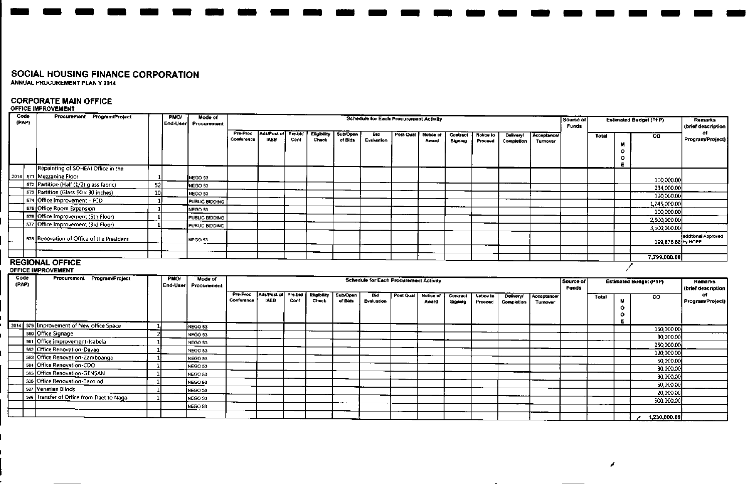# **CORPORATE MAIN OFFICE** OFFICE IMPROVEMENT

| Code<br>(PAP) | Procurement Program/Project                          |                 | <b>PMO/</b><br>End-Userl | Mode of<br>Procurement |                        | Schedule for Each Procurement Activity |                        |                             |                            |                                               |           |                    |                     |                      |                                |                                |                           |       |                         | <b>Estimated Budget (PhP)</b> | <b>Remarks</b><br>(brief description |
|---------------|------------------------------------------------------|-----------------|--------------------------|------------------------|------------------------|----------------------------------------|------------------------|-----------------------------|----------------------------|-----------------------------------------------|-----------|--------------------|---------------------|----------------------|--------------------------------|--------------------------------|---------------------------|-------|-------------------------|-------------------------------|--------------------------------------|
|               |                                                      |                 |                          |                        | Pre-Proc<br>Conference | Ads/Post of<br><b>IAEB</b>             | <b>Pro-bid</b><br>Conf | <b>Eligibility</b><br>Check | Sub/Open<br>of Bids        | Bid<br>Evaluation                             | Post Qual | Notice of<br>Award | Contract<br>Signing | Notice to<br>Proceed | <b>Delivery!</b><br>Completion | Acceptance/<br>Turnover        |                           | Total | M<br>$\circ$<br>$\circ$ | $\overline{c}$                | of<br>Program/Project)               |
|               | Repainting of SOHEAI Office in the                   |                 |                          |                        |                        |                                        |                        |                             |                            |                                               |           |                    |                     |                      |                                |                                |                           |       | Е                       |                               |                                      |
|               | 2014 571 Mezzanine Floor                             |                 |                          | NEGO 53                |                        |                                        |                        |                             |                            |                                               |           |                    |                     |                      |                                |                                |                           |       |                         |                               |                                      |
|               | 572 Partition (Half (1/2) glass fabric)              | 52              |                          | NEGO 53                |                        |                                        |                        |                             |                            |                                               |           |                    |                     |                      |                                |                                |                           |       |                         | 100,000.00                    |                                      |
|               | 573 Partition (Glass 90 x 30 inches)                 | 10 <sub>1</sub> |                          | NEGO 53                |                        |                                        |                        |                             |                            |                                               |           |                    |                     |                      |                                |                                |                           |       |                         | 234,000.00<br>120,000.00      |                                      |
|               | 574 Office Improvement - FCD                         |                 |                          | <b>PUBLIC BIDDING</b>  |                        |                                        |                        |                             |                            |                                               |           |                    |                     |                      |                                |                                |                           |       |                         | 1,245,000.00                  |                                      |
|               | 575 Office Room Expansion                            |                 |                          | NEGO 53                |                        |                                        |                        |                             |                            |                                               |           |                    |                     |                      |                                |                                |                           |       |                         | 100,000,00                    |                                      |
|               | 576 Office Improvement (5th Floor)                   |                 |                          | PUBLIC BIDDING         |                        |                                        |                        |                             |                            |                                               |           |                    |                     |                      |                                |                                |                           |       |                         | 2,500,000.00                  |                                      |
|               | 577 Office Improvement (3rd Floor)                   |                 |                          | PUBLIC BIDDING         |                        |                                        |                        |                             |                            |                                               |           |                    |                     |                      |                                |                                |                           |       |                         | 3,500,000.00                  |                                      |
|               | 578 Renovation of Office of the President            |                 |                          | NEGO 53                |                        |                                        |                        |                             |                            |                                               |           |                    |                     |                      |                                |                                |                           |       |                         | 199,876.88 by HOPE            | additional Approved                  |
|               |                                                      |                 |                          |                        |                        |                                        |                        |                             |                            |                                               |           |                    |                     |                      |                                |                                |                           |       |                         |                               |                                      |
|               |                                                      |                 |                          |                        |                        |                                        |                        |                             |                            |                                               |           |                    |                     |                      |                                |                                |                           |       |                         | 7,799,000.00                  |                                      |
|               | <b>REGIONAL OFFICE</b><br><b>OFFICE IMPROVEMENT</b>  |                 |                          |                        |                        |                                        |                        |                             |                            |                                               |           |                    |                     |                      |                                |                                |                           |       |                         |                               |                                      |
| Code<br>(PAP) | Procurement Program/Project                          |                 | <b>PMO</b><br>End-User   | Mode of<br>Procurement |                        |                                        |                        |                             |                            | <b>Schedule for Each Procurement Activity</b> |           |                    |                     |                      |                                |                                | Source of<br><b>Funds</b> |       |                         | <b>Estimated Budget (PhP)</b> | <b>Remarks</b><br>(brief description |
|               |                                                      |                 |                          |                        | Pre-Proc               | Ads/Post of                            | Pre-bid                | Eligibility                 |                            |                                               |           |                    | Contract            |                      |                                |                                |                           |       |                         |                               |                                      |
|               |                                                      |                 |                          |                        | Conference             | <b>IAEB</b>                            | Conf                   | <b>Check</b>                | <b>Sub/Open</b><br>of Bids | <b>Bid</b><br>Evaluation                      | Post Qual | Notice of<br>Award | Signing             | Notice to<br>Proceed | Delivery/<br>Completion        | <b>Acceptance/</b><br>Turnover |                           | Total | М<br>$\circ$<br>$\circ$ | <b>CO</b>                     | o.                                   |
|               |                                                      | -11             |                          |                        |                        |                                        |                        |                             |                            |                                               |           |                    |                     |                      |                                |                                |                           |       | E.                      |                               | Program/Project)                     |
|               | 2014 579 Improvement of New office Space             |                 |                          | NEGO 53                |                        |                                        |                        |                             |                            |                                               |           |                    |                     |                      |                                |                                |                           |       |                         | 150,000,00                    |                                      |
|               | 580 Office Signage<br>581 Office Improvement-Isabela |                 |                          | NEGO 53<br>NEGO 53     |                        |                                        |                        |                             |                            |                                               |           |                    |                     |                      |                                |                                |                           |       |                         | 30,000.00                     |                                      |
|               | 582 Office Renovation-Davao                          |                 |                          | NEGO 53                |                        |                                        |                        |                             |                            |                                               |           |                    |                     |                      |                                |                                |                           |       |                         | 250,000.00                    |                                      |
|               | 583 Office Renovation-Zamboanga                      |                 |                          | NEGO 53                |                        |                                        |                        |                             |                            |                                               |           |                    |                     |                      |                                |                                |                           |       |                         | 120,000.00                    |                                      |
|               | 584 Office Renovation-CDO                            |                 |                          | NEGO 53                |                        |                                        |                        |                             |                            |                                               |           |                    |                     |                      |                                |                                |                           |       |                         | 50,000.00                     |                                      |
|               | 585 Office Renovation-GENSAN                         |                 |                          | NEGO 53                |                        |                                        |                        |                             |                            |                                               |           |                    |                     |                      |                                |                                |                           |       |                         | 30,000.00                     |                                      |
|               | 586 Office Renovation-Bacolod                        |                 |                          | NEGO 53                |                        |                                        |                        |                             |                            |                                               |           |                    |                     |                      |                                |                                |                           |       |                         | 30,000.00                     |                                      |
|               | 587 Venetian Blinds                                  |                 |                          | NEGO 53                |                        |                                        |                        |                             |                            |                                               |           |                    |                     |                      |                                |                                |                           |       |                         | 50,000.00                     |                                      |
|               | 588 Transfer of Office from Daet to Naga             |                 |                          | NEGO 53                |                        |                                        |                        |                             |                            |                                               |           |                    |                     |                      |                                |                                |                           |       |                         | 20,000.00                     |                                      |
|               |                                                      |                 |                          | NEGO 53                |                        |                                        |                        |                             |                            |                                               |           |                    |                     |                      |                                |                                |                           |       |                         | 500.000.00                    |                                      |

-----------------------

 $\overline{\phantom{0}}$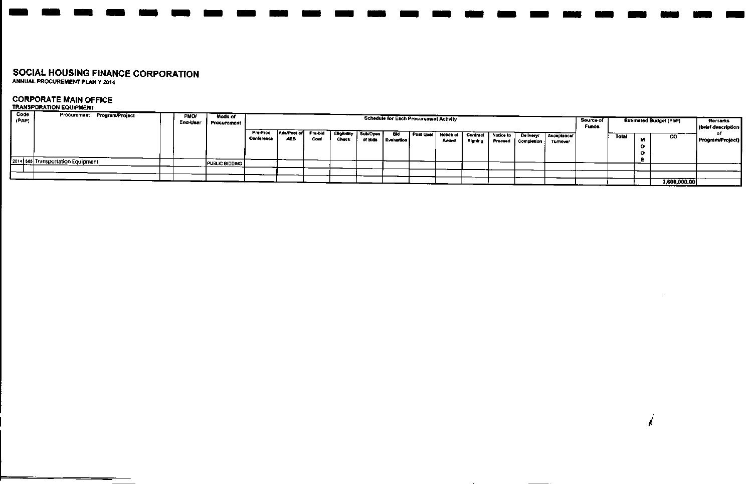### **CORPORATE MAIN OFFICE**

#### **TRANSPORATIONEQUIPMENT**

| Code<br>(PAP) | Procurement Program/Project       | <b>PMO/</b><br>End-User | Mode of<br><b>Procurement</b> |                        |                            |                 |                      |                     | <b>Schedule for Each Procurement Activity</b> |                              |         |                                   |                                       |                                | Source of<br>Funds |       |     | <b>Estimated Budget (PhP)</b> | Remarks<br>(brief description |
|---------------|-----------------------------------|-------------------------|-------------------------------|------------------------|----------------------------|-----------------|----------------------|---------------------|-----------------------------------------------|------------------------------|---------|-----------------------------------|---------------------------------------|--------------------------------|--------------------|-------|-----|-------------------------------|-------------------------------|
|               |                                   |                         |                               | Pre-Proc<br>Conference | Ads/Post of<br><b>LAEB</b> | Pre-bid<br>Conf | Eligibility<br>Check | Sub/Open<br>of Bids | Bio<br>Evaluation                             | Post Qual Notice of<br>Award | Signing | Contract   Notice to T<br>Proceed | <b>Delivery!</b><br><b>Completion</b> | Acceptance/<br><b>Turnover</b> |                    | Total | -44 | co                            | o۴<br>Program/Project)        |
|               | 2014 565 Transportation Equipment |                         | PUBLIC BIDDING                |                        |                            |                 |                      |                     |                                               |                              |         |                                   |                                       |                                |                    |       |     |                               |                               |
|               |                                   |                         |                               |                        |                            |                 |                      |                     |                                               |                              |         |                                   |                                       |                                |                    |       |     |                               |                               |
|               |                                   |                         |                               |                        |                            |                 |                      |                     |                                               |                              |         |                                   |                                       |                                |                    |       |     |                               |                               |
|               |                                   |                         |                               |                        |                            |                 |                      |                     |                                               |                              |         |                                   |                                       |                                |                    |       |     | 3,600,000.00                  |                               |

 $\sim$ 

*i*

------- ---------- ------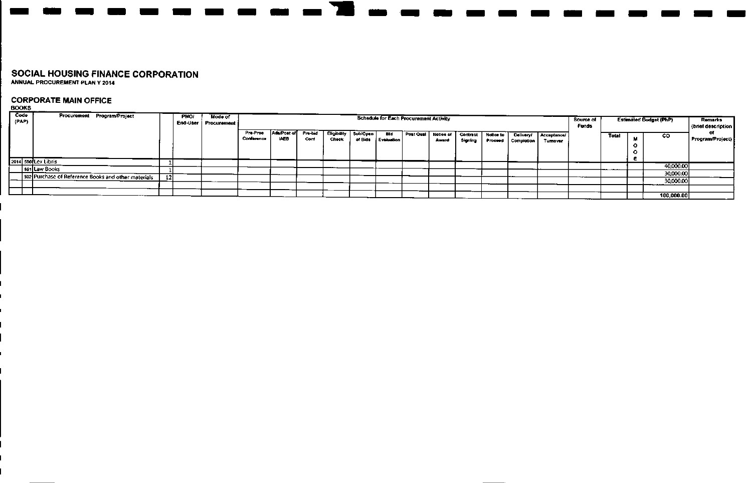## **CORPORATE MAIN OFFICE**

**BOOKS** 

| Code<br>(PAP) | Procurement Program/Project                         | <b>PMO/</b> | Mode of<br>End-User   Procurement / |                        |                            |                 |                      |                     |                     | Schedule for Each Procurement Activity |                    |         |                                 |                                |                       | Source of<br><b>Funds</b> |       |    | <b>Estimated Budget (PhP)</b> | <b>Remarks</b><br>(brief description |
|---------------|-----------------------------------------------------|-------------|-------------------------------------|------------------------|----------------------------|-----------------|----------------------|---------------------|---------------------|----------------------------------------|--------------------|---------|---------------------------------|--------------------------------|-----------------------|---------------------------|-------|----|-------------------------------|--------------------------------------|
|               |                                                     |             |                                     | Pre-Proc<br>Conference | Ada/Post of<br><b>IAEB</b> | Pra-bid<br>Conf | Eligibility<br>Check | Sub/Open<br>of Bids | Bid<br>i Evaluation | Post Qual                              | Notice of<br>Award | Signing | Contract   Notice to<br>Proceed | <b>Delivery!</b><br>Completion | Acceptance<br>Tumover |                           | Total | 64 | CO.                           | Program/Project                      |
|               | 2014 590 Lex Libris                                 |             |                                     |                        |                            |                 |                      |                     |                     |                                        |                    |         |                                 |                                |                       |                           |       |    |                               |                                      |
|               | 591   Law Books                                     |             |                                     |                        |                            |                 |                      |                     |                     |                                        |                    |         |                                 |                                |                       |                           |       |    | 40,000.00                     |                                      |
|               | 592 Purchase of Reference Books and other materials |             |                                     |                        |                            |                 |                      |                     |                     |                                        |                    |         |                                 |                                |                       |                           |       |    | 30,000.00                     |                                      |
|               |                                                     |             |                                     |                        |                            |                 |                      |                     |                     |                                        |                    |         |                                 |                                |                       |                           |       |    | 30,000.00                     |                                      |
|               |                                                     |             |                                     |                        |                            |                 |                      |                     |                     |                                        |                    |         |                                 |                                |                       |                           |       |    |                               |                                      |
|               |                                                     |             |                                     |                        |                            |                 |                      |                     |                     |                                        |                    |         |                                 |                                |                       |                           |       |    | 100,000.00                    |                                      |

----------<del>-</del>---<del>-------</del>